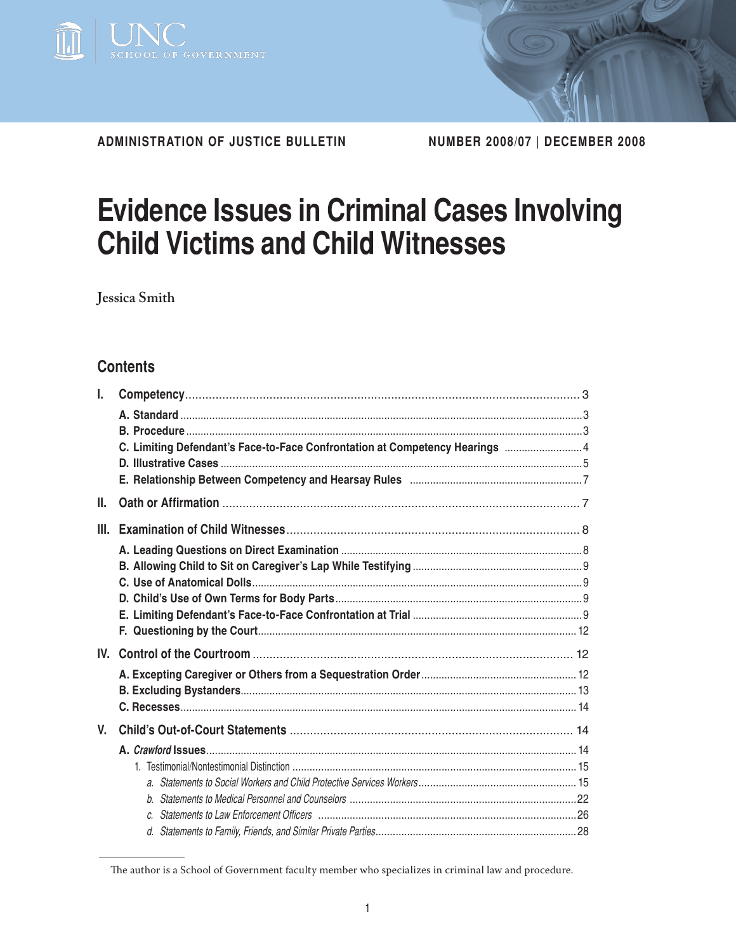

**Administration of justice bulletin number 2008/07 | december 2008**

# **Evidence Issues in Criminal Cases Involving Child Victims and Child Witnesses**

**Jessica Smith**

# **Contents**

| I.   |                                                                              |  |
|------|------------------------------------------------------------------------------|--|
|      |                                                                              |  |
|      |                                                                              |  |
|      | C. Limiting Defendant's Face-to-Face Confrontation at Competency Hearings  4 |  |
|      |                                                                              |  |
|      |                                                                              |  |
| Ш.   |                                                                              |  |
| III. |                                                                              |  |
|      |                                                                              |  |
|      |                                                                              |  |
|      |                                                                              |  |
|      |                                                                              |  |
|      |                                                                              |  |
|      |                                                                              |  |
|      |                                                                              |  |
|      |                                                                              |  |
|      |                                                                              |  |
|      |                                                                              |  |
| V.   |                                                                              |  |
|      |                                                                              |  |
|      |                                                                              |  |
|      |                                                                              |  |
|      |                                                                              |  |
|      |                                                                              |  |
|      |                                                                              |  |

The author is a School of Government faculty member who specializes in criminal law and procedure.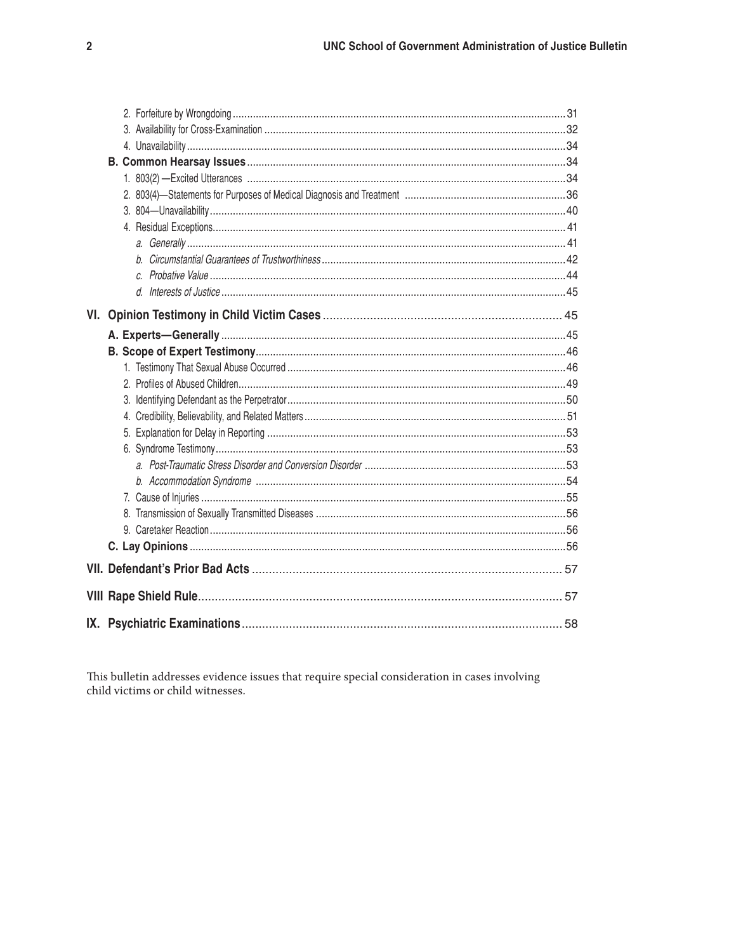This bulletin addresses evidence issues that require special consideration in cases involving child victims or child witnesses.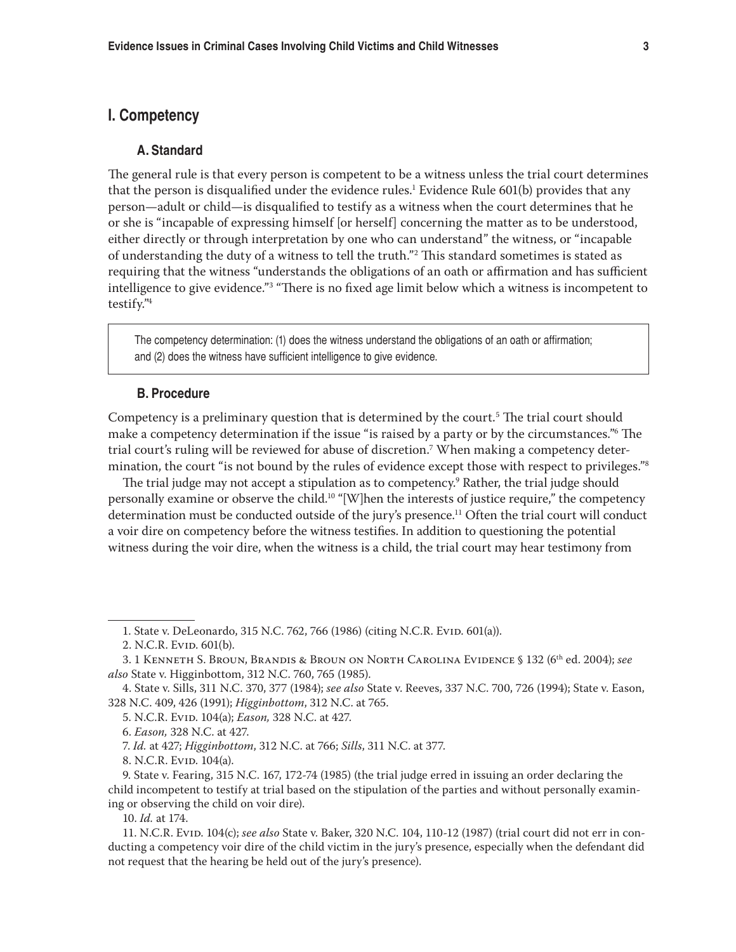# **I. Competency**

## **A. Standard**

The general rule is that every person is competent to be a witness unless the trial court determines that the person is disqualified under the evidence rules.<sup>1</sup> Evidence Rule 601(b) provides that any person—adult or child—is disqualified to testify as a witness when the court determines that he or she is "incapable of expressing himself [or herself] concerning the matter as to be understood, either directly or through interpretation by one who can understand" the witness, or "incapable of understanding the duty of a witness to tell the truth."2 This standard sometimes is stated as requiring that the witness "understands the obligations of an oath or affirmation and has sufficient intelligence to give evidence."3 "There is no fixed age limit below which a witness is incompetent to testify."4

The competency determination: (1) does the witness understand the obligations of an oath or affirmation; and (2) does the witness have sufficient intelligence to give evidence.

#### **B. Procedure**

Competency is a preliminary question that is determined by the court.<sup>5</sup> The trial court should make a competency determination if the issue "is raised by a party or by the circumstances."6 The trial court's ruling will be reviewed for abuse of discretion.7 When making a competency determination, the court "is not bound by the rules of evidence except those with respect to privileges."<sup>8</sup>

The trial judge may not accept a stipulation as to competency.9 Rather, the trial judge should personally examine or observe the child.10 "[W]hen the interests of justice require," the competency determination must be conducted outside of the jury's presence.<sup>11</sup> Often the trial court will conduct a voir dire on competency before the witness testifies. In addition to questioning the potential witness during the voir dire, when the witness is a child, the trial court may hear testimony from

10. *Id.* at 174.

<sup>1.</sup> State v. DeLeonardo, 315 N.C. 762, 766 (1986) (citing N.C.R. Evid. 601(a)).

<sup>2.</sup> N.C.R. Evid. 601(b).

<sup>3. 1</sup> Kenneth S. Broun, Brandis & Broun on North Carolina Evidence § 132 (6th ed. 2004); *see also* State v. Higginbottom, 312 N.C. 760, 765 (1985).

<sup>4.</sup> State v. Sills, 311 N.C. 370, 377 (1984); *see also* State v. Reeves, 337 N.C. 700, 726 (1994); State v. Eason, 328 N.C. 409, 426 (1991); *Higginbottom*, 312 N.C. at 765.

<sup>5.</sup> N.C.R. Evid. 104(a); *Eason,* 328 N.C. at 427.

<sup>6.</sup> *Eason,* 328 N.C. at 427.

<sup>7.</sup> *Id.* at 427; *Higginbottom*, 312 N.C. at 766; *Sills*, 311 N.C. at 377.

<sup>8.</sup> N.C.R. Evid. 104(a).

<sup>9.</sup> State v. Fearing, 315 N.C. 167, 172-74 (1985) (the trial judge erred in issuing an order declaring the child incompetent to testify at trial based on the stipulation of the parties and without personally examining or observing the child on voir dire).

<sup>11.</sup> N.C.R. Evid. 104(c); *see also* State v. Baker, 320 N.C. 104, 110-12 (1987) (trial court did not err in conducting a competency voir dire of the child victim in the jury's presence, especially when the defendant did not request that the hearing be held out of the jury's presence).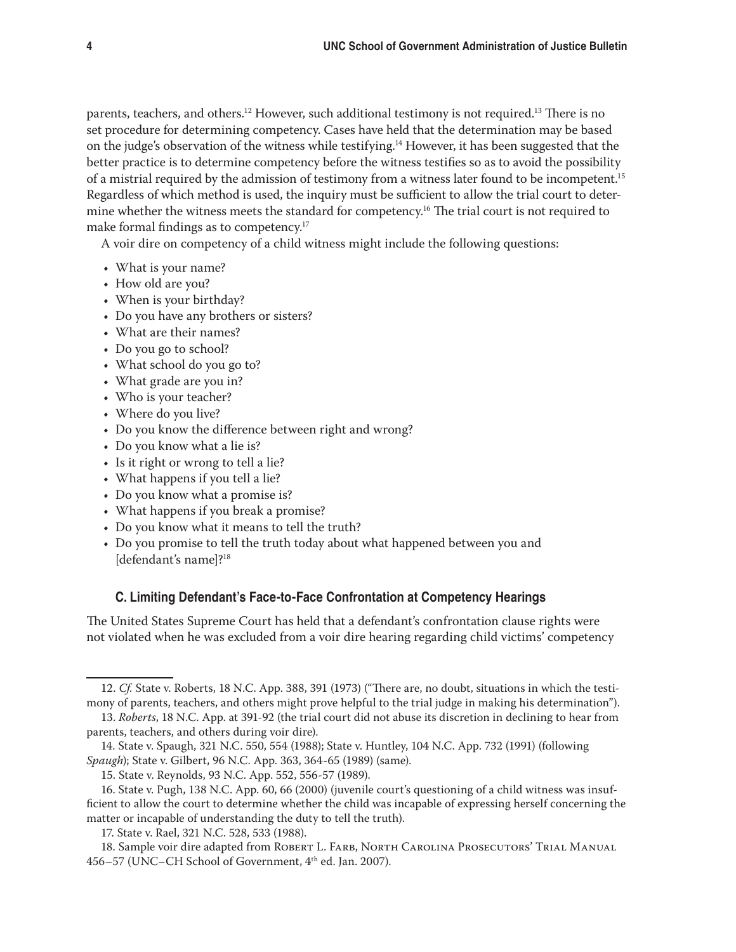parents, teachers, and others.<sup>12</sup> However, such additional testimony is not required.<sup>13</sup> There is no set procedure for determining competency. Cases have held that the determination may be based on the judge's observation of the witness while testifying.14 However, it has been suggested that the better practice is to determine competency before the witness testifies so as to avoid the possibility of a mistrial required by the admission of testimony from a witness later found to be incompetent.15 Regardless of which method is used, the inquiry must be sufficient to allow the trial court to determine whether the witness meets the standard for competency.<sup>16</sup> The trial court is not required to make formal findings as to competency.<sup>17</sup>

A voir dire on competency of a child witness might include the following questions:

- • What is your name?
- How old are you?
- When is your birthday?
- Do you have any brothers or sisters?
- What are their names?
- Do you go to school?
- What school do you go to?
- What grade are you in?
- Who is your teacher?
- Where do you live?
- Do you know the difference between right and wrong?
- Do you know what a lie is?
- Is it right or wrong to tell a lie?
- What happens if you tell a lie?
- Do you know what a promise is?
- What happens if you break a promise?
- • Do you know what it means to tell the truth?
- Do you promise to tell the truth today about what happened between you and [defendant's name]?<sup>18</sup>

#### **C. Limiting Defendant's Face-to-Face Confrontation at Competency Hearings**

The United States Supreme Court has held that a defendant's confrontation clause rights were not violated when he was excluded from a voir dire hearing regarding child victims' competency

<sup>12.</sup> *Cf.* State v. Roberts, 18 N.C. App. 388, 391 (1973) ("There are, no doubt, situations in which the testimony of parents, teachers, and others might prove helpful to the trial judge in making his determination").

<sup>13.</sup> *Roberts*, 18 N.C. App. at 391-92 (the trial court did not abuse its discretion in declining to hear from parents, teachers, and others during voir dire).

<sup>14.</sup> State v. Spaugh, 321 N.C. 550, 554 (1988); State v. Huntley, 104 N.C. App. 732 (1991) (following *Spaugh*); State v. Gilbert, 96 N.C. App. 363, 364-65 (1989) (same).

<sup>15.</sup> State v. Reynolds, 93 N.C. App. 552, 556-57 (1989).

<sup>16.</sup> State v. Pugh, 138 N.C. App. 60, 66 (2000) (juvenile court's questioning of a child witness was insufficient to allow the court to determine whether the child was incapable of expressing herself concerning the matter or incapable of understanding the duty to tell the truth).

<sup>17.</sup> State v. Rael, 321 N.C. 528, 533 (1988).

<sup>18.</sup> Sample voir dire adapted from Robert L. Farb, North Carolina Prosecutors' Trial Manual 456–57 (UNC–CH School of Government, 4th ed. Jan. 2007).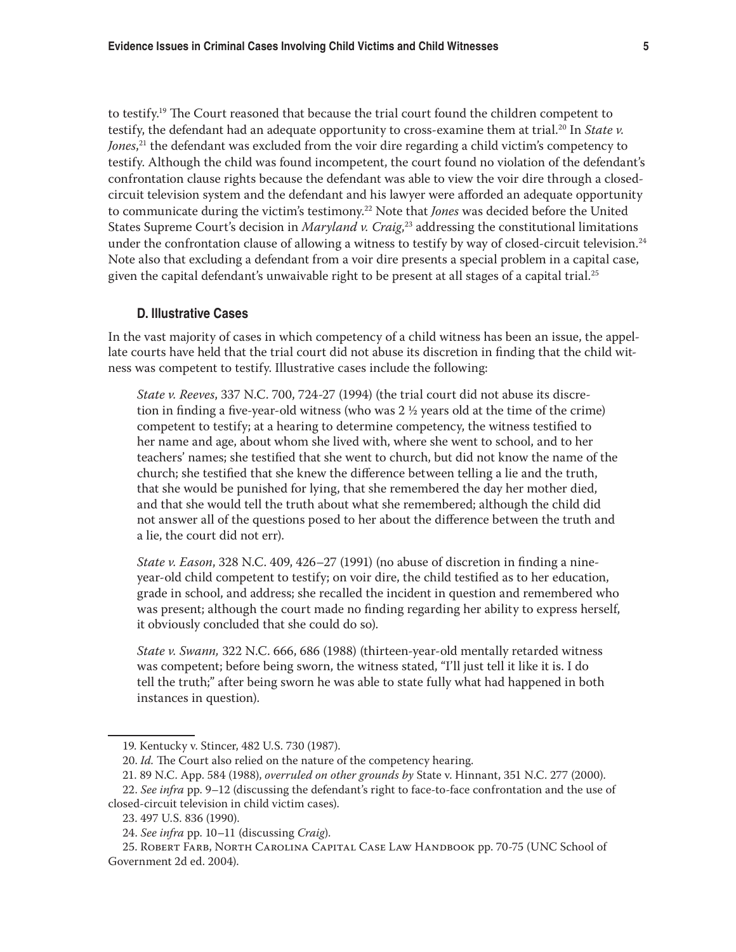to testify.<sup>19</sup> The Court reasoned that because the trial court found the children competent to testify, the defendant had an adequate opportunity to cross-examine them at trial.<sup>20</sup> In *State v. Jones*, 21 the defendant was excluded from the voir dire regarding a child victim's competency to testify. Although the child was found incompetent, the court found no violation of the defendant's confrontation clause rights because the defendant was able to view the voir dire through a closedcircuit television system and the defendant and his lawyer were afforded an adequate opportunity to communicate during the victim's testimony.<sup>22</sup> Note that *Jones* was decided before the United States Supreme Court's decision in *Maryland v. Craig*, 23 addressing the constitutional limitations under the confrontation clause of allowing a witness to testify by way of closed-circuit television.<sup>24</sup> Note also that excluding a defendant from a voir dire presents a special problem in a capital case, given the capital defendant's unwaivable right to be present at all stages of a capital trial.<sup>25</sup>

#### **D. Illustrative Cases**

In the vast majority of cases in which competency of a child witness has been an issue, the appellate courts have held that the trial court did not abuse its discretion in finding that the child witness was competent to testify. Illustrative cases include the following:

*State v. Reeves*, 337 N.C. 700, 724-27 (1994) (the trial court did not abuse its discretion in finding a five-year-old witness (who was  $2 \frac{1}{2}$  years old at the time of the crime) competent to testify; at a hearing to determine competency, the witness testified to her name and age, about whom she lived with, where she went to school, and to her teachers' names; she testified that she went to church, but did not know the name of the church; she testified that she knew the difference between telling a lie and the truth, that she would be punished for lying, that she remembered the day her mother died, and that she would tell the truth about what she remembered; although the child did not answer all of the questions posed to her about the difference between the truth and a lie, the court did not err).

*State v. Eason*, 328 N.C. 409, 426–27 (1991) (no abuse of discretion in finding a nineyear-old child competent to testify; on voir dire, the child testified as to her education, grade in school, and address; she recalled the incident in question and remembered who was present; although the court made no finding regarding her ability to express herself, it obviously concluded that she could do so).

*State v. Swann,* 322 N.C. 666, 686 (1988) (thirteen-year-old mentally retarded witness was competent; before being sworn, the witness stated, "I'll just tell it like it is. I do tell the truth;" after being sworn he was able to state fully what had happened in both instances in question).

<sup>19.</sup> Kentucky v. Stincer, 482 U.S. 730 (1987).

<sup>20.</sup> *Id.* The Court also relied on the nature of the competency hearing.

<sup>21. 89</sup> N.C. App. 584 (1988), *overruled on other grounds by* State v. Hinnant, 351 N.C. 277 (2000).

<sup>22.</sup> *See infra* pp. 9–12 (discussing the defendant's right to face-to-face confrontation and the use of closed-circuit television in child victim cases).

<sup>23. 497</sup> U.S. 836 (1990).

<sup>24.</sup> *See infra* pp. 10–11 (discussing *Craig*).

<sup>25.</sup> Robert Farb, North Carolina Capital Case Law Handbook pp. 70-75 (UNC School of Government 2d ed. 2004).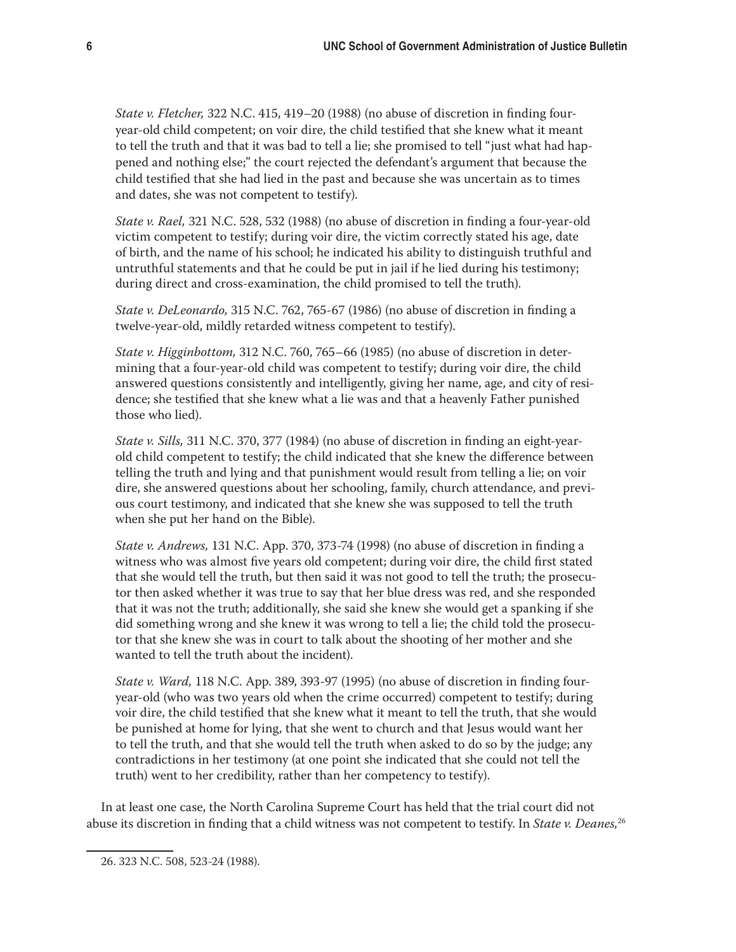*State v. Fletcher,* 322 N.C. 415, 419–20 (1988) (no abuse of discretion in finding fouryear-old child competent; on voir dire, the child testified that she knew what it meant to tell the truth and that it was bad to tell a lie; she promised to tell "just what had happened and nothing else;" the court rejected the defendant's argument that because the child testified that she had lied in the past and because she was uncertain as to times and dates, she was not competent to testify).

*State v. Rael,* 321 N.C. 528, 532 (1988) (no abuse of discretion in finding a four-year-old victim competent to testify; during voir dire, the victim correctly stated his age, date of birth, and the name of his school; he indicated his ability to distinguish truthful and untruthful statements and that he could be put in jail if he lied during his testimony; during direct and cross-examination, the child promised to tell the truth).

*State v. DeLeonardo,* 315 N.C. 762, 765-67 (1986) (no abuse of discretion in finding a twelve-year-old, mildly retarded witness competent to testify).

*State v. Higginbottom,* 312 N.C. 760, 765–66 (1985) (no abuse of discretion in determining that a four-year-old child was competent to testify; during voir dire, the child answered questions consistently and intelligently, giving her name, age, and city of residence; she testified that she knew what a lie was and that a heavenly Father punished those who lied).

*State v. Sills,* 311 N.C. 370, 377 (1984) (no abuse of discretion in finding an eight-yearold child competent to testify; the child indicated that she knew the difference between telling the truth and lying and that punishment would result from telling a lie; on voir dire, she answered questions about her schooling, family, church attendance, and previous court testimony, and indicated that she knew she was supposed to tell the truth when she put her hand on the Bible).

*State v. Andrews,* 131 N.C. App. 370, 373-74 (1998) (no abuse of discretion in finding a witness who was almost five years old competent; during voir dire, the child first stated that she would tell the truth, but then said it was not good to tell the truth; the prosecutor then asked whether it was true to say that her blue dress was red, and she responded that it was not the truth; additionally, she said she knew she would get a spanking if she did something wrong and she knew it was wrong to tell a lie; the child told the prosecutor that she knew she was in court to talk about the shooting of her mother and she wanted to tell the truth about the incident).

*State v. Ward,* 118 N.C. App. 389, 393-97 (1995) (no abuse of discretion in finding fouryear-old (who was two years old when the crime occurred) competent to testify; during voir dire, the child testified that she knew what it meant to tell the truth, that she would be punished at home for lying, that she went to church and that Jesus would want her to tell the truth, and that she would tell the truth when asked to do so by the judge; any contradictions in her testimony (at one point she indicated that she could not tell the truth) went to her credibility, rather than her competency to testify).

In at least one case, the North Carolina Supreme Court has held that the trial court did not abuse its discretion in finding that a child witness was not competent to testify. In *State v. Deanes,*<sup>26</sup>

<sup>26. 323</sup> N.C. 508, 523-24 (1988).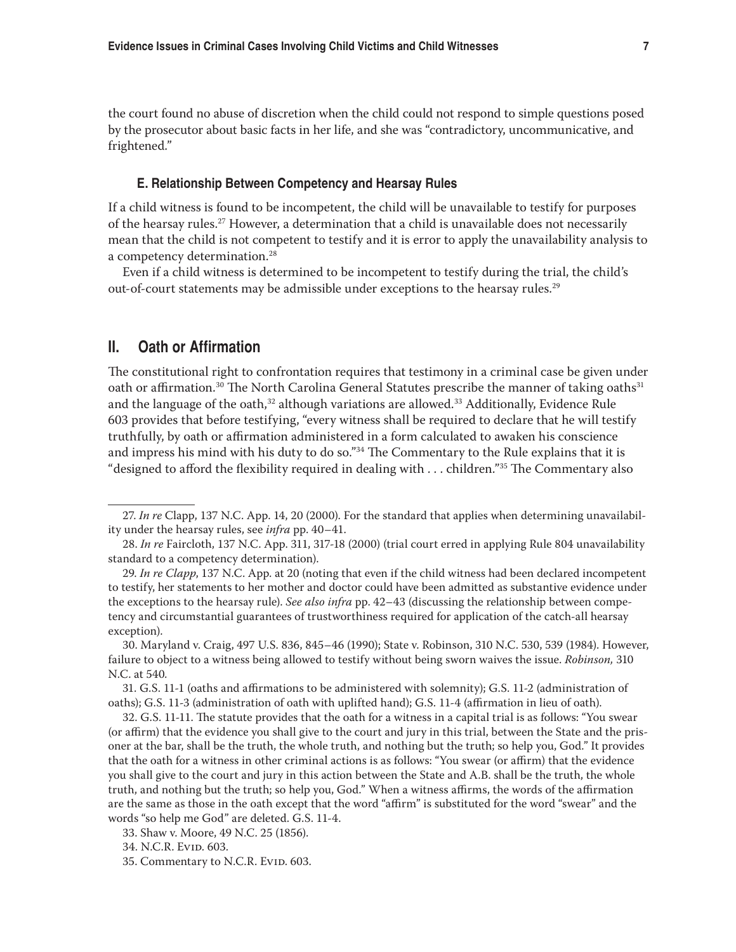the court found no abuse of discretion when the child could not respond to simple questions posed by the prosecutor about basic facts in her life, and she was "contradictory, uncommunicative, and frightened."

#### **E. Relationship Between Competency and Hearsay Rules**

If a child witness is found to be incompetent, the child will be unavailable to testify for purposes of the hearsay rules.<sup>27</sup> However, a determination that a child is unavailable does not necessarily mean that the child is not competent to testify and it is error to apply the unavailability analysis to a competency determination.<sup>28</sup>

Even if a child witness is determined to be incompetent to testify during the trial, the child's out-of-court statements may be admissible under exceptions to the hearsay rules.<sup>29</sup>

# **II. Oath or Affirmation**

The constitutional right to confrontation requires that testimony in a criminal case be given under oath or affirmation.<sup>30</sup> The North Carolina General Statutes prescribe the manner of taking oaths<sup>31</sup> and the language of the oath,<sup>32</sup> although variations are allowed.<sup>33</sup> Additionally, Evidence Rule 603 provides that before testifying, "every witness shall be required to declare that he will testify truthfully, by oath or affirmation administered in a form calculated to awaken his conscience and impress his mind with his duty to do so."<sup>34</sup> The Commentary to the Rule explains that it is "designed to afford the flexibility required in dealing with . . . children."35 The Commentary also

32. G.S. 11-11. The statute provides that the oath for a witness in a capital trial is as follows: "You swear (or affirm) that the evidence you shall give to the court and jury in this trial, between the State and the prisoner at the bar, shall be the truth, the whole truth, and nothing but the truth; so help you, God." It provides that the oath for a witness in other criminal actions is as follows: "You swear (or affirm) that the evidence you shall give to the court and jury in this action between the State and A.B. shall be the truth, the whole truth, and nothing but the truth; so help you, God." When a witness affirms, the words of the affirmation are the same as those in the oath except that the word "affirm" is substituted for the word "swear" and the words "so help me God" are deleted. G.S. 11-4.

<sup>27.</sup> *In re* Clapp, 137 N.C. App. 14, 20 (2000). For the standard that applies when determining unavailability under the hearsay rules, see *infra* pp. 40–41.

<sup>28.</sup> *In re* Faircloth, 137 N.C. App. 311, 317-18 (2000) (trial court erred in applying Rule 804 unavailability standard to a competency determination).

<sup>29.</sup> *In re Clapp*, 137 N.C. App. at 20 (noting that even if the child witness had been declared incompetent to testify, her statements to her mother and doctor could have been admitted as substantive evidence under the exceptions to the hearsay rule). *See also infra* pp. 42–43 (discussing the relationship between competency and circumstantial guarantees of trustworthiness required for application of the catch-all hearsay exception).

<sup>30.</sup> Maryland v. Craig, 497 U.S. 836, 845–46 (1990); State v. Robinson, 310 N.C. 530, 539 (1984). However, failure to object to a witness being allowed to testify without being sworn waives the issue. *Robinson,* 310 N.C. at 540*.*

<sup>31.</sup> G.S. 11-1 (oaths and affirmations to be administered with solemnity); G.S. 11-2 (administration of oaths); G.S. 11-3 (administration of oath with uplifted hand); G.S. 11-4 (affirmation in lieu of oath).

<sup>33.</sup> Shaw v. Moore, 49 N.C. 25 (1856).

<sup>34.</sup> N.C.R. Evid. 603.

<sup>35.</sup> Commentary to N.C.R. Evid. 603.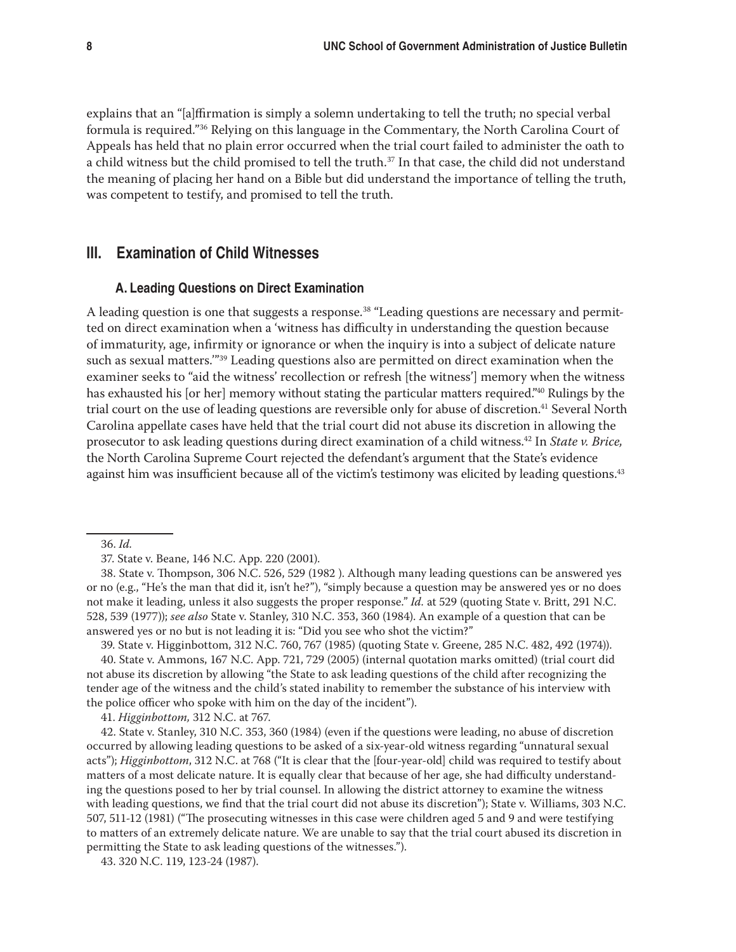explains that an "[a]ffirmation is simply a solemn undertaking to tell the truth; no special verbal formula is required."36 Relying on this language in the Commentary, the North Carolina Court of Appeals has held that no plain error occurred when the trial court failed to administer the oath to a child witness but the child promised to tell the truth.<sup>37</sup> In that case, the child did not understand the meaning of placing her hand on a Bible but did understand the importance of telling the truth, was competent to testify, and promised to tell the truth.

## **III. Examination of Child Witnesses**

#### **A. Leading Questions on Direct Examination**

A leading question is one that suggests a response.<sup>38</sup> "Leading questions are necessary and permitted on direct examination when a 'witness has difficulty in understanding the question because of immaturity, age, infirmity or ignorance or when the inquiry is into a subject of delicate nature such as sexual matters."<sup>39</sup> Leading questions also are permitted on direct examination when the examiner seeks to "aid the witness' recollection or refresh [the witness'] memory when the witness has exhausted his [or her] memory without stating the particular matters required."<sup>40</sup> Rulings by the trial court on the use of leading questions are reversible only for abuse of discretion.<sup>41</sup> Several North Carolina appellate cases have held that the trial court did not abuse its discretion in allowing the prosecutor to ask leading questions during direct examination of a child witness.42 In *State v. Brice,*  the North Carolina Supreme Court rejected the defendant's argument that the State's evidence against him was insufficient because all of the victim's testimony was elicited by leading questions.<sup>43</sup>

39. State v. Higginbottom, 312 N.C. 760, 767 (1985) (quoting State v. Greene, 285 N.C. 482, 492 (1974)).

40. State v. Ammons, 167 N.C. App. 721, 729 (2005) (internal quotation marks omitted) (trial court did not abuse its discretion by allowing "the State to ask leading questions of the child after recognizing the tender age of the witness and the child's stated inability to remember the substance of his interview with the police officer who spoke with him on the day of the incident").

41. *Higginbottom,* 312 N.C. at 767.

42. State v. Stanley, 310 N.C. 353, 360 (1984) (even if the questions were leading, no abuse of discretion occurred by allowing leading questions to be asked of a six-year-old witness regarding "unnatural sexual acts"); *Higginbottom*, 312 N.C. at 768 ("It is clear that the [four-year-old] child was required to testify about matters of a most delicate nature. It is equally clear that because of her age, she had difficulty understanding the questions posed to her by trial counsel. In allowing the district attorney to examine the witness with leading questions, we find that the trial court did not abuse its discretion"); State v. Williams, 303 N.C. 507, 511-12 (1981) ("The prosecuting witnesses in this case were children aged 5 and 9 and were testifying to matters of an extremely delicate nature. We are unable to say that the trial court abused its discretion in permitting the State to ask leading questions of the witnesses.").

<sup>36.</sup> *Id.*

<sup>37.</sup> State v. Beane, 146 N.C. App. 220 (2001).

<sup>38.</sup> State v. Thompson, 306 N.C. 526, 529 (1982 ). Although many leading questions can be answered yes or no (e.g., "He's the man that did it, isn't he?"), "simply because a question may be answered yes or no does not make it leading, unless it also suggests the proper response." *Id.* at 529 (quoting State v. Britt, 291 N.C. 528, 539 (1977)); *see also* State v. Stanley, 310 N.C. 353, 360 (1984). An example of a question that can be answered yes or no but is not leading it is: "Did you see who shot the victim?"

<sup>43. 320</sup> N.C. 119, 123-24 (1987).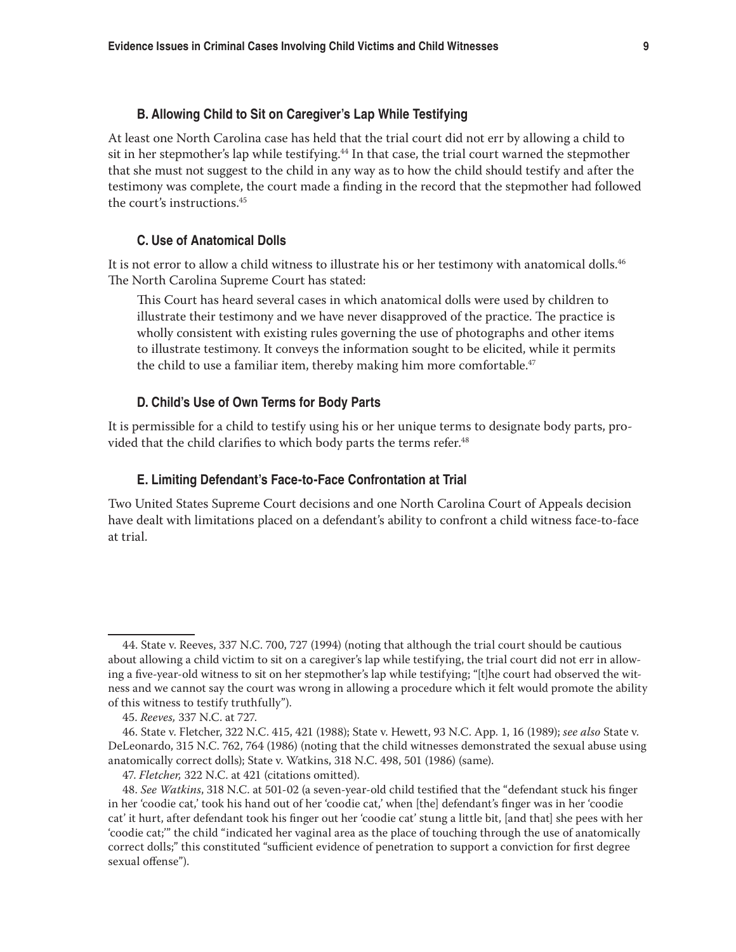## **B. Allowing Child to Sit on Caregiver's Lap While Testifying**

At least one North Carolina case has held that the trial court did not err by allowing a child to sit in her stepmother's lap while testifying.<sup>44</sup> In that case, the trial court warned the stepmother that she must not suggest to the child in any way as to how the child should testify and after the testimony was complete, the court made a finding in the record that the stepmother had followed the court's instructions.<sup>45</sup>

#### **C. Use of Anatomical Dolls**

It is not error to allow a child witness to illustrate his or her testimony with anatomical dolls.<sup>46</sup> The North Carolina Supreme Court has stated:

This Court has heard several cases in which anatomical dolls were used by children to illustrate their testimony and we have never disapproved of the practice. The practice is wholly consistent with existing rules governing the use of photographs and other items to illustrate testimony. It conveys the information sought to be elicited, while it permits the child to use a familiar item, thereby making him more comfortable.<sup>47</sup>

## **D. Child's Use of Own Terms for Body Parts**

It is permissible for a child to testify using his or her unique terms to designate body parts, provided that the child clarifies to which body parts the terms refer.<sup>48</sup>

#### **E. Limiting Defendant's Face-to-Face Confrontation at Trial**

Two United States Supreme Court decisions and one North Carolina Court of Appeals decision have dealt with limitations placed on a defendant's ability to confront a child witness face-to-face at trial.

<sup>44.</sup> State v. Reeves, 337 N.C. 700, 727 (1994) (noting that although the trial court should be cautious about allowing a child victim to sit on a caregiver's lap while testifying, the trial court did not err in allowing a five-year-old witness to sit on her stepmother's lap while testifying; "[t]he court had observed the witness and we cannot say the court was wrong in allowing a procedure which it felt would promote the ability of this witness to testify truthfully").

<sup>45.</sup> *Reeves,* 337 N.C. at 727.

<sup>46.</sup> State v. Fletcher, 322 N.C. 415, 421 (1988); State v. Hewett, 93 N.C. App. 1, 16 (1989); *see also* State v. DeLeonardo, 315 N.C. 762, 764 (1986) (noting that the child witnesses demonstrated the sexual abuse using anatomically correct dolls); State v. Watkins, 318 N.C. 498, 501 (1986) (same).

<sup>47.</sup> *Fletcher,* 322 N.C. at 421 (citations omitted).

<sup>48.</sup> *See Watkins*, 318 N.C. at 501-02 (a seven-year-old child testified that the "defendant stuck his finger in her 'coodie cat,' took his hand out of her 'coodie cat,' when [the] defendant's finger was in her 'coodie cat' it hurt, after defendant took his finger out her 'coodie cat' stung a little bit, [and that] she pees with her 'coodie cat;'" the child "indicated her vaginal area as the place of touching through the use of anatomically correct dolls;" this constituted "sufficient evidence of penetration to support a conviction for first degree sexual offense").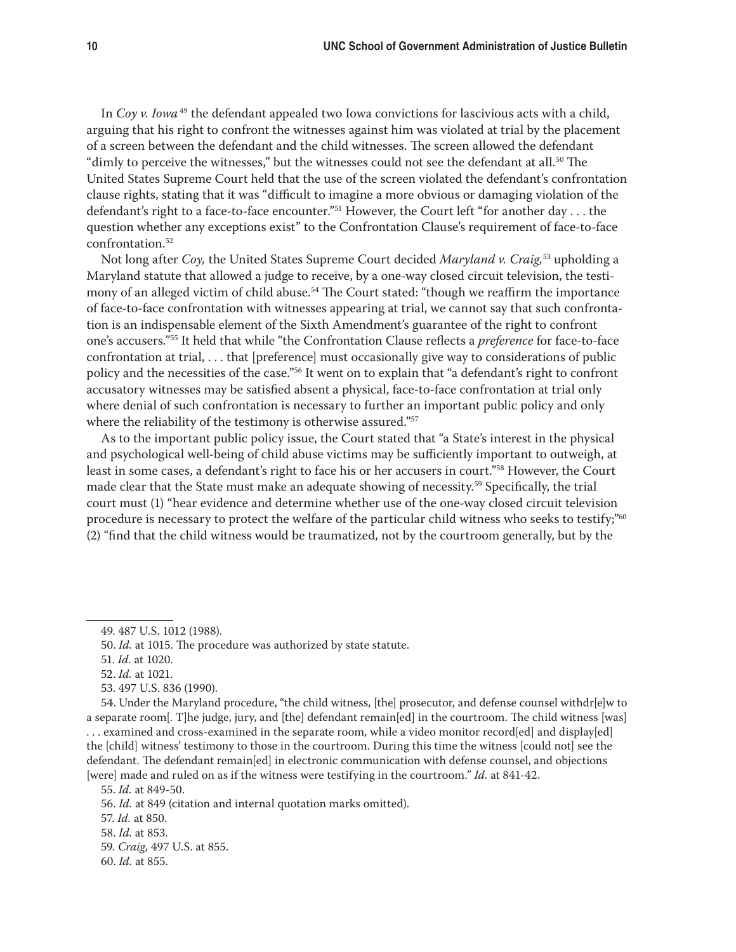In *Coy v. Iowa*<sup>49</sup> the defendant appealed two Iowa convictions for lascivious acts with a child, arguing that his right to confront the witnesses against him was violated at trial by the placement of a screen between the defendant and the child witnesses. The screen allowed the defendant "dimly to perceive the witnesses," but the witnesses could not see the defendant at all.<sup>50</sup> The United States Supreme Court held that the use of the screen violated the defendant's confrontation clause rights, stating that it was "difficult to imagine a more obvious or damaging violation of the defendant's right to a face-to-face encounter."51 However, the Court left "for another day . . . the question whether any exceptions exist" to the Confrontation Clause's requirement of face-to-face confrontation.<sup>52</sup>

Not long after *Coy,* the United States Supreme Court decided *Maryland v. Craig,*53 upholding a Maryland statute that allowed a judge to receive, by a one-way closed circuit television, the testimony of an alleged victim of child abuse.<sup>54</sup> The Court stated: "though we reaffirm the importance of face-to-face confrontation with witnesses appearing at trial, we cannot say that such confrontation is an indispensable element of the Sixth Amendment's guarantee of the right to confront one's accusers."55 It held that while "the Confrontation Clause reflects a *preference* for face-to-face confrontation at trial, . . . that [preference] must occasionally give way to considerations of public policy and the necessities of the case."56 It went on to explain that "a defendant's right to confront accusatory witnesses may be satisfied absent a physical, face-to-face confrontation at trial only where denial of such confrontation is necessary to further an important public policy and only where the reliability of the testimony is otherwise assured."<sup>57</sup>

As to the important public policy issue, the Court stated that "a State's interest in the physical and psychological well-being of child abuse victims may be sufficiently important to outweigh, at least in some cases, a defendant's right to face his or her accusers in court."58 However, the Court made clear that the State must make an adequate showing of necessity.59 Specifically, the trial court must (1) "hear evidence and determine whether use of the one-way closed circuit television procedure is necessary to protect the welfare of the particular child witness who seeks to testify;"60 (2) "find that the child witness would be traumatized, not by the courtroom generally, but by the

<sup>49. 487</sup> U.S. 1012 (1988).

<sup>50.</sup> *Id.* at 1015. The procedure was authorized by state statute.

<sup>51.</sup> *Id.* at 1020.

<sup>52.</sup> *Id.* at 1021.

<sup>53. 497</sup> U.S. 836 (1990).

<sup>54.</sup> Under the Maryland procedure, "the child witness, [the] prosecutor, and defense counsel withdr[e]w to a separate room[. T]he judge, jury, and [the] defendant remain[ed] in the courtroom. The child witness [was] . . . examined and cross-examined in the separate room, while a video monitor record[ed] and display[ed] the [child] witness' testimony to those in the courtroom. During this time the witness [could not] see the defendant. The defendant remain[ed] in electronic communication with defense counsel, and objections [were] made and ruled on as if the witness were testifying in the courtroom." *Id.* at 841-42.

<sup>55.</sup> *Id.* at 849-50.

<sup>56.</sup> *Id.* at 849 (citation and internal quotation marks omitted).

<sup>57.</sup> *Id.* at 850.

<sup>58.</sup> *Id.* at 853.

<sup>59.</sup> *Craig,* 497 U.S. at 855.

<sup>60.</sup> *Id.* at 855.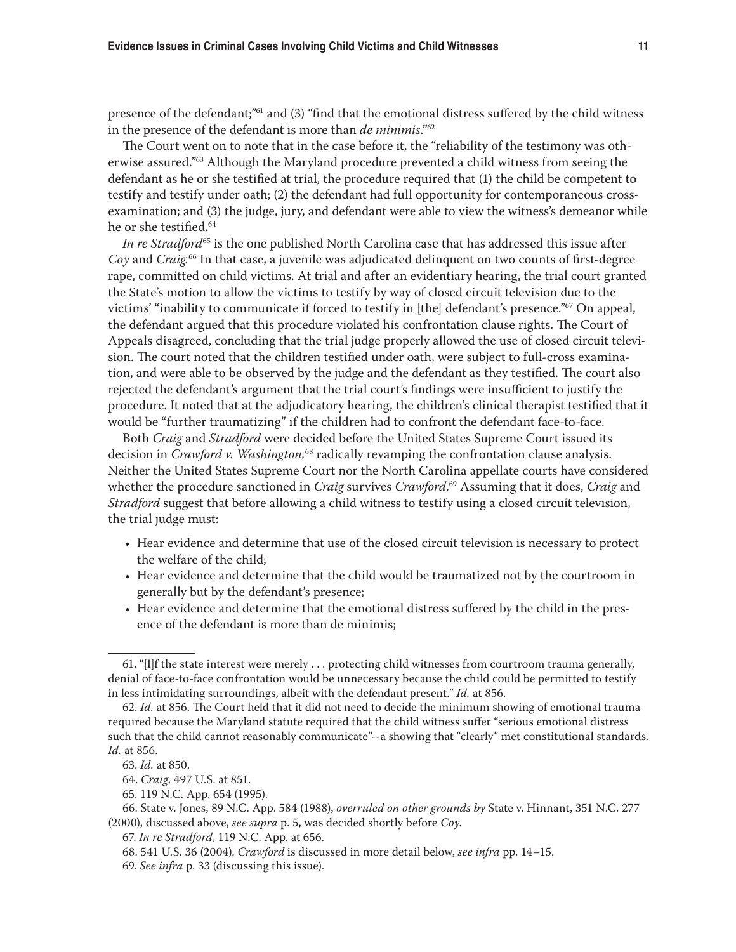presence of the defendant;"61 and (3) "find that the emotional distress suffered by the child witness in the presence of the defendant is more than *de minimis*."62

The Court went on to note that in the case before it, the "reliability of the testimony was otherwise assured."<sup>63</sup> Although the Maryland procedure prevented a child witness from seeing the defendant as he or she testified at trial, the procedure required that (1) the child be competent to testify and testify under oath; (2) the defendant had full opportunity for contemporaneous crossexamination; and (3) the judge, jury, and defendant were able to view the witness's demeanor while he or she testified.<sup>64</sup>

*In re Stradford*<sup>65</sup> is the one published North Carolina case that has addressed this issue after *Coy* and *Craig.*66 In that case, a juvenile was adjudicated delinquent on two counts of first-degree rape, committed on child victims. At trial and after an evidentiary hearing, the trial court granted the State's motion to allow the victims to testify by way of closed circuit television due to the victims' "inability to communicate if forced to testify in [the] defendant's presence."67 On appeal, the defendant argued that this procedure violated his confrontation clause rights. The Court of Appeals disagreed, concluding that the trial judge properly allowed the use of closed circuit television. The court noted that the children testified under oath, were subject to full-cross examination, and were able to be observed by the judge and the defendant as they testified. The court also rejected the defendant's argument that the trial court's findings were insufficient to justify the procedure. It noted that at the adjudicatory hearing, the children's clinical therapist testified that it would be "further traumatizing" if the children had to confront the defendant face-to-face.

Both *Craig* and *Stradford* were decided before the United States Supreme Court issued its decision in *Crawford v. Washington,*<sup>68</sup> radically revamping the confrontation clause analysis. Neither the United States Supreme Court nor the North Carolina appellate courts have considered whether the procedure sanctioned in *Craig* survives *Crawford*. 69 Assuming that it does, *Craig* and *Stradford* suggest that before allowing a child witness to testify using a closed circuit television, the trial judge must:

- • Hear evidence and determine that use of the closed circuit television is necessary to protect the welfare of the child;
- Hear evidence and determine that the child would be traumatized not by the courtroom in generally but by the defendant's presence;
- Hear evidence and determine that the emotional distress suffered by the child in the presence of the defendant is more than de minimis;

65. 119 N.C. App. 654 (1995).

<sup>61. &</sup>quot;[I]f the state interest were merely . . . protecting child witnesses from courtroom trauma generally, denial of face-to-face confrontation would be unnecessary because the child could be permitted to testify in less intimidating surroundings, albeit with the defendant present." *Id.* at 856.

<sup>62.</sup> *Id.* at 856. The Court held that it did not need to decide the minimum showing of emotional trauma required because the Maryland statute required that the child witness suffer "serious emotional distress such that the child cannot reasonably communicate"--a showing that "clearly" met constitutional standards. *Id.* at 856.

<sup>63.</sup> *Id.* at 850.

<sup>64.</sup> *Craig,* 497 U.S. at 851.

<sup>66.</sup> State v. Jones, 89 N.C. App. 584 (1988), *overruled on other grounds by* State v. Hinnant, 351 N.C. 277 (2000), discussed above, *see supra* p. 5, was decided shortly before *Coy.* 

<sup>67.</sup> *In re Stradford*, 119 N.C. App. at 656.

<sup>68. 541</sup> U.S. 36 (2004). *Crawford* is discussed in more detail below, *see infra* pp. 14–15.

<sup>69.</sup> *See infra* p. 33 (discussing this issue).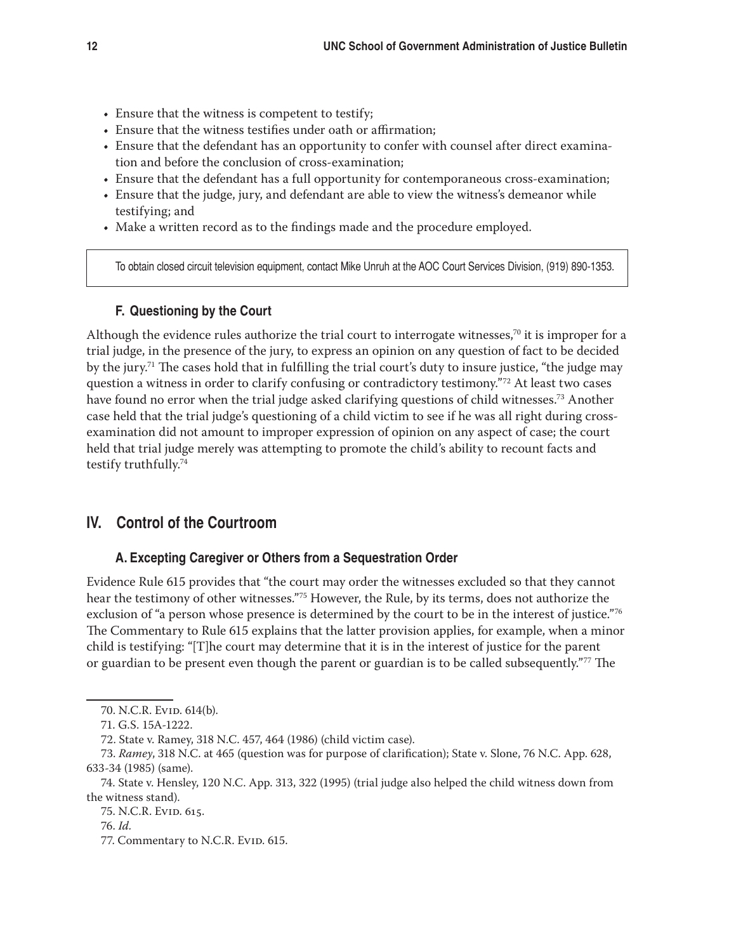- Ensure that the witness is competent to testify;
- Ensure that the witness testifies under oath or affirmation;
- Ensure that the defendant has an opportunity to confer with counsel after direct examination and before the conclusion of cross-examination;
- • Ensure that the defendant has a full opportunity for contemporaneous cross-examination;
- • Ensure that the judge, jury, and defendant are able to view the witness's demeanor while testifying; and
- Make a written record as to the findings made and the procedure employed.

To obtain closed circuit television equipment, contact Mike Unruh at the AOC Court Services Division, (919) 890-1353.

#### **F. Questioning by the Court**

Although the evidence rules authorize the trial court to interrogate witnesses,<sup>70</sup> it is improper for a trial judge, in the presence of the jury, to express an opinion on any question of fact to be decided by the jury.<sup>71</sup> The cases hold that in fulfilling the trial court's duty to insure justice, "the judge may" question a witness in order to clarify confusing or contradictory testimony."72 At least two cases have found no error when the trial judge asked clarifying questions of child witnesses.<sup>73</sup> Another case held that the trial judge's questioning of a child victim to see if he was all right during crossexamination did not amount to improper expression of opinion on any aspect of case; the court held that trial judge merely was attempting to promote the child's ability to recount facts and testify truthfully.74

# **IV. Control of the Courtroom**

#### **A. Excepting Caregiver or Others from a Sequestration Order**

Evidence Rule 615 provides that "the court may order the witnesses excluded so that they cannot hear the testimony of other witnesses."75 However, the Rule, by its terms, does not authorize the exclusion of "a person whose presence is determined by the court to be in the interest of justice."<sup>76</sup> The Commentary to Rule 615 explains that the latter provision applies, for example, when a minor child is testifying: "[T]he court may determine that it is in the interest of justice for the parent or guardian to be present even though the parent or guardian is to be called subsequently."77 The

<sup>70.</sup> N.C.R. Evid. 614(b).

<sup>71.</sup> G.S. 15A-1222.

<sup>72.</sup> State v. Ramey, 318 N.C. 457, 464 (1986) (child victim case).

<sup>73.</sup> *Ramey*, 318 N.C. at 465 (question was for purpose of clarification); State v. Slone, 76 N.C. App. 628, 633-34 (1985) (same).

<sup>74.</sup> State v. Hensley, 120 N.C. App. 313, 322 (1995) (trial judge also helped the child witness down from the witness stand).

<sup>75.</sup> N.C.R. Evid. 615.

<sup>76.</sup> *Id.*

<sup>77.</sup> Commentary to N.C.R. Evid. 615.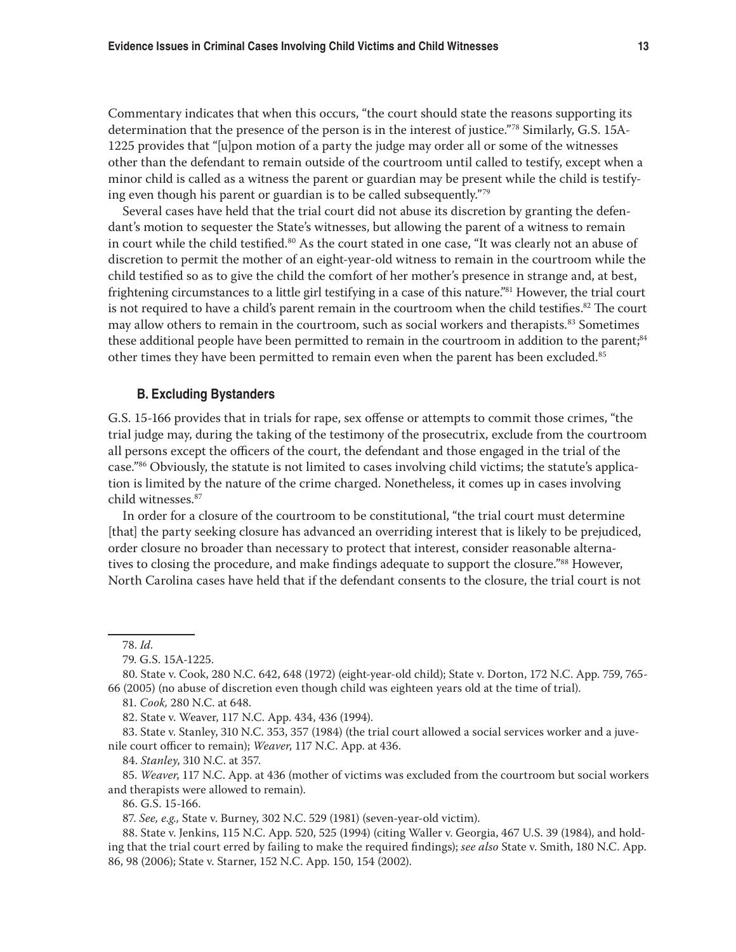Commentary indicates that when this occurs, "the court should state the reasons supporting its determination that the presence of the person is in the interest of justice."78 Similarly, G.S. 15A-1225 provides that "[u]pon motion of a party the judge may order all or some of the witnesses other than the defendant to remain outside of the courtroom until called to testify, except when a minor child is called as a witness the parent or guardian may be present while the child is testifying even though his parent or guardian is to be called subsequently."79

Several cases have held that the trial court did not abuse its discretion by granting the defendant's motion to sequester the State's witnesses, but allowing the parent of a witness to remain in court while the child testified.<sup>80</sup> As the court stated in one case, "It was clearly not an abuse of discretion to permit the mother of an eight-year-old witness to remain in the courtroom while the child testified so as to give the child the comfort of her mother's presence in strange and, at best, frightening circumstances to a little girl testifying in a case of this nature."81 However, the trial court is not required to have a child's parent remain in the courtroom when the child testifies. $82$  The court may allow others to remain in the courtroom, such as social workers and therapists.<sup>83</sup> Sometimes these additional people have been permitted to remain in the courtroom in addition to the parent;<sup>84</sup> other times they have been permitted to remain even when the parent has been excluded.<sup>85</sup>

#### **B. Excluding Bystanders**

G.S. 15-166 provides that in trials for rape, sex offense or attempts to commit those crimes, "the trial judge may, during the taking of the testimony of the prosecutrix, exclude from the courtroom all persons except the officers of the court, the defendant and those engaged in the trial of the case."86 Obviously, the statute is not limited to cases involving child victims; the statute's application is limited by the nature of the crime charged. Nonetheless, it comes up in cases involving child witnesses.87

In order for a closure of the courtroom to be constitutional, "the trial court must determine [that] the party seeking closure has advanced an overriding interest that is likely to be prejudiced, order closure no broader than necessary to protect that interest, consider reasonable alternatives to closing the procedure, and make findings adequate to support the closure."<sup>88</sup> However, North Carolina cases have held that if the defendant consents to the closure, the trial court is not

85. *Weaver*, 117 N.C. App. at 436 (mother of victims was excluded from the courtroom but social workers and therapists were allowed to remain).

86. G.S. 15-166.

87. *See, e.g.,* State v. Burney, 302 N.C. 529 (1981) (seven-year-old victim).

88. State v. Jenkins, 115 N.C. App. 520, 525 (1994) (citing Waller v. Georgia, 467 U.S. 39 (1984), and holding that the trial court erred by failing to make the required findings); *see also* State v. Smith, 180 N.C. App. 86, 98 (2006); State v. Starner, 152 N.C. App. 150, 154 (2002).

<sup>78.</sup> *Id.*

<sup>79.</sup> G.S. 15A-1225.

<sup>80.</sup> State v. Cook, 280 N.C. 642, 648 (1972) (eight-year-old child); State v. Dorton, 172 N.C. App. 759, 765- 66 (2005) (no abuse of discretion even though child was eighteen years old at the time of trial).

<sup>81.</sup> *Cook,* 280 N.C. at 648.

<sup>82.</sup> State v. Weaver, 117 N.C. App. 434, 436 (1994).

<sup>83.</sup> State v. Stanley, 310 N.C. 353, 357 (1984) (the trial court allowed a social services worker and a juvenile court officer to remain); *Weaver*, 117 N.C. App. at 436.

<sup>84.</sup> *Stanley*, 310 N.C. at 357.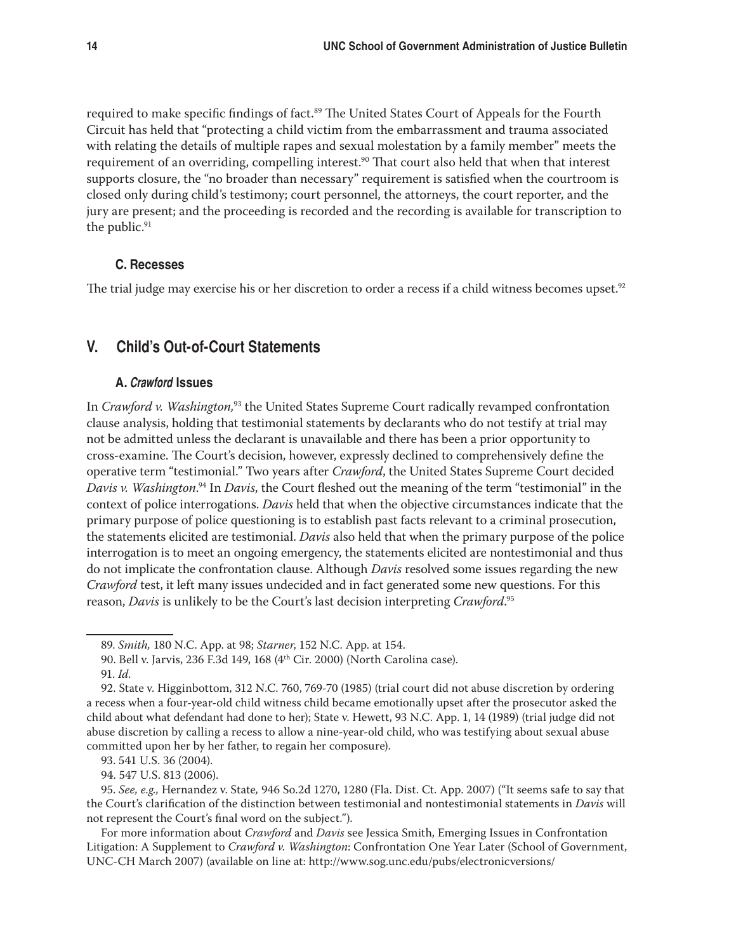required to make specific findings of fact.<sup>89</sup> The United States Court of Appeals for the Fourth Circuit has held that "protecting a child victim from the embarrassment and trauma associated with relating the details of multiple rapes and sexual molestation by a family member" meets the requirement of an overriding, compelling interest.<sup>90</sup> That court also held that when that interest supports closure, the "no broader than necessary" requirement is satisfied when the courtroom is closed only during child's testimony; court personnel, the attorneys, the court reporter, and the jury are present; and the proceeding is recorded and the recording is available for transcription to the public.<sup>91</sup>

### **C. Recesses**

The trial judge may exercise his or her discretion to order a recess if a child witness becomes upset.<sup>92</sup>

# **V. Child's Out-of-Court Statements**

## **A.** Crawford **Issues**

In *Crawford v. Washington,*<sup>93</sup> the United States Supreme Court radically revamped confrontation clause analysis, holding that testimonial statements by declarants who do not testify at trial may not be admitted unless the declarant is unavailable and there has been a prior opportunity to cross-examine. The Court's decision, however, expressly declined to comprehensively define the operative term "testimonial." Two years after *Crawford*, the United States Supreme Court decided *Davis v. Washington*. 94 In *Davis*, the Court fleshed out the meaning of the term "testimonial" in the context of police interrogations. *Davis* held that when the objective circumstances indicate that the primary purpose of police questioning is to establish past facts relevant to a criminal prosecution, the statements elicited are testimonial. *Davis* also held that when the primary purpose of the police interrogation is to meet an ongoing emergency, the statements elicited are nontestimonial and thus do not implicate the confrontation clause. Although *Davis* resolved some issues regarding the new *Crawford* test, it left many issues undecided and in fact generated some new questions. For this reason, *Davis* is unlikely to be the Court's last decision interpreting *Crawford*. 95

94. 547 U.S. 813 (2006).

95. *See, e.g.,* Hernandez v. State*,* 946 So.2d 1270, 1280 (Fla. Dist. Ct. App. 2007) ("It seems safe to say that the Court's clarification of the distinction between testimonial and nontestimonial statements in *Davis* will not represent the Court's final word on the subject.").

For more information about *Crawford* and *Davis* see Jessica Smith, Emerging Issues in Confrontation Litigation: A Supplement to *Crawford v. Washington*: Confrontation One Year Later (School of Government, UNC-CH March 2007) (available on line at: http://www.sog.unc.edu/pubs/electronicversions/

<sup>89.</sup> *Smith,* 180 N.C. App. at 98; *Starner*, 152 N.C. App. at 154.

<sup>90.</sup> Bell v. Jarvis, 236 F.3d 149, 168 (4th Cir. 2000) (North Carolina case).

<sup>91.</sup> *Id.*

<sup>92.</sup> State v. Higginbottom, 312 N.C. 760, 769-70 (1985) (trial court did not abuse discretion by ordering a recess when a four-year-old child witness child became emotionally upset after the prosecutor asked the child about what defendant had done to her); State v. Hewett, 93 N.C. App. 1, 14 (1989) (trial judge did not abuse discretion by calling a recess to allow a nine-year-old child, who was testifying about sexual abuse committed upon her by her father, to regain her composure).

<sup>93. 541</sup> U.S. 36 (2004).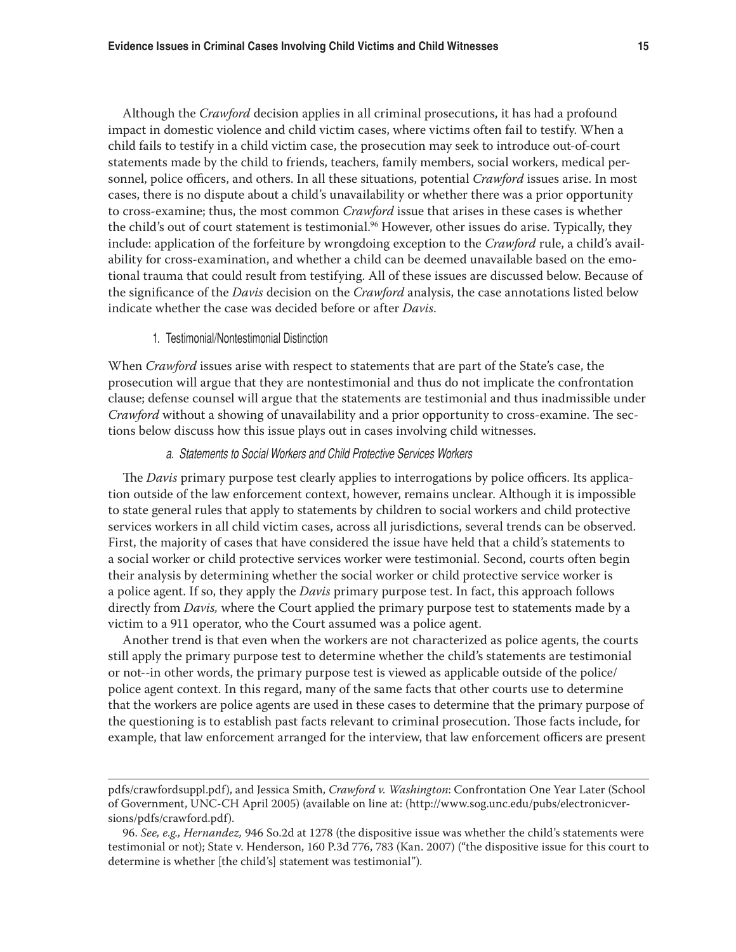Although the *Crawford* decision applies in all criminal prosecutions, it has had a profound impact in domestic violence and child victim cases, where victims often fail to testify. When a child fails to testify in a child victim case, the prosecution may seek to introduce out-of-court statements made by the child to friends, teachers, family members, social workers, medical personnel, police officers, and others. In all these situations, potential *Crawford* issues arise. In most cases, there is no dispute about a child's unavailability or whether there was a prior opportunity to cross-examine; thus, the most common *Crawford* issue that arises in these cases is whether the child's out of court statement is testimonial.<sup>96</sup> However, other issues do arise. Typically, they include: application of the forfeiture by wrongdoing exception to the *Crawford* rule, a child's availability for cross-examination, and whether a child can be deemed unavailable based on the emotional trauma that could result from testifying. All of these issues are discussed below. Because of the significance of the *Davis* decision on the *Crawford* analysis, the case annotations listed below indicate whether the case was decided before or after *Davis*.

#### 1. Testimonial/Nontestimonial Distinction

When *Crawford* issues arise with respect to statements that are part of the State's case, the prosecution will argue that they are nontestimonial and thus do not implicate the confrontation clause; defense counsel will argue that the statements are testimonial and thus inadmissible under *Crawford* without a showing of unavailability and a prior opportunity to cross-examine. The sections below discuss how this issue plays out in cases involving child witnesses.

#### a. Statements to Social Workers and Child Protective Services Workers

The *Davis* primary purpose test clearly applies to interrogations by police officers. Its application outside of the law enforcement context, however, remains unclear. Although it is impossible to state general rules that apply to statements by children to social workers and child protective services workers in all child victim cases, across all jurisdictions, several trends can be observed. First, the majority of cases that have considered the issue have held that a child's statements to a social worker or child protective services worker were testimonial. Second, courts often begin their analysis by determining whether the social worker or child protective service worker is a police agent. If so, they apply the *Davis* primary purpose test. In fact, this approach follows directly from *Davis,* where the Court applied the primary purpose test to statements made by a victim to a 911 operator, who the Court assumed was a police agent.

Another trend is that even when the workers are not characterized as police agents, the courts still apply the primary purpose test to determine whether the child's statements are testimonial or not--in other words, the primary purpose test is viewed as applicable outside of the police/ police agent context. In this regard, many of the same facts that other courts use to determine that the workers are police agents are used in these cases to determine that the primary purpose of the questioning is to establish past facts relevant to criminal prosecution. Those facts include, for example, that law enforcement arranged for the interview, that law enforcement officers are present

pdfs/crawfordsuppl.pdf), and Jessica Smith, *Crawford v. Washington*: Confrontation One Year Later (School of Government, UNC-CH April 2005) (available on line at: (http://www.sog.unc.edu/pubs/electronicversions/pdfs/crawford.pdf).

<sup>96.</sup> *See, e.g., Hernandez,* 946 So.2d at 1278 (the dispositive issue was whether the child's statements were testimonial or not); State v. Henderson, 160 P.3d 776, 783 (Kan. 2007) ("the dispositive issue for this court to determine is whether [the child's] statement was testimonial").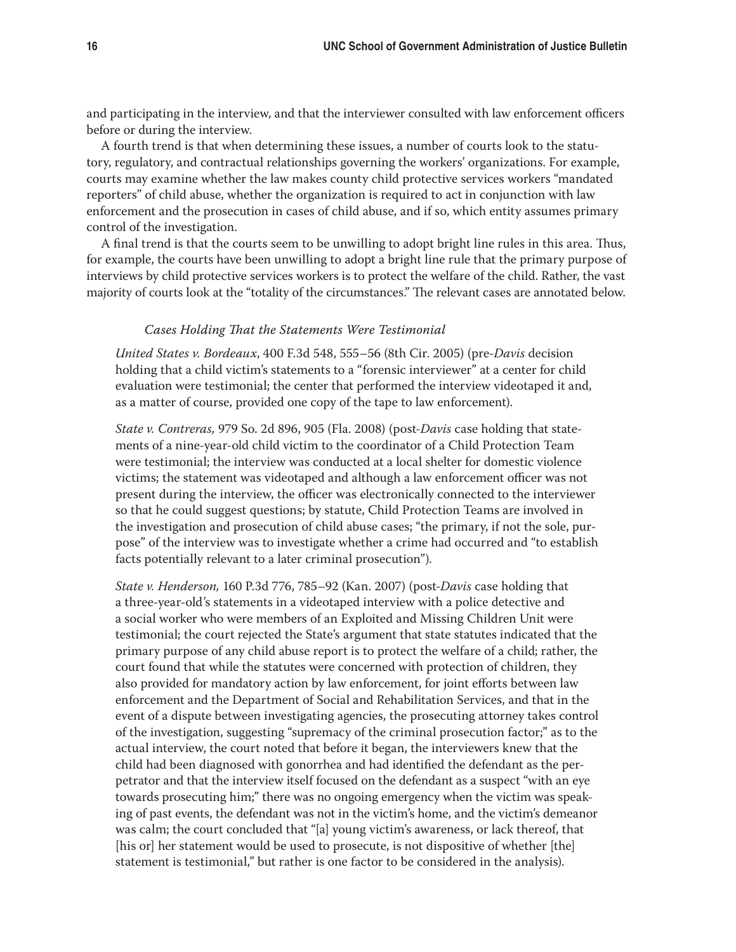and participating in the interview, and that the interviewer consulted with law enforcement officers before or during the interview.

A fourth trend is that when determining these issues, a number of courts look to the statutory, regulatory, and contractual relationships governing the workers' organizations. For example, courts may examine whether the law makes county child protective services workers "mandated reporters" of child abuse, whether the organization is required to act in conjunction with law enforcement and the prosecution in cases of child abuse, and if so, which entity assumes primary control of the investigation.

A final trend is that the courts seem to be unwilling to adopt bright line rules in this area. Thus, for example, the courts have been unwilling to adopt a bright line rule that the primary purpose of interviews by child protective services workers is to protect the welfare of the child. Rather, the vast majority of courts look at the "totality of the circumstances." The relevant cases are annotated below.

#### *Cases Holding That the Statements Were Testimonial*

*United States v. Bordeaux*, 400 F.3d 548, 555–56 (8th Cir. 2005) (pre-*Davis* decision holding that a child victim's statements to a "forensic interviewer" at a center for child evaluation were testimonial; the center that performed the interview videotaped it and, as a matter of course, provided one copy of the tape to law enforcement).

*State v. Contreras,* 979 So. 2d 896, 905 (Fla. 2008) (post-*Davis* case holding that statements of a nine-year-old child victim to the coordinator of a Child Protection Team were testimonial; the interview was conducted at a local shelter for domestic violence victims; the statement was videotaped and although a law enforcement officer was not present during the interview, the officer was electronically connected to the interviewer so that he could suggest questions; by statute, Child Protection Teams are involved in the investigation and prosecution of child abuse cases; "the primary, if not the sole, purpose" of the interview was to investigate whether a crime had occurred and "to establish facts potentially relevant to a later criminal prosecution").

*State v. Henderson,* 160 P.3d 776, 785–92 (Kan. 2007) (post-*Davis* case holding that a three-year-old's statements in a videotaped interview with a police detective and a social worker who were members of an Exploited and Missing Children Unit were testimonial; the court rejected the State's argument that state statutes indicated that the primary purpose of any child abuse report is to protect the welfare of a child; rather, the court found that while the statutes were concerned with protection of children, they also provided for mandatory action by law enforcement, for joint efforts between law enforcement and the Department of Social and Rehabilitation Services, and that in the event of a dispute between investigating agencies, the prosecuting attorney takes control of the investigation, suggesting "supremacy of the criminal prosecution factor;" as to the actual interview, the court noted that before it began, the interviewers knew that the child had been diagnosed with gonorrhea and had identified the defendant as the perpetrator and that the interview itself focused on the defendant as a suspect "with an eye towards prosecuting him;" there was no ongoing emergency when the victim was speaking of past events, the defendant was not in the victim's home, and the victim's demeanor was calm; the court concluded that "[a] young victim's awareness, or lack thereof, that [his or] her statement would be used to prosecute, is not dispositive of whether [the] statement is testimonial," but rather is one factor to be considered in the analysis).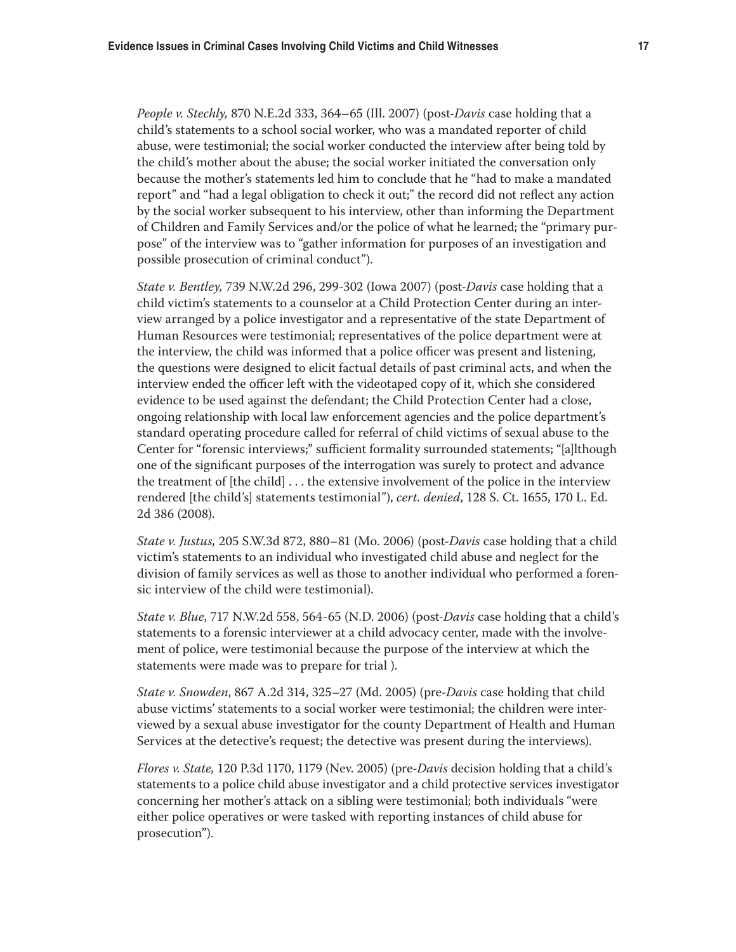*People v. Stechly,* 870 N.E.2d 333, 364–65 (Ill. 2007) (post-*Davis* case holding that a child's statements to a school social worker, who was a mandated reporter of child abuse, were testimonial; the social worker conducted the interview after being told by the child's mother about the abuse; the social worker initiated the conversation only because the mother's statements led him to conclude that he "had to make a mandated report" and "had a legal obligation to check it out;" the record did not reflect any action by the social worker subsequent to his interview, other than informing the Department of Children and Family Services and/or the police of what he learned; the "primary purpose" of the interview was to "gather information for purposes of an investigation and possible prosecution of criminal conduct").

*State v. Bentley,* 739 N.W.2d 296, 299-302 (Iowa 2007) (post-*Davis* case holding that a child victim's statements to a counselor at a Child Protection Center during an interview arranged by a police investigator and a representative of the state Department of Human Resources were testimonial; representatives of the police department were at the interview, the child was informed that a police officer was present and listening, the questions were designed to elicit factual details of past criminal acts, and when the interview ended the officer left with the videotaped copy of it, which she considered evidence to be used against the defendant; the Child Protection Center had a close, ongoing relationship with local law enforcement agencies and the police department's standard operating procedure called for referral of child victims of sexual abuse to the Center for "forensic interviews;" sufficient formality surrounded statements; "[a]lthough one of the significant purposes of the interrogation was surely to protect and advance the treatment of [the child] . . . the extensive involvement of the police in the interview rendered [the child's] statements testimonial"), *cert. denied*, 128 S. Ct. 1655, 170 L. Ed. 2d 386 (2008).

*State v. Justus,* 205 S.W.3d 872, 880–81 (Mo. 2006) (post-*Davis* case holding that a child victim's statements to an individual who investigated child abuse and neglect for the division of family services as well as those to another individual who performed a forensic interview of the child were testimonial).

*State v. Blue*, 717 N.W.2d 558, 564-65 (N.D. 2006) (post-*Davis* case holding that a child's statements to a forensic interviewer at a child advocacy center, made with the involvement of police, were testimonial because the purpose of the interview at which the statements were made was to prepare for trial ).

*State v. Snowden*, 867 A.2d 314, 325–27 (Md. 2005) (pre-*Davis* case holding that child abuse victims' statements to a social worker were testimonial; the children were interviewed by a sexual abuse investigator for the county Department of Health and Human Services at the detective's request; the detective was present during the interviews).

*Flores v. State,* 120 P.3d 1170, 1179 (Nev. 2005) (pre-*Davis* decision holding that a child's statements to a police child abuse investigator and a child protective services investigator concerning her mother's attack on a sibling were testimonial; both individuals "were either police operatives or were tasked with reporting instances of child abuse for prosecution").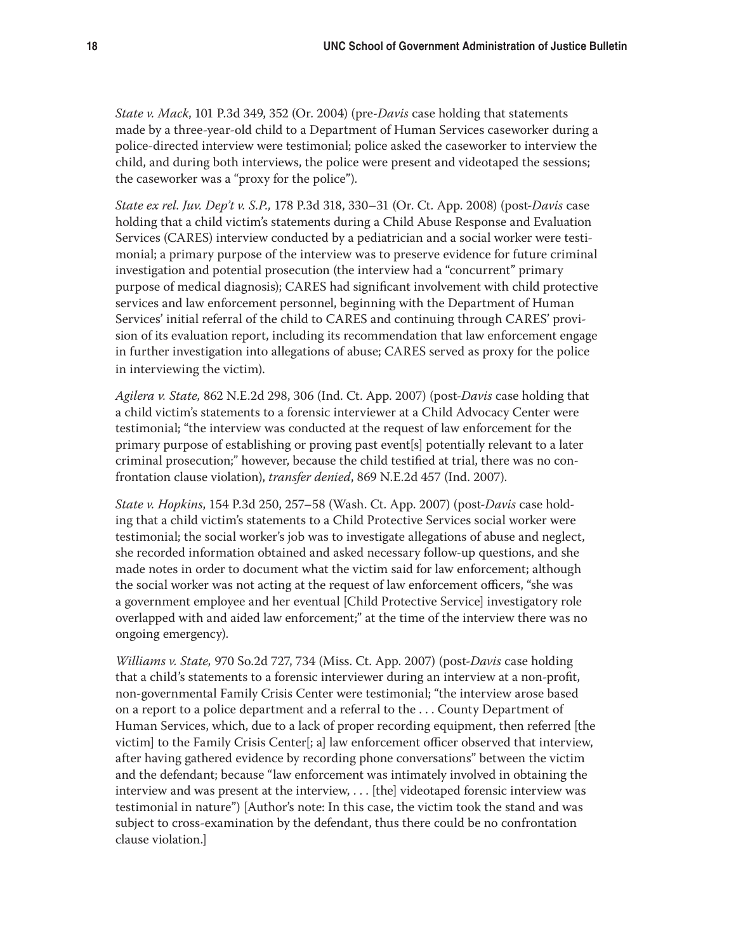*State v. Mack*, 101 P.3d 349, 352 (Or. 2004) (pre-*Davis* case holding that statements made by a three-year-old child to a Department of Human Services caseworker during a police-directed interview were testimonial; police asked the caseworker to interview the child, and during both interviews, the police were present and videotaped the sessions; the caseworker was a "proxy for the police").

*State ex rel. Juv. Dep't v. S.P.,* 178 P.3d 318, 330–31 (Or. Ct. App. 2008) (post-*Davis* case holding that a child victim's statements during a Child Abuse Response and Evaluation Services (CARES) interview conducted by a pediatrician and a social worker were testimonial; a primary purpose of the interview was to preserve evidence for future criminal investigation and potential prosecution (the interview had a "concurrent" primary purpose of medical diagnosis); CARES had significant involvement with child protective services and law enforcement personnel, beginning with the Department of Human Services' initial referral of the child to CARES and continuing through CARES' provision of its evaluation report, including its recommendation that law enforcement engage in further investigation into allegations of abuse; CARES served as proxy for the police in interviewing the victim).

*Agilera v. State,* 862 N.E.2d 298, 306 (Ind. Ct. App. 2007) (post-*Davis* case holding that a child victim's statements to a forensic interviewer at a Child Advocacy Center were testimonial; "the interview was conducted at the request of law enforcement for the primary purpose of establishing or proving past event[s] potentially relevant to a later criminal prosecution;" however, because the child testified at trial, there was no confrontation clause violation), *transfer denied*, 869 N.E.2d 457 (Ind. 2007).

*State v. Hopkins*, 154 P.3d 250, 257–58 (Wash. Ct. App. 2007) (post-*Davis* case holding that a child victim's statements to a Child Protective Services social worker were testimonial; the social worker's job was to investigate allegations of abuse and neglect, she recorded information obtained and asked necessary follow-up questions, and she made notes in order to document what the victim said for law enforcement; although the social worker was not acting at the request of law enforcement officers, "she was a government employee and her eventual [Child Protective Service] investigatory role overlapped with and aided law enforcement;" at the time of the interview there was no ongoing emergency).

*Williams v. State,* 970 So.2d 727, 734 (Miss. Ct. App. 2007) (post-*Davis* case holding that a child's statements to a forensic interviewer during an interview at a non-profit, non-governmental Family Crisis Center were testimonial; "the interview arose based on a report to a police department and a referral to the . . . County Department of Human Services, which, due to a lack of proper recording equipment, then referred [the victim] to the Family Crisis Center[; a] law enforcement officer observed that interview, after having gathered evidence by recording phone conversations" between the victim and the defendant; because "law enforcement was intimately involved in obtaining the interview and was present at the interview, . . . [the] videotaped forensic interview was testimonial in nature") [Author's note: In this case, the victim took the stand and was subject to cross-examination by the defendant, thus there could be no confrontation clause violation.]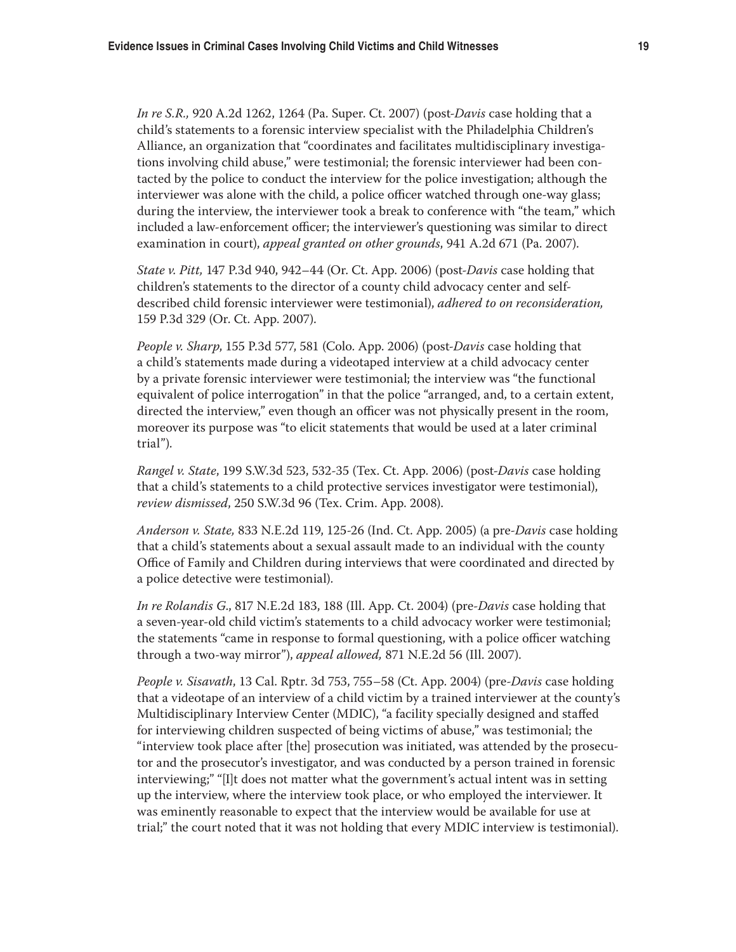*In re S.R.,* 920 A.2d 1262, 1264 (Pa. Super. Ct. 2007) (post-*Davis* case holding that a child's statements to a forensic interview specialist with the Philadelphia Children's Alliance, an organization that "coordinates and facilitates multidisciplinary investigations involving child abuse," were testimonial; the forensic interviewer had been contacted by the police to conduct the interview for the police investigation; although the interviewer was alone with the child, a police officer watched through one-way glass; during the interview, the interviewer took a break to conference with "the team," which included a law-enforcement officer; the interviewer's questioning was similar to direct examination in court), *appeal granted on other grounds*, 941 A.2d 671 (Pa. 2007).

*State v. Pitt,* 147 P.3d 940, 942–44 (Or. Ct. App. 2006) (post-*Davis* case holding that children's statements to the director of a county child advocacy center and selfdescribed child forensic interviewer were testimonial), *adhered to on reconsideration,*  159 P.3d 329 (Or. Ct. App. 2007).

*People v. Sharp*, 155 P.3d 577, 581 (Colo. App. 2006) (post-*Davis* case holding that a child's statements made during a videotaped interview at a child advocacy center by a private forensic interviewer were testimonial; the interview was "the functional equivalent of police interrogation" in that the police "arranged, and, to a certain extent, directed the interview," even though an officer was not physically present in the room, moreover its purpose was "to elicit statements that would be used at a later criminal trial").

*Rangel v. State*, 199 S.W.3d 523, 532-35 (Tex. Ct. App. 2006) (post-*Davis* case holding that a child's statements to a child protective services investigator were testimonial), *review dismissed*, 250 S.W.3d 96 (Tex. Crim. App. 2008).

*Anderson v. State,* 833 N.E.2d 119, 125-26 (Ind. Ct. App. 2005) (a pre-*Davis* case holding that a child's statements about a sexual assault made to an individual with the county Office of Family and Children during interviews that were coordinated and directed by a police detective were testimonial).

*In re Rolandis G*., 817 N.E.2d 183, 188 (Ill. App. Ct. 2004) (pre-*Davis* case holding that a seven-year-old child victim's statements to a child advocacy worker were testimonial; the statements "came in response to formal questioning, with a police officer watching through a two-way mirror"), *appeal allowed,* 871 N.E.2d 56 (Ill. 2007).

*People v. Sisavath*, 13 Cal. Rptr. 3d 753, 755–58 (Ct. App. 2004) (pre-*Davis* case holding that a videotape of an interview of a child victim by a trained interviewer at the county's Multidisciplinary Interview Center (MDIC), "a facility specially designed and staffed for interviewing children suspected of being victims of abuse," was testimonial; the "interview took place after [the] prosecution was initiated, was attended by the prosecutor and the prosecutor's investigator, and was conducted by a person trained in forensic interviewing;" "[I]t does not matter what the government's actual intent was in setting up the interview, where the interview took place, or who employed the interviewer. It was eminently reasonable to expect that the interview would be available for use at trial;" the court noted that it was not holding that every MDIC interview is testimonial).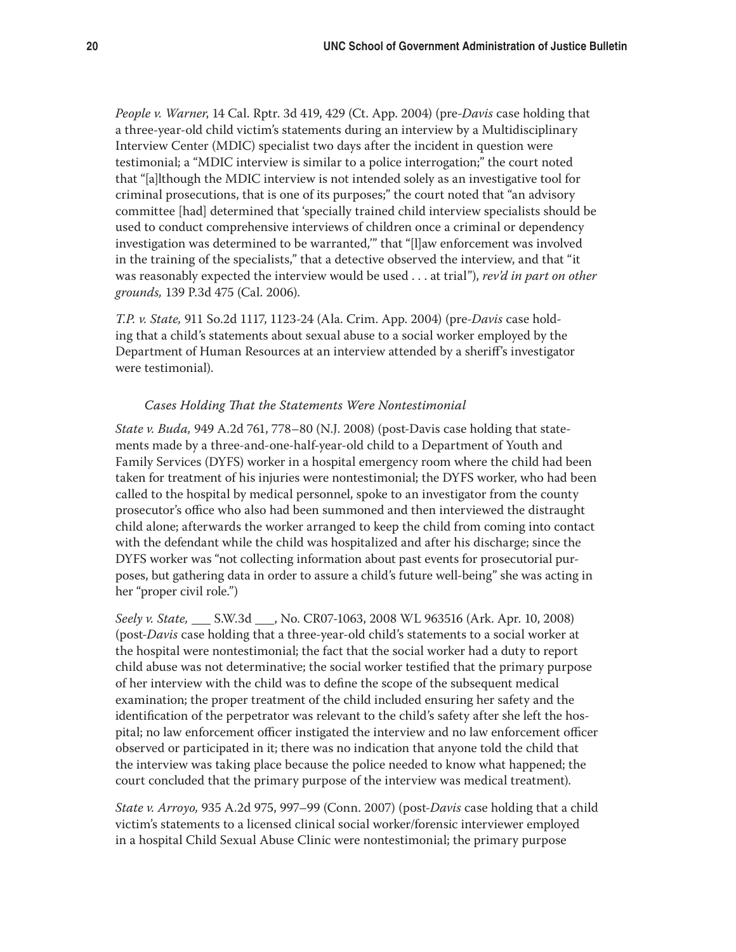*People v. Warner*, 14 Cal. Rptr. 3d 419, 429 (Ct. App. 2004) (pre-*Davis* case holding that a three-year-old child victim's statements during an interview by a Multidisciplinary Interview Center (MDIC) specialist two days after the incident in question were testimonial; a "MDIC interview is similar to a police interrogation;" the court noted that "[a]lthough the MDIC interview is not intended solely as an investigative tool for criminal prosecutions, that is one of its purposes;" the court noted that "an advisory committee [had] determined that 'specially trained child interview specialists should be used to conduct comprehensive interviews of children once a criminal or dependency investigation was determined to be warranted,'" that "[l]aw enforcement was involved in the training of the specialists," that a detective observed the interview, and that "it was reasonably expected the interview would be used . . . at trial"), *rev'd in part on other grounds,* 139 P.3d 475 (Cal. 2006).

*T.P. v. State,* 911 So.2d 1117, 1123-24 (Ala. Crim. App. 2004) (pre-*Davis* case holding that a child's statements about sexual abuse to a social worker employed by the Department of Human Resources at an interview attended by a sheriff's investigator were testimonial).

#### *Cases Holding That the Statements Were Nontestimonial*

*State v. Buda,* 949 A.2d 761, 778–80 (N.J. 2008) (post-Davis case holding that statements made by a three-and-one-half-year-old child to a Department of Youth and Family Services (DYFS) worker in a hospital emergency room where the child had been taken for treatment of his injuries were nontestimonial; the DYFS worker, who had been called to the hospital by medical personnel, spoke to an investigator from the county prosecutor's office who also had been summoned and then interviewed the distraught child alone; afterwards the worker arranged to keep the child from coming into contact with the defendant while the child was hospitalized and after his discharge; since the DYFS worker was "not collecting information about past events for prosecutorial purposes, but gathering data in order to assure a child's future well-being" she was acting in her "proper civil role.")

*Seely v. State,* \_\_\_ S.W.3d \_\_\_, No. CR07-1063, 2008 WL 963516 (Ark. Apr. 10, 2008) (post-*Davis* case holding that a three-year-old child's statements to a social worker at the hospital were nontestimonial; the fact that the social worker had a duty to report child abuse was not determinative; the social worker testified that the primary purpose of her interview with the child was to define the scope of the subsequent medical examination; the proper treatment of the child included ensuring her safety and the identification of the perpetrator was relevant to the child's safety after she left the hospital; no law enforcement officer instigated the interview and no law enforcement officer observed or participated in it; there was no indication that anyone told the child that the interview was taking place because the police needed to know what happened; the court concluded that the primary purpose of the interview was medical treatment).

*State v. Arroyo,* 935 A.2d 975, 997–99 (Conn. 2007) (post-*Davis* case holding that a child victim's statements to a licensed clinical social worker/forensic interviewer employed in a hospital Child Sexual Abuse Clinic were nontestimonial; the primary purpose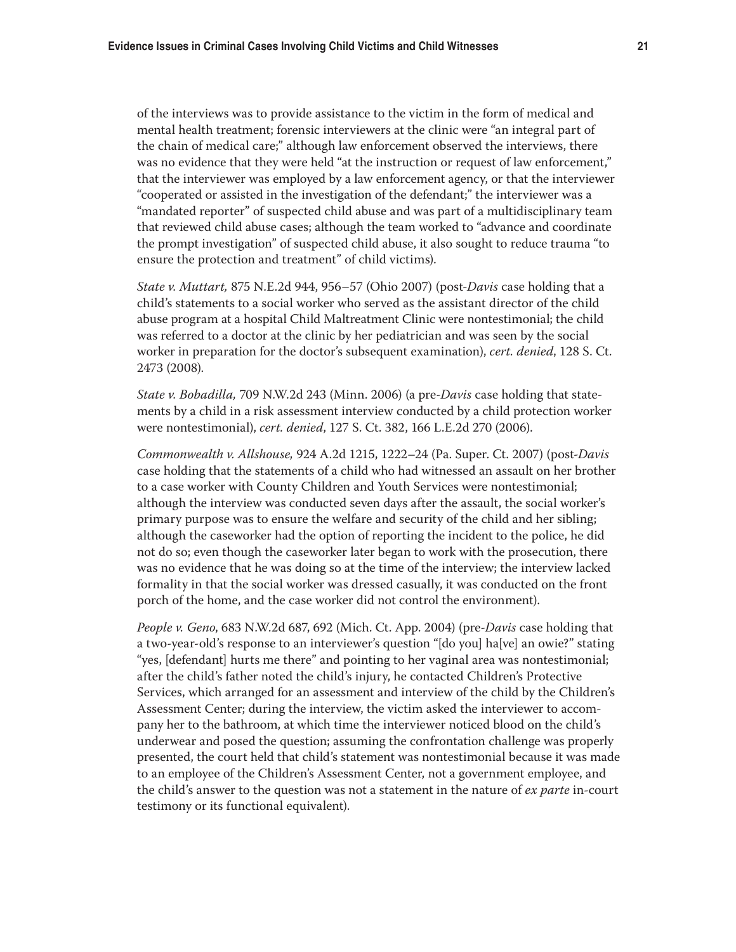of the interviews was to provide assistance to the victim in the form of medical and mental health treatment; forensic interviewers at the clinic were "an integral part of the chain of medical care;" although law enforcement observed the interviews, there was no evidence that they were held "at the instruction or request of law enforcement," that the interviewer was employed by a law enforcement agency, or that the interviewer "cooperated or assisted in the investigation of the defendant;" the interviewer was a "mandated reporter" of suspected child abuse and was part of a multidisciplinary team that reviewed child abuse cases; although the team worked to "advance and coordinate the prompt investigation" of suspected child abuse, it also sought to reduce trauma "to ensure the protection and treatment" of child victims).

*State v. Muttart,* 875 N.E.2d 944, 956–57 (Ohio 2007) (post-*Davis* case holding that a child's statements to a social worker who served as the assistant director of the child abuse program at a hospital Child Maltreatment Clinic were nontestimonial; the child was referred to a doctor at the clinic by her pediatrician and was seen by the social worker in preparation for the doctor's subsequent examination), *cert. denied*, 128 S. Ct. 2473 (2008).

*State v. Bobadilla,* 709 N.W.2d 243 (Minn. 2006) (a pre-*Davis* case holding that statements by a child in a risk assessment interview conducted by a child protection worker were nontestimonial), *cert. denied*, 127 S. Ct. 382, 166 L.E.2d 270 (2006).

*Commonwealth v. Allshouse,* 924 A.2d 1215, 1222–24 (Pa. Super. Ct. 2007) (post-*Davis*  case holding that the statements of a child who had witnessed an assault on her brother to a case worker with County Children and Youth Services were nontestimonial; although the interview was conducted seven days after the assault, the social worker's primary purpose was to ensure the welfare and security of the child and her sibling; although the caseworker had the option of reporting the incident to the police, he did not do so; even though the caseworker later began to work with the prosecution, there was no evidence that he was doing so at the time of the interview; the interview lacked formality in that the social worker was dressed casually, it was conducted on the front porch of the home, and the case worker did not control the environment).

*People v. Geno*, 683 N.W.2d 687, 692 (Mich. Ct. App. 2004) (pre-*Davis* case holding that a two-year-old's response to an interviewer's question "[do you] ha[ve] an owie?" stating "yes, [defendant] hurts me there" and pointing to her vaginal area was nontestimonial; after the child's father noted the child's injury, he contacted Children's Protective Services, which arranged for an assessment and interview of the child by the Children's Assessment Center; during the interview, the victim asked the interviewer to accompany her to the bathroom, at which time the interviewer noticed blood on the child's underwear and posed the question; assuming the confrontation challenge was properly presented, the court held that child's statement was nontestimonial because it was made to an employee of the Children's Assessment Center, not a government employee, and the child's answer to the question was not a statement in the nature of *ex parte* in-court testimony or its functional equivalent).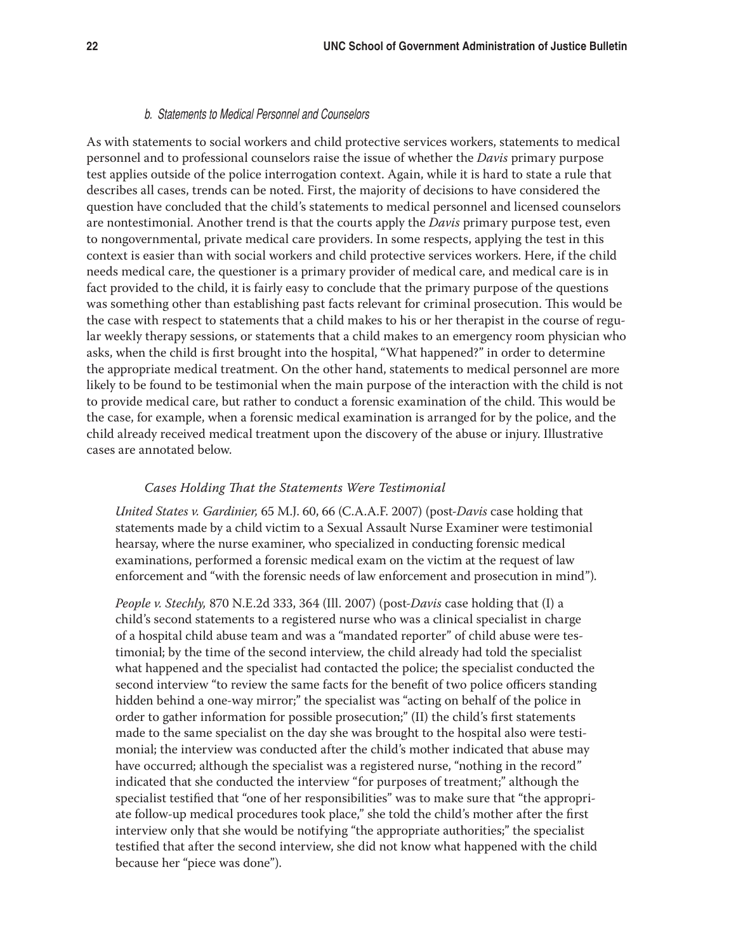#### b. Statements to Medical Personnel and Counselors

As with statements to social workers and child protective services workers, statements to medical personnel and to professional counselors raise the issue of whether the *Davis* primary purpose test applies outside of the police interrogation context. Again, while it is hard to state a rule that describes all cases, trends can be noted. First, the majority of decisions to have considered the question have concluded that the child's statements to medical personnel and licensed counselors are nontestimonial. Another trend is that the courts apply the *Davis* primary purpose test, even to nongovernmental, private medical care providers. In some respects, applying the test in this context is easier than with social workers and child protective services workers. Here, if the child needs medical care, the questioner is a primary provider of medical care, and medical care is in fact provided to the child, it is fairly easy to conclude that the primary purpose of the questions was something other than establishing past facts relevant for criminal prosecution. This would be the case with respect to statements that a child makes to his or her therapist in the course of regular weekly therapy sessions, or statements that a child makes to an emergency room physician who asks, when the child is first brought into the hospital, "What happened?" in order to determine the appropriate medical treatment. On the other hand, statements to medical personnel are more likely to be found to be testimonial when the main purpose of the interaction with the child is not to provide medical care, but rather to conduct a forensic examination of the child. This would be the case, for example, when a forensic medical examination is arranged for by the police, and the child already received medical treatment upon the discovery of the abuse or injury. Illustrative cases are annotated below.

#### *Cases Holding That the Statements Were Testimonial*

*United States v. Gardinier,* 65 M.J. 60, 66 (C.A.A.F. 2007) (post-*Davis* case holding that statements made by a child victim to a Sexual Assault Nurse Examiner were testimonial hearsay, where the nurse examiner, who specialized in conducting forensic medical examinations, performed a forensic medical exam on the victim at the request of law enforcement and "with the forensic needs of law enforcement and prosecution in mind").

*People v. Stechly,* 870 N.E.2d 333, 364 (Ill. 2007) (post-*Davis* case holding that (I) a child's second statements to a registered nurse who was a clinical specialist in charge of a hospital child abuse team and was a "mandated reporter" of child abuse were testimonial; by the time of the second interview, the child already had told the specialist what happened and the specialist had contacted the police; the specialist conducted the second interview "to review the same facts for the benefit of two police officers standing hidden behind a one-way mirror;" the specialist was "acting on behalf of the police in order to gather information for possible prosecution;" (II) the child's first statements made to the same specialist on the day she was brought to the hospital also were testimonial; the interview was conducted after the child's mother indicated that abuse may have occurred; although the specialist was a registered nurse, "nothing in the record" indicated that she conducted the interview "for purposes of treatment;" although the specialist testified that "one of her responsibilities" was to make sure that "the appropriate follow-up medical procedures took place," she told the child's mother after the first interview only that she would be notifying "the appropriate authorities;" the specialist testified that after the second interview, she did not know what happened with the child because her "piece was done").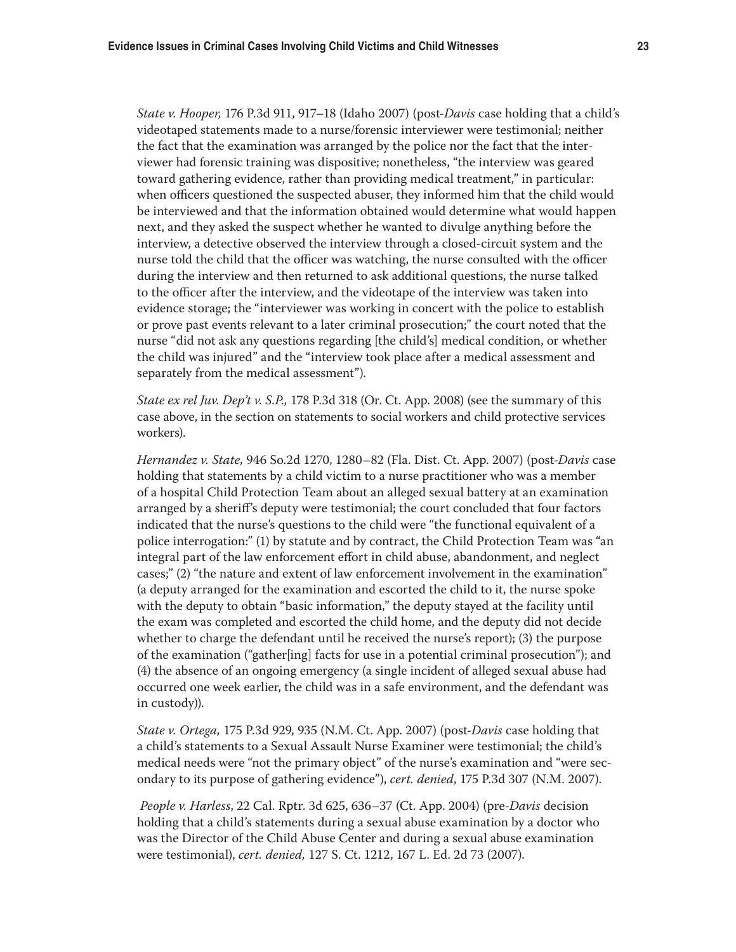*State v. Hooper,* 176 P.3d 911, 917–18 (Idaho 2007) (post-*Davis* case holding that a child's videotaped statements made to a nurse/forensic interviewer were testimonial; neither the fact that the examination was arranged by the police nor the fact that the interviewer had forensic training was dispositive; nonetheless, "the interview was geared toward gathering evidence, rather than providing medical treatment," in particular: when officers questioned the suspected abuser, they informed him that the child would be interviewed and that the information obtained would determine what would happen next, and they asked the suspect whether he wanted to divulge anything before the interview, a detective observed the interview through a closed-circuit system and the nurse told the child that the officer was watching, the nurse consulted with the officer during the interview and then returned to ask additional questions, the nurse talked to the officer after the interview, and the videotape of the interview was taken into evidence storage; the "interviewer was working in concert with the police to establish or prove past events relevant to a later criminal prosecution;" the court noted that the nurse "did not ask any questions regarding [the child's] medical condition, or whether the child was injured" and the "interview took place after a medical assessment and separately from the medical assessment").

*State ex rel Juv. Dep't v. S.P.,* 178 P.3d 318 (Or. Ct. App. 2008) (see the summary of this case above, in the section on statements to social workers and child protective services workers).

*Hernandez v. State,* 946 So.2d 1270, 1280–82 (Fla. Dist. Ct. App. 2007) (post-*Davis* case holding that statements by a child victim to a nurse practitioner who was a member of a hospital Child Protection Team about an alleged sexual battery at an examination arranged by a sheriff's deputy were testimonial; the court concluded that four factors indicated that the nurse's questions to the child were "the functional equivalent of a police interrogation:" (1) by statute and by contract, the Child Protection Team was "an integral part of the law enforcement effort in child abuse, abandonment, and neglect cases;" (2) "the nature and extent of law enforcement involvement in the examination" (a deputy arranged for the examination and escorted the child to it, the nurse spoke with the deputy to obtain "basic information," the deputy stayed at the facility until the exam was completed and escorted the child home, and the deputy did not decide whether to charge the defendant until he received the nurse's report); (3) the purpose of the examination ("gather[ing] facts for use in a potential criminal prosecution"); and (4) the absence of an ongoing emergency (a single incident of alleged sexual abuse had occurred one week earlier, the child was in a safe environment, and the defendant was in custody)).

*State v. Ortega,* 175 P.3d 929, 935 (N.M. Ct. App. 2007) (post-*Davis* case holding that a child's statements to a Sexual Assault Nurse Examiner were testimonial; the child's medical needs were "not the primary object" of the nurse's examination and "were secondary to its purpose of gathering evidence"), *cert. denied*, 175 P.3d 307 (N.M. 2007).

*People v. Harless*, 22 Cal. Rptr. 3d 625, 636–37 (Ct. App. 2004) (pre-*Davis* decision holding that a child's statements during a sexual abuse examination by a doctor who was the Director of the Child Abuse Center and during a sexual abuse examination were testimonial), *cert. denied,* 127 S. Ct. 1212, 167 L. Ed. 2d 73 (2007).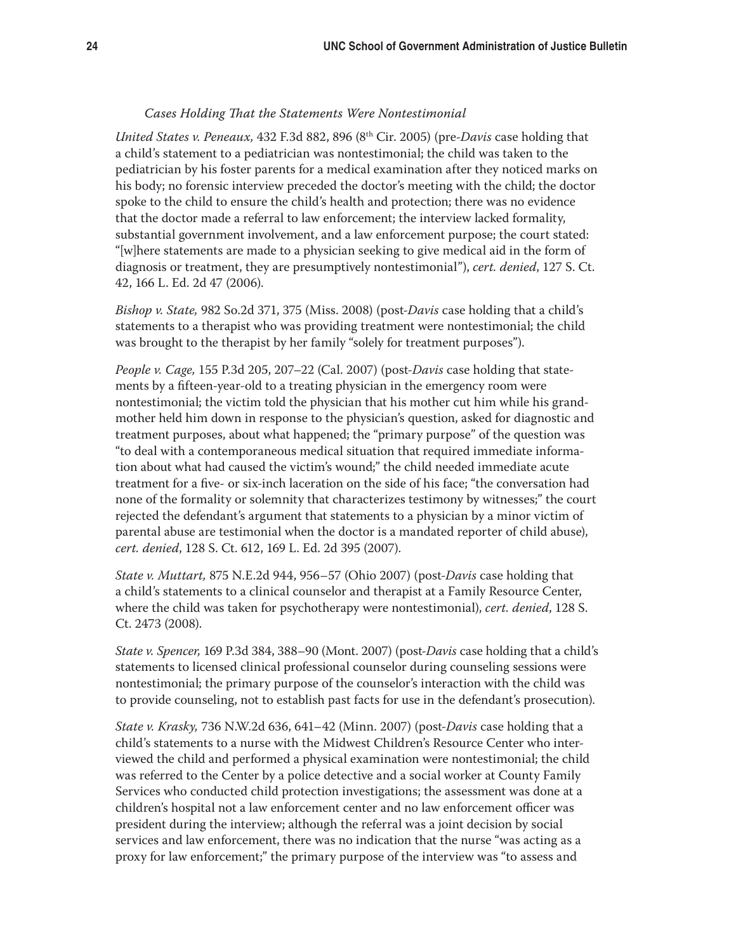#### *Cases Holding That the Statements Were Nontestimonial*

*United States v. Peneaux,* 432 F.3d 882, 896 (8th Cir. 2005) (pre-*Davis* case holding that a child's statement to a pediatrician was nontestimonial; the child was taken to the pediatrician by his foster parents for a medical examination after they noticed marks on his body; no forensic interview preceded the doctor's meeting with the child; the doctor spoke to the child to ensure the child's health and protection; there was no evidence that the doctor made a referral to law enforcement; the interview lacked formality, substantial government involvement, and a law enforcement purpose; the court stated: "[w]here statements are made to a physician seeking to give medical aid in the form of diagnosis or treatment, they are presumptively nontestimonial"), *cert. denied*, 127 S. Ct. 42, 166 L. Ed. 2d 47 (2006).

*Bishop v. State,* 982 So.2d 371, 375 (Miss. 2008) (post-*Davis* case holding that a child's statements to a therapist who was providing treatment were nontestimonial; the child was brought to the therapist by her family "solely for treatment purposes").

*People v. Cage,* 155 P.3d 205, 207–22 (Cal. 2007) (post-*Davis* case holding that statements by a fifteen-year-old to a treating physician in the emergency room were nontestimonial; the victim told the physician that his mother cut him while his grandmother held him down in response to the physician's question, asked for diagnostic and treatment purposes, about what happened; the "primary purpose" of the question was "to deal with a contemporaneous medical situation that required immediate information about what had caused the victim's wound;" the child needed immediate acute treatment for a five- or six-inch laceration on the side of his face; "the conversation had none of the formality or solemnity that characterizes testimony by witnesses;" the court rejected the defendant's argument that statements to a physician by a minor victim of parental abuse are testimonial when the doctor is a mandated reporter of child abuse), *cert. denied*, 128 S. Ct. 612, 169 L. Ed. 2d 395 (2007).

*State v. Muttart,* 875 N.E.2d 944, 956–57 (Ohio 2007) (post-*Davis* case holding that a child's statements to a clinical counselor and therapist at a Family Resource Center, where the child was taken for psychotherapy were nontestimonial), *cert. denied*, 128 S. Ct. 2473 (2008).

*State v. Spencer,* 169 P.3d 384, 388–90 (Mont. 2007) (post-*Davis* case holding that a child's statements to licensed clinical professional counselor during counseling sessions were nontestimonial; the primary purpose of the counselor's interaction with the child was to provide counseling, not to establish past facts for use in the defendant's prosecution).

*State v. Krasky,* 736 N.W.2d 636, 641–42 (Minn. 2007) (post-*Davis* case holding that a child's statements to a nurse with the Midwest Children's Resource Center who interviewed the child and performed a physical examination were nontestimonial; the child was referred to the Center by a police detective and a social worker at County Family Services who conducted child protection investigations; the assessment was done at a children's hospital not a law enforcement center and no law enforcement officer was president during the interview; although the referral was a joint decision by social services and law enforcement, there was no indication that the nurse "was acting as a proxy for law enforcement;" the primary purpose of the interview was "to assess and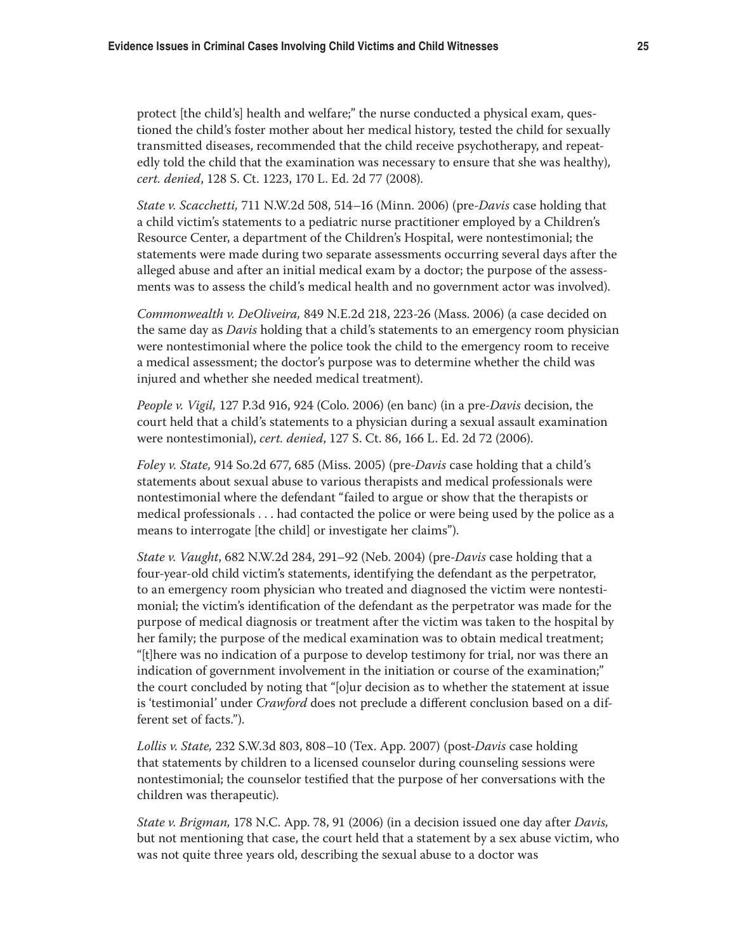protect [the child's] health and welfare;" the nurse conducted a physical exam, questioned the child's foster mother about her medical history, tested the child for sexually transmitted diseases, recommended that the child receive psychotherapy, and repeatedly told the child that the examination was necessary to ensure that she was healthy), *cert. denied*, 128 S. Ct. 1223, 170 L. Ed. 2d 77 (2008).

*State v. Scacchetti,* 711 N.W.2d 508, 514–16 (Minn. 2006) (pre-*Davis* case holding that a child victim's statements to a pediatric nurse practitioner employed by a Children's Resource Center, a department of the Children's Hospital, were nontestimonial; the statements were made during two separate assessments occurring several days after the alleged abuse and after an initial medical exam by a doctor; the purpose of the assessments was to assess the child's medical health and no government actor was involved).

*Commonwealth v. DeOliveira,* 849 N.E.2d 218, 223-26 (Mass. 2006) (a case decided on the same day as *Davis* holding that a child's statements to an emergency room physician were nontestimonial where the police took the child to the emergency room to receive a medical assessment; the doctor's purpose was to determine whether the child was injured and whether she needed medical treatment).

*People v. Vigil,* 127 P.3d 916, 924 (Colo. 2006) (en banc) (in a pre-*Davis* decision, the court held that a child's statements to a physician during a sexual assault examination were nontestimonial), *cert. denied*, 127 S. Ct. 86, 166 L. Ed. 2d 72 (2006).

*Foley v. State,* 914 So.2d 677, 685 (Miss. 2005) (pre-*Davis* case holding that a child's statements about sexual abuse to various therapists and medical professionals were nontestimonial where the defendant "failed to argue or show that the therapists or medical professionals . . . had contacted the police or were being used by the police as a means to interrogate [the child] or investigate her claims").

*State v. Vaught*, 682 N.W.2d 284, 291–92 (Neb. 2004) (pre-*Davis* case holding that a four-year-old child victim's statements, identifying the defendant as the perpetrator, to an emergency room physician who treated and diagnosed the victim were nontestimonial; the victim's identification of the defendant as the perpetrator was made for the purpose of medical diagnosis or treatment after the victim was taken to the hospital by her family; the purpose of the medical examination was to obtain medical treatment; "[t]here was no indication of a purpose to develop testimony for trial, nor was there an indication of government involvement in the initiation or course of the examination;" the court concluded by noting that "[o]ur decision as to whether the statement at issue is 'testimonial' under *Crawford* does not preclude a different conclusion based on a different set of facts.").

*Lollis v. State,* 232 S.W.3d 803, 808–10 (Tex. App. 2007) (post-*Davis* case holding that statements by children to a licensed counselor during counseling sessions were nontestimonial; the counselor testified that the purpose of her conversations with the children was therapeutic).

*State v. Brigman,* 178 N.C. App. 78, 91 (2006) (in a decision issued one day after *Davis,*  but not mentioning that case, the court held that a statement by a sex abuse victim, who was not quite three years old, describing the sexual abuse to a doctor was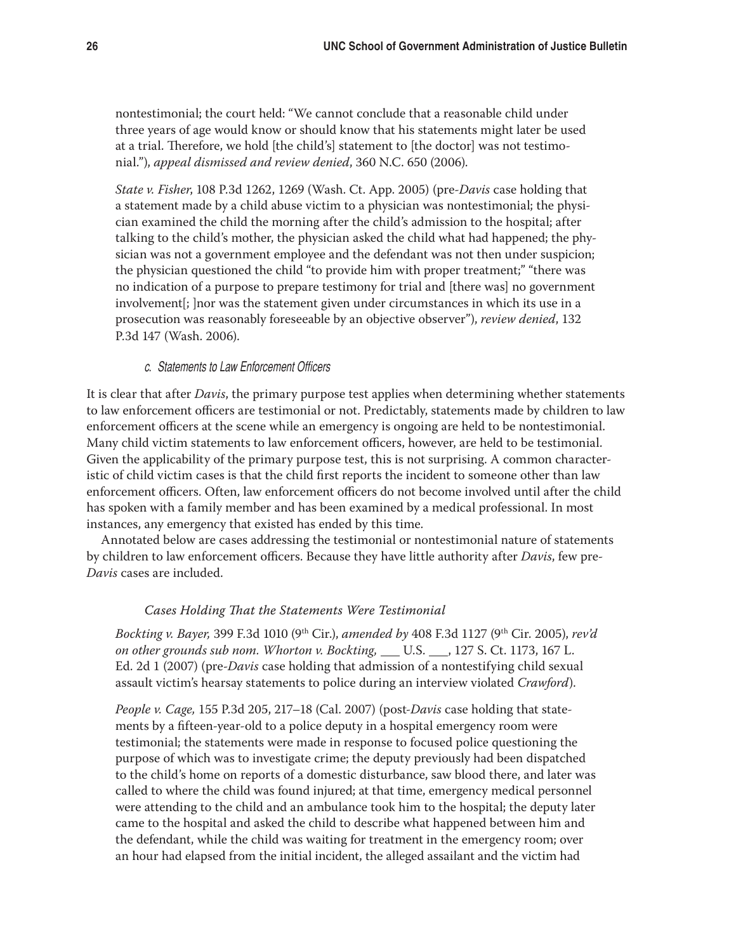nontestimonial; the court held: "We cannot conclude that a reasonable child under three years of age would know or should know that his statements might later be used at a trial. Therefore, we hold [the child's] statement to [the doctor] was not testimonial."), *appeal dismissed and review denied*, 360 N.C. 650 (2006).

*State v. Fisher*, 108 P.3d 1262, 1269 (Wash. Ct. App. 2005) (pre-*Davis* case holding that a statement made by a child abuse victim to a physician was nontestimonial; the physician examined the child the morning after the child's admission to the hospital; after talking to the child's mother, the physician asked the child what had happened; the physician was not a government employee and the defendant was not then under suspicion; the physician questioned the child "to provide him with proper treatment;" "there was no indication of a purpose to prepare testimony for trial and [there was] no government involvement[; ]nor was the statement given under circumstances in which its use in a prosecution was reasonably foreseeable by an objective observer"), *review denied*, 132 P.3d 147 (Wash. 2006).

## c. Statements to Law Enforcement Officers

It is clear that after *Davis*, the primary purpose test applies when determining whether statements to law enforcement officers are testimonial or not. Predictably, statements made by children to law enforcement officers at the scene while an emergency is ongoing are held to be nontestimonial. Many child victim statements to law enforcement officers, however, are held to be testimonial. Given the applicability of the primary purpose test, this is not surprising. A common characteristic of child victim cases is that the child first reports the incident to someone other than law enforcement officers. Often, law enforcement officers do not become involved until after the child has spoken with a family member and has been examined by a medical professional. In most instances, any emergency that existed has ended by this time.

Annotated below are cases addressing the testimonial or nontestimonial nature of statements by children to law enforcement officers. Because they have little authority after *Davis*, few pre-*Davis* cases are included.

#### *Cases Holding That the Statements Were Testimonial*

*Bockting v. Bayer,* 399 F.3d 1010 (9th Cir.), *amended by* 408 F.3d 1127 (9th Cir. 2005), *rev'd on other grounds sub nom. Whorton v. Bockting, \_\_\_ U.S. \_\_\_, 127 S. Ct. 1173, 167 L.* Ed. 2d 1 (2007) (pre-*Davis* case holding that admission of a nontestifying child sexual assault victim's hearsay statements to police during an interview violated *Crawford*).

*People v. Cage,* 155 P.3d 205, 217–18 (Cal. 2007) (post-*Davis* case holding that statements by a fifteen-year-old to a police deputy in a hospital emergency room were testimonial; the statements were made in response to focused police questioning the purpose of which was to investigate crime; the deputy previously had been dispatched to the child's home on reports of a domestic disturbance, saw blood there, and later was called to where the child was found injured; at that time, emergency medical personnel were attending to the child and an ambulance took him to the hospital; the deputy later came to the hospital and asked the child to describe what happened between him and the defendant, while the child was waiting for treatment in the emergency room; over an hour had elapsed from the initial incident, the alleged assailant and the victim had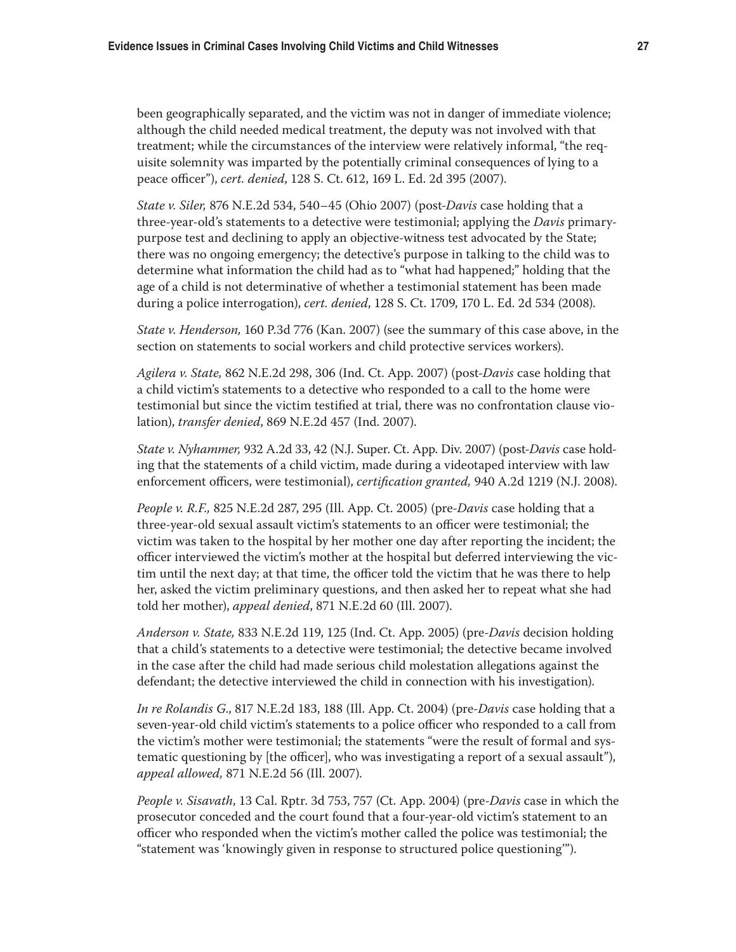been geographically separated, and the victim was not in danger of immediate violence; although the child needed medical treatment, the deputy was not involved with that treatment; while the circumstances of the interview were relatively informal, "the requisite solemnity was imparted by the potentially criminal consequences of lying to a peace officer"), *cert. denied*, 128 S. Ct. 612, 169 L. Ed. 2d 395 (2007).

*State v. Siler,* 876 N.E.2d 534, 540–45 (Ohio 2007) (post-*Davis* case holding that a three-year-old's statements to a detective were testimonial; applying the *Davis* primarypurpose test and declining to apply an objective-witness test advocated by the State; there was no ongoing emergency; the detective's purpose in talking to the child was to determine what information the child had as to "what had happened;" holding that the age of a child is not determinative of whether a testimonial statement has been made during a police interrogation), *cert. denied*, 128 S. Ct. 1709, 170 L. Ed. 2d 534 (2008).

*State v. Henderson,* 160 P.3d 776 (Kan. 2007) (see the summary of this case above, in the section on statements to social workers and child protective services workers).

*Agilera v. State,* 862 N.E.2d 298, 306 (Ind. Ct. App. 2007) (post-*Davis* case holding that a child victim's statements to a detective who responded to a call to the home were testimonial but since the victim testified at trial, there was no confrontation clause violation), *transfer denied*, 869 N.E.2d 457 (Ind. 2007).

*State v. Nyhammer,* 932 A.2d 33, 42 (N.J. Super. Ct. App. Div. 2007) (post-*Davis* case holding that the statements of a child victim, made during a videotaped interview with law enforcement officers, were testimonial), *certification granted,* 940 A.2d 1219 (N.J. 2008).

*People v. R.F.,* 825 N.E.2d 287, 295 (Ill. App. Ct. 2005) (pre-*Davis* case holding that a three-year-old sexual assault victim's statements to an officer were testimonial; the victim was taken to the hospital by her mother one day after reporting the incident; the officer interviewed the victim's mother at the hospital but deferred interviewing the victim until the next day; at that time, the officer told the victim that he was there to help her, asked the victim preliminary questions, and then asked her to repeat what she had told her mother), *appeal denied*, 871 N.E.2d 60 (Ill. 2007).

*Anderson v. State,* 833 N.E.2d 119, 125 (Ind. Ct. App. 2005) (pre-*Davis* decision holding that a child's statements to a detective were testimonial; the detective became involved in the case after the child had made serious child molestation allegations against the defendant; the detective interviewed the child in connection with his investigation).

*In re Rolandis G*., 817 N.E.2d 183, 188 (Ill. App. Ct. 2004) (pre-*Davis* case holding that a seven-year-old child victim's statements to a police officer who responded to a call from the victim's mother were testimonial; the statements "were the result of formal and systematic questioning by [the officer], who was investigating a report of a sexual assault"), *appeal allowed,* 871 N.E.2d 56 (Ill. 2007).

*People v. Sisavath*, 13 Cal. Rptr. 3d 753, 757 (Ct. App. 2004) (pre-*Davis* case in which the prosecutor conceded and the court found that a four-year-old victim's statement to an officer who responded when the victim's mother called the police was testimonial; the "statement was 'knowingly given in response to structured police questioning'").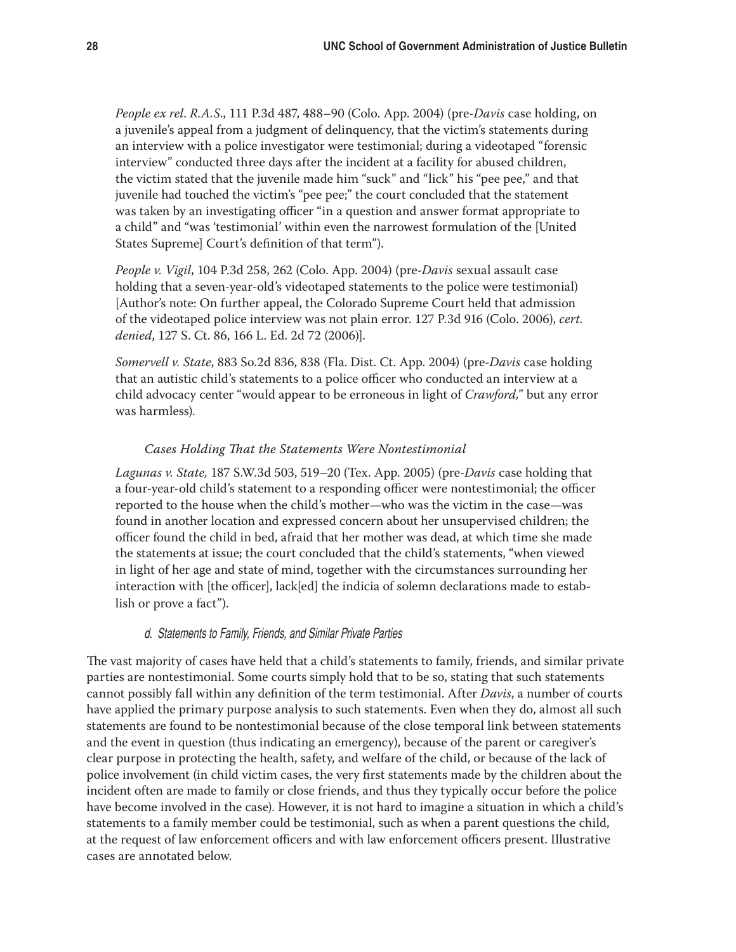*People ex rel*. *R.A.S*., 111 P.3d 487, 488–90 (Colo. App. 2004) (pre-*Davis* case holding, on a juvenile's appeal from a judgment of delinquency, that the victim's statements during an interview with a police investigator were testimonial; during a videotaped "forensic interview" conducted three days after the incident at a facility for abused children, the victim stated that the juvenile made him "suck" and "lick" his "pee pee," and that juvenile had touched the victim's "pee pee;" the court concluded that the statement was taken by an investigating officer "in a question and answer format appropriate to a child" and "was 'testimonial' within even the narrowest formulation of the [United States Supreme] Court's definition of that term").

*People v. Vigil*, 104 P.3d 258, 262 (Colo. App. 2004) (pre-*Davis* sexual assault case holding that a seven-year-old's videotaped statements to the police were testimonial) [Author's note: On further appeal, the Colorado Supreme Court held that admission of the videotaped police interview was not plain error. 127 P.3d 916 (Colo. 2006), *cert. denied*, 127 S. Ct. 86, 166 L. Ed. 2d 72 (2006)].

*Somervell v. State*, 883 So.2d 836, 838 (Fla. Dist. Ct. App. 2004) (pre-*Davis* case holding that an autistic child's statements to a police officer who conducted an interview at a child advocacy center "would appear to be erroneous in light of *Crawford,*" but any error was harmless).

## *Cases Holding That the Statements Were Nontestimonial*

*Lagunas v. State,* 187 S.W.3d 503, 519–20 (Tex. App. 2005) (pre-*Davis* case holding that a four-year-old child's statement to a responding officer were nontestimonial; the officer reported to the house when the child's mother—who was the victim in the case—was found in another location and expressed concern about her unsupervised children; the officer found the child in bed, afraid that her mother was dead, at which time she made the statements at issue; the court concluded that the child's statements, "when viewed in light of her age and state of mind, together with the circumstances surrounding her interaction with [the officer], lack[ed] the indicia of solemn declarations made to establish or prove a fact").

## d. Statements to Family, Friends, and Similar Private Parties

The vast majority of cases have held that a child's statements to family, friends, and similar private parties are nontestimonial. Some courts simply hold that to be so, stating that such statements cannot possibly fall within any definition of the term testimonial. After *Davis*, a number of courts have applied the primary purpose analysis to such statements. Even when they do, almost all such statements are found to be nontestimonial because of the close temporal link between statements and the event in question (thus indicating an emergency), because of the parent or caregiver's clear purpose in protecting the health, safety, and welfare of the child, or because of the lack of police involvement (in child victim cases, the very first statements made by the children about the incident often are made to family or close friends, and thus they typically occur before the police have become involved in the case). However, it is not hard to imagine a situation in which a child's statements to a family member could be testimonial, such as when a parent questions the child, at the request of law enforcement officers and with law enforcement officers present. Illustrative cases are annotated below.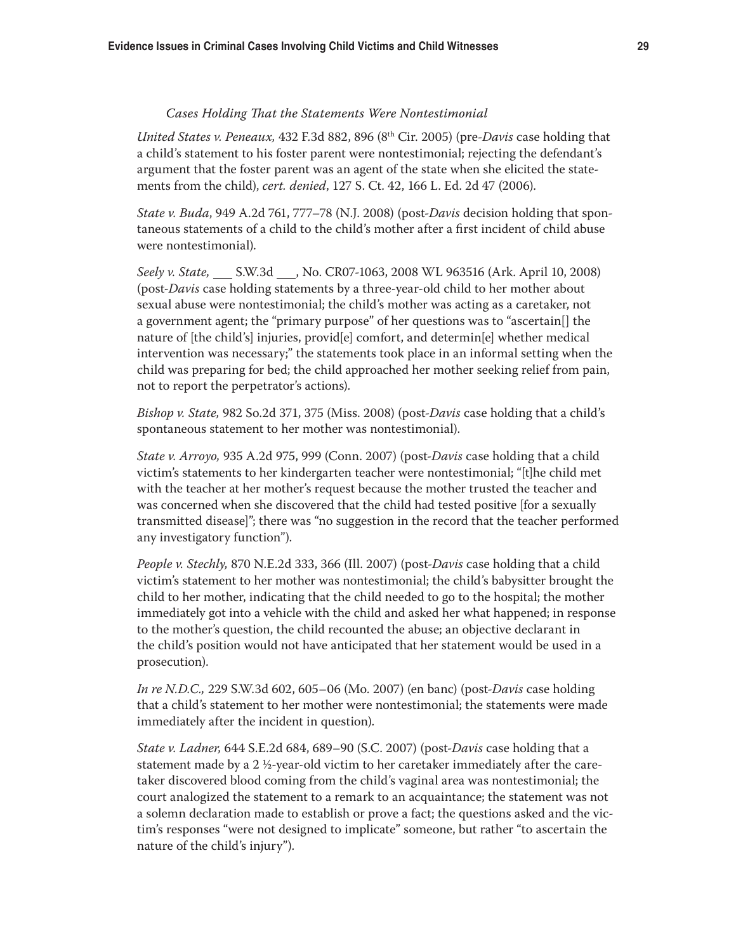#### *Cases Holding That the Statements Were Nontestimonial*

*United States v. Peneaux,* 432 F.3d 882, 896 (8th Cir. 2005) (pre-*Davis* case holding that a child's statement to his foster parent were nontestimonial; rejecting the defendant's argument that the foster parent was an agent of the state when she elicited the statements from the child), *cert. denied*, 127 S. Ct. 42, 166 L. Ed. 2d 47 (2006).

*State v. Buda*, 949 A.2d 761, 777–78 (N.J. 2008) (post-*Davis* decision holding that spontaneous statements of a child to the child's mother after a first incident of child abuse were nontestimonial).

*Seely v. State,* S.W.3d , No. CR07-1063, 2008 WL 963516 (Ark. April 10, 2008) (post-*Davis* case holding statements by a three-year-old child to her mother about sexual abuse were nontestimonial; the child's mother was acting as a caretaker, not a government agent; the "primary purpose" of her questions was to "ascertain[] the nature of [the child's] injuries, provid[e] comfort, and determin[e] whether medical intervention was necessary;" the statements took place in an informal setting when the child was preparing for bed; the child approached her mother seeking relief from pain, not to report the perpetrator's actions).

*Bishop v. State,* 982 So.2d 371, 375 (Miss. 2008) (post-*Davis* case holding that a child's spontaneous statement to her mother was nontestimonial).

*State v. Arroyo,* 935 A.2d 975, 999 (Conn. 2007) (post*-Davis* case holding that a child victim's statements to her kindergarten teacher were nontestimonial; "[t]he child met with the teacher at her mother's request because the mother trusted the teacher and was concerned when she discovered that the child had tested positive [for a sexually transmitted disease]"; there was "no suggestion in the record that the teacher performed any investigatory function").

*People v. Stechly,* 870 N.E.2d 333, 366 (Ill. 2007) (post-*Davis* case holding that a child victim's statement to her mother was nontestimonial; the child's babysitter brought the child to her mother, indicating that the child needed to go to the hospital; the mother immediately got into a vehicle with the child and asked her what happened; in response to the mother's question, the child recounted the abuse; an objective declarant in the child's position would not have anticipated that her statement would be used in a prosecution).

*In re N.D.C.,* 229 S.W.3d 602, 605–06 (Mo. 2007) (en banc) (post-*Davis* case holding that a child's statement to her mother were nontestimonial; the statements were made immediately after the incident in question).

*State v. Ladner,* 644 S.E.2d 684, 689–90 (S.C. 2007) (post-*Davis* case holding that a statement made by a 2 ½-year-old victim to her caretaker immediately after the caretaker discovered blood coming from the child's vaginal area was nontestimonial; the court analogized the statement to a remark to an acquaintance; the statement was not a solemn declaration made to establish or prove a fact; the questions asked and the victim's responses "were not designed to implicate" someone, but rather "to ascertain the nature of the child's injury").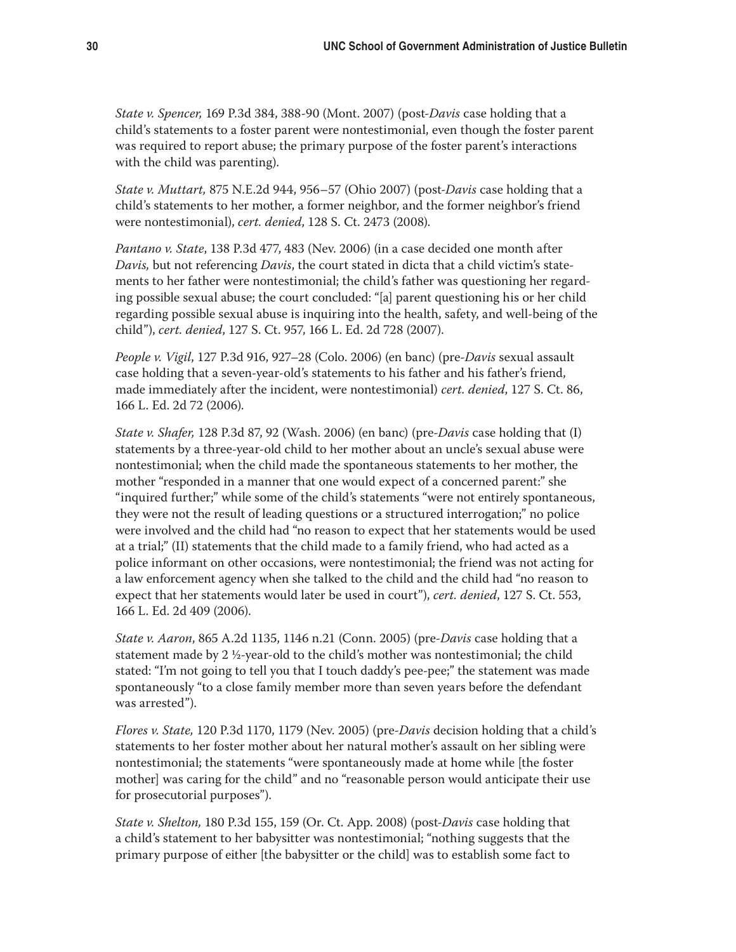*State v. Spencer,* 169 P.3d 384, 388-90 (Mont. 2007) (post-*Davis* case holding that a child's statements to a foster parent were nontestimonial, even though the foster parent was required to report abuse; the primary purpose of the foster parent's interactions with the child was parenting).

*State v. Muttart,* 875 N.E.2d 944, 956–57 (Ohio 2007) (post-*Davis* case holding that a child's statements to her mother, a former neighbor, and the former neighbor's friend were nontestimonial), *cert. denied*, 128 S. Ct. 2473 (2008).

*Pantano v. State*, 138 P.3d 477, 483 (Nev. 2006) (in a case decided one month after *Davis,* but not referencing *Davis*, the court stated in dicta that a child victim's statements to her father were nontestimonial; the child's father was questioning her regarding possible sexual abuse; the court concluded: "[a] parent questioning his or her child regarding possible sexual abuse is inquiring into the health, safety, and well-being of the child"), *cert. denied*, 127 S. Ct. 957, 166 L. Ed. 2d 728 (2007).

*People v. Vigil*, 127 P.3d 916, 927–28 (Colo. 2006) (en banc) (pre-*Davis* sexual assault case holding that a seven-year-old's statements to his father and his father's friend, made immediately after the incident, were nontestimonial) *cert. denied*, 127 S. Ct. 86, 166 L. Ed. 2d 72 (2006).

*State v. Shafer,* 128 P.3d 87, 92 (Wash. 2006) (en banc) (pre-*Davis* case holding that (I) statements by a three-year-old child to her mother about an uncle's sexual abuse were nontestimonial; when the child made the spontaneous statements to her mother, the mother "responded in a manner that one would expect of a concerned parent:" she "inquired further;" while some of the child's statements "were not entirely spontaneous, they were not the result of leading questions or a structured interrogation;" no police were involved and the child had "no reason to expect that her statements would be used at a trial;" (II) statements that the child made to a family friend, who had acted as a police informant on other occasions, were nontestimonial; the friend was not acting for a law enforcement agency when she talked to the child and the child had "no reason to expect that her statements would later be used in court"), *cert. denied*, 127 S. Ct. 553, 166 L. Ed. 2d 409 (2006).

*State v. Aaron*, 865 A.2d 1135, 1146 n.21 (Conn. 2005) (pre-*Davis* case holding that a statement made by 2  $\frac{1}{2}$ -year-old to the child's mother was nontestimonial; the child stated: "I'm not going to tell you that I touch daddy's pee-pee;" the statement was made spontaneously "to a close family member more than seven years before the defendant was arrested").

*Flores v. State,* 120 P.3d 1170, 1179 (Nev. 2005) (pre-*Davis* decision holding that a child's statements to her foster mother about her natural mother's assault on her sibling were nontestimonial; the statements "were spontaneously made at home while [the foster mother] was caring for the child" and no "reasonable person would anticipate their use for prosecutorial purposes").

*State v. Shelton,* 180 P.3d 155, 159 (Or. Ct. App. 2008) (post-*Davis* case holding that a child's statement to her babysitter was nontestimonial; "nothing suggests that the primary purpose of either [the babysitter or the child] was to establish some fact to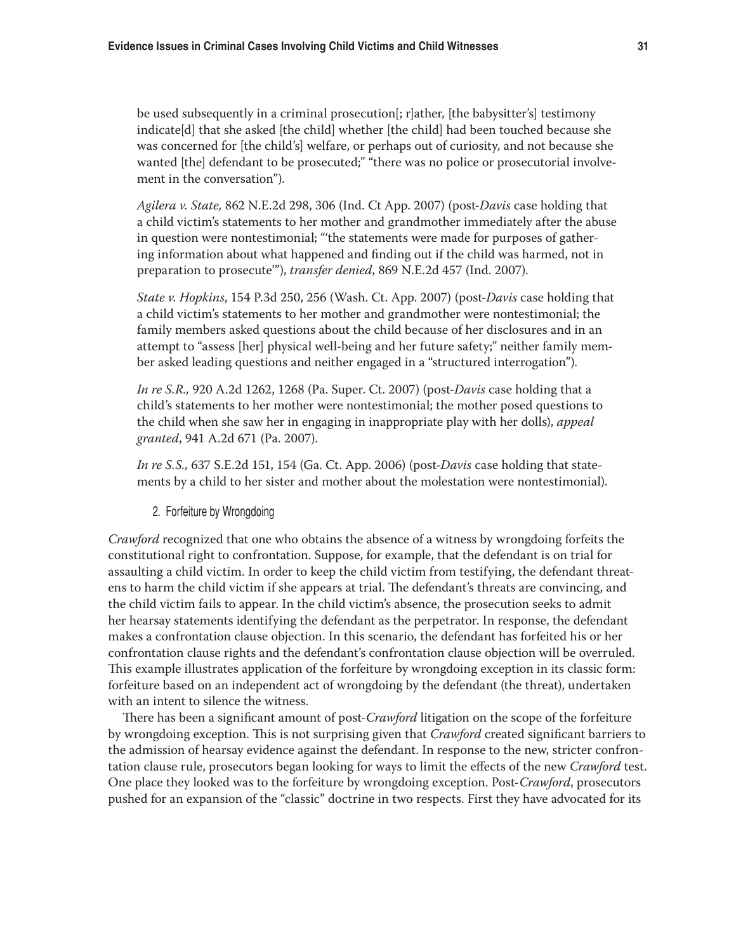be used subsequently in a criminal prosecution [; r]ather, [the babysitter's] testimony indicate[d] that she asked [the child] whether [the child] had been touched because she was concerned for [the child's] welfare, or perhaps out of curiosity, and not because she wanted [the] defendant to be prosecuted;" "there was no police or prosecutorial involvement in the conversation").

*Agilera v. State,* 862 N.E.2d 298, 306 (Ind. Ct App. 2007) (post-*Davis* case holding that a child victim's statements to her mother and grandmother immediately after the abuse in question were nontestimonial; "'the statements were made for purposes of gathering information about what happened and finding out if the child was harmed, not in preparation to prosecute'"), *transfer denied*, 869 N.E.2d 457 (Ind. 2007).

*State v. Hopkins*, 154 P.3d 250, 256 (Wash. Ct. App. 2007) (post-*Davis* case holding that a child victim's statements to her mother and grandmother were nontestimonial; the family members asked questions about the child because of her disclosures and in an attempt to "assess [her] physical well-being and her future safety;" neither family member asked leading questions and neither engaged in a "structured interrogation").

*In re S.R.,* 920 A.2d 1262, 1268 (Pa. Super. Ct. 2007) (post-*Davis* case holding that a child's statements to her mother were nontestimonial; the mother posed questions to the child when she saw her in engaging in inappropriate play with her dolls), *appeal granted*, 941 A.2d 671 (Pa. 2007).

*In re S.S.,* 637 S.E.2d 151, 154 (Ga. Ct. App. 2006) (post-*Davis* case holding that statements by a child to her sister and mother about the molestation were nontestimonial).

2. Forfeiture by Wrongdoing

*Crawford* recognized that one who obtains the absence of a witness by wrongdoing forfeits the constitutional right to confrontation. Suppose, for example, that the defendant is on trial for assaulting a child victim. In order to keep the child victim from testifying, the defendant threatens to harm the child victim if she appears at trial. The defendant's threats are convincing, and the child victim fails to appear. In the child victim's absence, the prosecution seeks to admit her hearsay statements identifying the defendant as the perpetrator. In response, the defendant makes a confrontation clause objection. In this scenario, the defendant has forfeited his or her confrontation clause rights and the defendant's confrontation clause objection will be overruled. This example illustrates application of the forfeiture by wrongdoing exception in its classic form: forfeiture based on an independent act of wrongdoing by the defendant (the threat), undertaken with an intent to silence the witness.

There has been a significant amount of post-*Crawford* litigation on the scope of the forfeiture by wrongdoing exception. This is not surprising given that *Crawford* created significant barriers to the admission of hearsay evidence against the defendant. In response to the new, stricter confrontation clause rule, prosecutors began looking for ways to limit the effects of the new *Crawford* test. One place they looked was to the forfeiture by wrongdoing exception. Post-*Crawford*, prosecutors pushed for an expansion of the "classic" doctrine in two respects. First they have advocated for its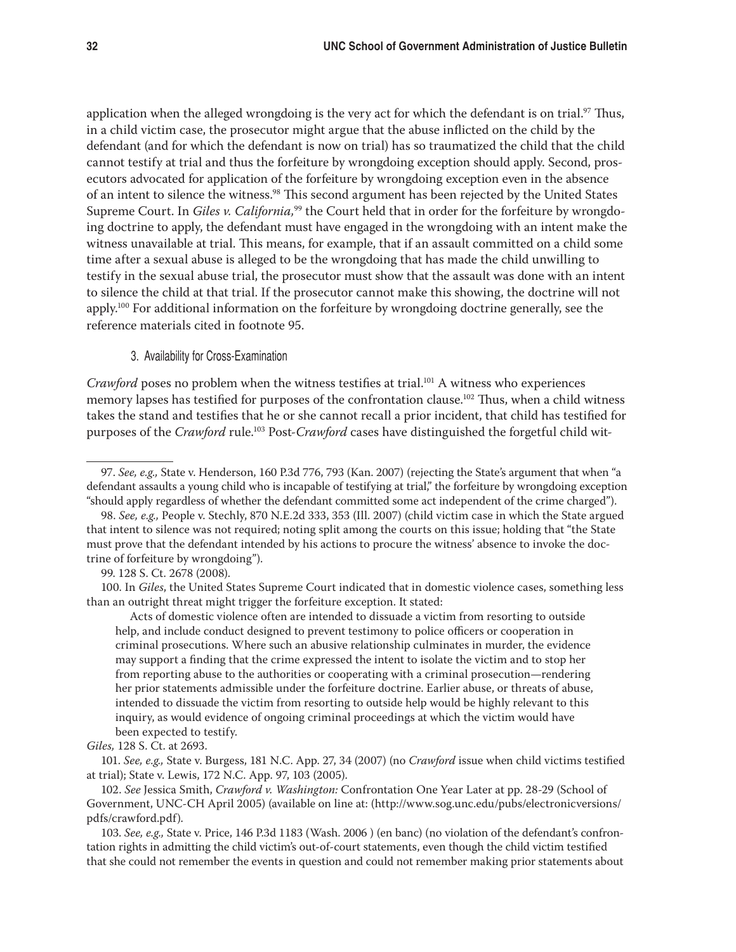application when the alleged wrongdoing is the very act for which the defendant is on trial.<sup>97</sup> Thus, in a child victim case, the prosecutor might argue that the abuse inflicted on the child by the defendant (and for which the defendant is now on trial) has so traumatized the child that the child cannot testify at trial and thus the forfeiture by wrongdoing exception should apply. Second, prosecutors advocated for application of the forfeiture by wrongdoing exception even in the absence of an intent to silence the witness.<sup>98</sup> This second argument has been rejected by the United States Supreme Court. In *Giles v. California*,<sup>99</sup> the Court held that in order for the forfeiture by wrongdoing doctrine to apply, the defendant must have engaged in the wrongdoing with an intent make the witness unavailable at trial. This means, for example, that if an assault committed on a child some time after a sexual abuse is alleged to be the wrongdoing that has made the child unwilling to testify in the sexual abuse trial, the prosecutor must show that the assault was done with an intent to silence the child at that trial. If the prosecutor cannot make this showing, the doctrine will not apply.100 For additional information on the forfeiture by wrongdoing doctrine generally, see the reference materials cited in footnote 95.

## 3. Availability for Cross-Examination

*Crawford* poses no problem when the witness testifies at trial.<sup>101</sup> A witness who experiences memory lapses has testified for purposes of the confrontation clause.<sup>102</sup> Thus, when a child witness takes the stand and testifies that he or she cannot recall a prior incident, that child has testified for purposes of the *Crawford* rule.<sup>103</sup> Post-*Crawford* cases have distinguished the forgetful child wit-

100. In *Giles*, the United States Supreme Court indicated that in domestic violence cases, something less than an outright threat might trigger the forfeiture exception. It stated:

Acts of domestic violence often are intended to dissuade a victim from resorting to outside help, and include conduct designed to prevent testimony to police officers or cooperation in criminal prosecutions. Where such an abusive relationship culminates in murder, the evidence may support a finding that the crime expressed the intent to isolate the victim and to stop her from reporting abuse to the authorities or cooperating with a criminal prosecution—rendering her prior statements admissible under the forfeiture doctrine. Earlier abuse, or threats of abuse, intended to dissuade the victim from resorting to outside help would be highly relevant to this inquiry, as would evidence of ongoing criminal proceedings at which the victim would have been expected to testify.

*Giles,* 128 S. Ct. at 2693.

101. *See, e.g.,* State v. Burgess, 181 N.C. App. 27, 34 (2007) (no *Crawford* issue when child victims testified at trial); State v. Lewis, 172 N.C. App. 97, 103 (2005).

102. *See* Jessica Smith, *Crawford v. Washington:* Confrontation One Year Later at pp. 28-29 (School of Government, UNC-CH April 2005) (available on line at: (http://www.sog.unc.edu/pubs/electronicversions/ pdfs/crawford.pdf).

103. *See, e.g.,* State v. Price, 146 P.3d 1183 (Wash. 2006 ) (en banc) (no violation of the defendant's confrontation rights in admitting the child victim's out-of-court statements, even though the child victim testified that she could not remember the events in question and could not remember making prior statements about

<sup>97.</sup> *See, e.g.,* State v. Henderson, 160 P.3d 776, 793 (Kan. 2007) (rejecting the State's argument that when "a defendant assaults a young child who is incapable of testifying at trial," the forfeiture by wrongdoing exception "should apply regardless of whether the defendant committed some act independent of the crime charged").

<sup>98.</sup> *See, e.g.,* People v. Stechly, 870 N.E.2d 333, 353 (Ill. 2007) (child victim case in which the State argued that intent to silence was not required; noting split among the courts on this issue; holding that "the State must prove that the defendant intended by his actions to procure the witness' absence to invoke the doctrine of forfeiture by wrongdoing").

<sup>99. 128</sup> S. Ct. 2678 (2008).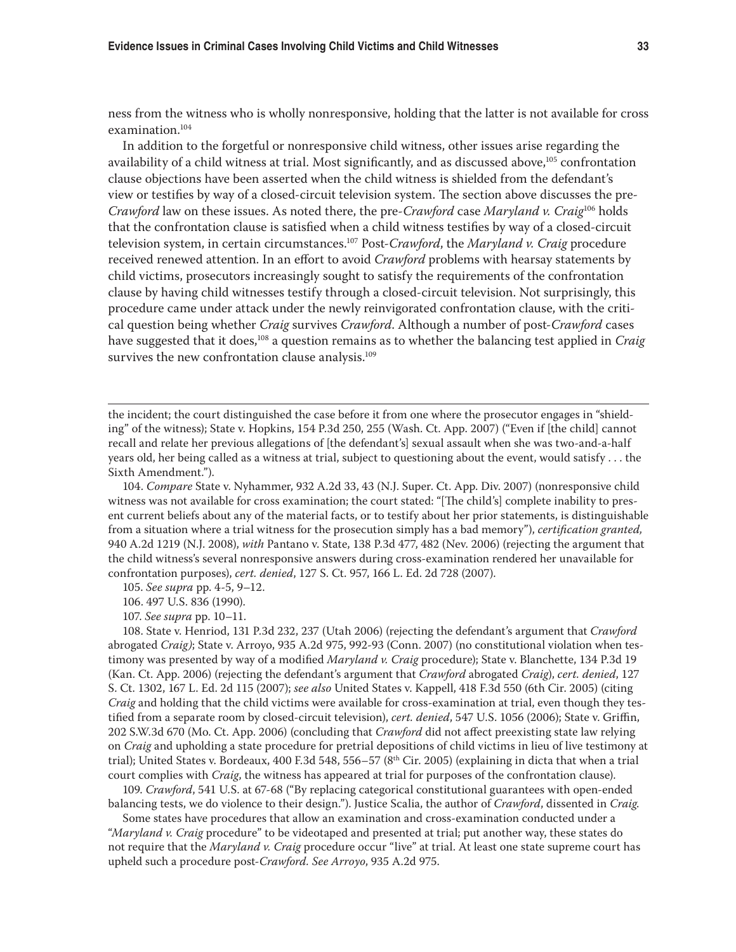ness from the witness who is wholly nonresponsive, holding that the latter is not available for cross examination.104

In addition to the forgetful or nonresponsive child witness, other issues arise regarding the availability of a child witness at trial. Most significantly, and as discussed above, $105$  confrontation clause objections have been asserted when the child witness is shielded from the defendant's view or testifies by way of a closed-circuit television system. The section above discusses the pre-*Crawford* law on these issues. As noted there, the pre-*Crawford* case *Maryland v. Craig*106 holds that the confrontation clause is satisfied when a child witness testifies by way of a closed-circuit television system, in certain circumstances.107 Post-*Crawford*, the *Maryland v. Craig* procedure received renewed attention. In an effort to avoid *Crawford* problems with hearsay statements by child victims, prosecutors increasingly sought to satisfy the requirements of the confrontation clause by having child witnesses testify through a closed-circuit television. Not surprisingly, this procedure came under attack under the newly reinvigorated confrontation clause, with the critical question being whether *Craig* survives *Crawford*. Although a number of post-*Crawford* cases have suggested that it does,108 a question remains as to whether the balancing test applied in *Craig* survives the new confrontation clause analysis.<sup>109</sup>

the incident; the court distinguished the case before it from one where the prosecutor engages in "shielding" of the witness); State v. Hopkins, 154 P.3d 250, 255 (Wash. Ct. App. 2007) ("Even if [the child] cannot recall and relate her previous allegations of [the defendant's] sexual assault when she was two-and-a-half years old, her being called as a witness at trial, subject to questioning about the event, would satisfy . . . the Sixth Amendment.").

104. *Compare* State v. Nyhammer, 932 A.2d 33, 43 (N.J. Super. Ct. App. Div. 2007) (nonresponsive child witness was not available for cross examination; the court stated: "[The child's] complete inability to present current beliefs about any of the material facts, or to testify about her prior statements, is distinguishable from a situation where a trial witness for the prosecution simply has a bad memory"), *certification granted,*  940 A.2d 1219 (N.J. 2008), *with* Pantano v. State, 138 P.3d 477, 482 (Nev. 2006) (rejecting the argument that the child witness's several nonresponsive answers during cross-examination rendered her unavailable for confrontation purposes), *cert. denied*, 127 S. Ct. 957, 166 L. Ed. 2d 728 (2007).

105. *See supra* pp. 4-5, 9–12.

106. 497 U.S. 836 (1990).

107. *See supra* pp. 10–11.

108. State v. Henriod, 131 P.3d 232, 237 (Utah 2006) (rejecting the defendant's argument that *Crawford*  abrogated *Craig)*; State v. Arroyo, 935 A.2d 975, 992-93 (Conn. 2007) (no constitutional violation when testimony was presented by way of a modified *Maryland v. Craig* procedure); State v. Blanchette, 134 P.3d 19 (Kan. Ct. App. 2006) (rejecting the defendant's argument that *Crawford* abrogated *Craig*), *cert. denied*, 127 S. Ct. 1302, 167 L. Ed. 2d 115 (2007); *see also* United States v. Kappell, 418 F.3d 550 (6th Cir. 2005) (citing *Craig* and holding that the child victims were available for cross-examination at trial, even though they testified from a separate room by closed-circuit television), *cert. denied*, 547 U.S. 1056 (2006); State v. Griffin, 202 S.W.3d 670 (Mo. Ct. App. 2006) (concluding that *Crawford* did not affect preexisting state law relying on *Craig* and upholding a state procedure for pretrial depositions of child victims in lieu of live testimony at trial); United States v. Bordeaux, 400 F.3d 548, 556–57 (8<sup>th</sup> Cir. 2005) (explaining in dicta that when a trial court complies with *Craig*, the witness has appeared at trial for purposes of the confrontation clause).

109. *Crawford*, 541 U.S. at 67-68 ("By replacing categorical constitutional guarantees with open-ended balancing tests, we do violence to their design."). Justice Scalia, the author of *Crawford*, dissented in *Craig*.

Some states have procedures that allow an examination and cross-examination conducted under a "*Maryland v. Craig* procedure" to be videotaped and presented at trial; put another way, these states do not require that the *Maryland v. Craig* procedure occur "live" at trial. At least one state supreme court has upheld such a procedure post-*Crawford. See Arroyo*, 935 A.2d 975.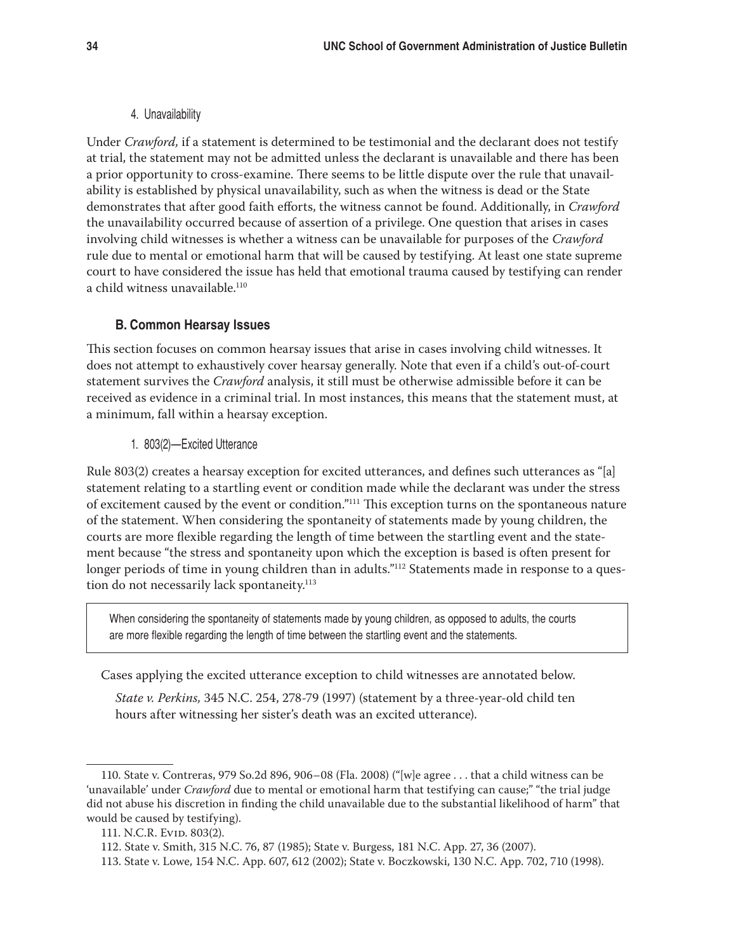#### 4. Unavailability

Under *Crawford,* if a statement is determined to be testimonial and the declarant does not testify at trial, the statement may not be admitted unless the declarant is unavailable and there has been a prior opportunity to cross-examine. There seems to be little dispute over the rule that unavailability is established by physical unavailability, such as when the witness is dead or the State demonstrates that after good faith efforts, the witness cannot be found. Additionally, in *Crawford*  the unavailability occurred because of assertion of a privilege. One question that arises in cases involving child witnesses is whether a witness can be unavailable for purposes of the *Crawford* rule due to mental or emotional harm that will be caused by testifying. At least one state supreme court to have considered the issue has held that emotional trauma caused by testifying can render a child witness unavailable.110

## **B. Common Hearsay Issues**

This section focuses on common hearsay issues that arise in cases involving child witnesses. It does not attempt to exhaustively cover hearsay generally. Note that even if a child's out-of-court statement survives the *Crawford* analysis, it still must be otherwise admissible before it can be received as evidence in a criminal trial. In most instances, this means that the statement must, at a minimum, fall within a hearsay exception.

1. 803(2)—Excited Utterance

Rule 803(2) creates a hearsay exception for excited utterances, and defines such utterances as "[a] statement relating to a startling event or condition made while the declarant was under the stress of excitement caused by the event or condition."111 This exception turns on the spontaneous nature of the statement. When considering the spontaneity of statements made by young children, the courts are more flexible regarding the length of time between the startling event and the statement because "the stress and spontaneity upon which the exception is based is often present for longer periods of time in young children than in adults."<sup>112</sup> Statements made in response to a question do not necessarily lack spontaneity.<sup>113</sup>

When considering the spontaneity of statements made by young children, as opposed to adults, the courts are more flexible regarding the length of time between the startling event and the statements.

Cases applying the excited utterance exception to child witnesses are annotated below.

*State v. Perkins,* 345 N.C. 254, 278-79 (1997) (statement by a three-year-old child ten hours after witnessing her sister's death was an excited utterance).

<sup>110.</sup> State v. Contreras, 979 So.2d 896, 906–08 (Fla. 2008) ("[w]e agree . . . that a child witness can be 'unavailable' under *Crawford* due to mental or emotional harm that testifying can cause;" "the trial judge did not abuse his discretion in finding the child unavailable due to the substantial likelihood of harm" that would be caused by testifying).

<sup>111.</sup> N.C.R. Evid. 803(2).

<sup>112.</sup> State v. Smith, 315 N.C. 76, 87 (1985); State v. Burgess, 181 N.C. App. 27, 36 (2007).

<sup>113.</sup> State v. Lowe, 154 N.C. App. 607, 612 (2002); State v. Boczkowski, 130 N.C. App. 702, 710 (1998).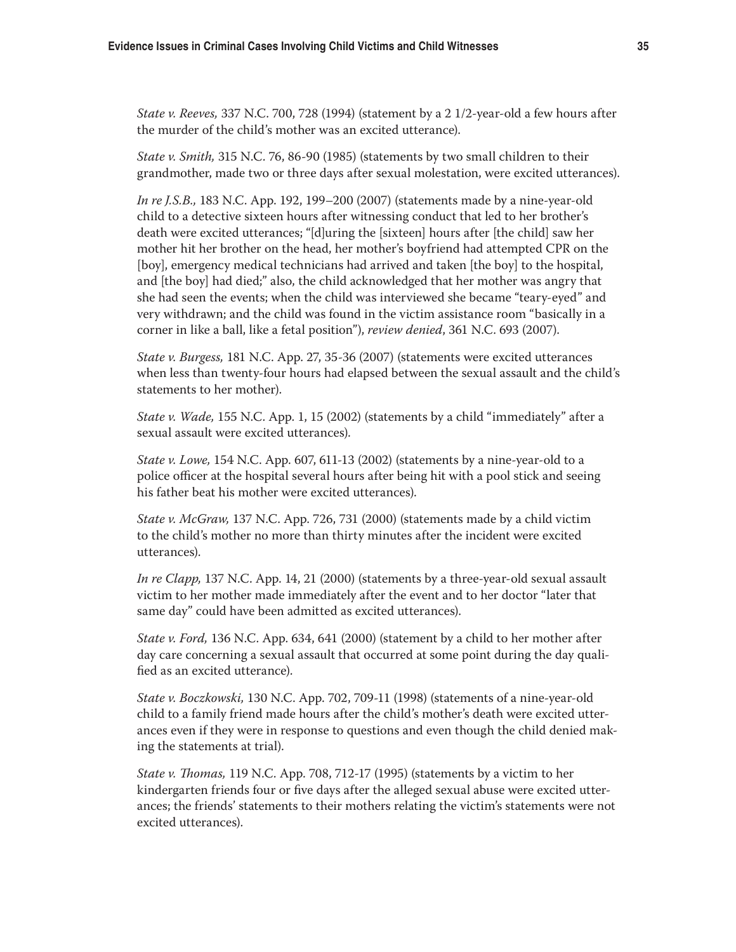*State v. Reeves,* 337 N.C. 700, 728 (1994) (statement by a 2 1/2-year-old a few hours after the murder of the child's mother was an excited utterance).

*State v. Smith,* 315 N.C. 76, 86-90 (1985) (statements by two small children to their grandmother, made two or three days after sexual molestation, were excited utterances).

*In re J.S.B.,* 183 N.C. App. 192, 199–200 (2007) (statements made by a nine-year-old child to a detective sixteen hours after witnessing conduct that led to her brother's death were excited utterances; "[d]uring the [sixteen] hours after [the child] saw her mother hit her brother on the head, her mother's boyfriend had attempted CPR on the [boy], emergency medical technicians had arrived and taken [the boy] to the hospital, and [the boy] had died;" also, the child acknowledged that her mother was angry that she had seen the events; when the child was interviewed she became "teary-eyed" and very withdrawn; and the child was found in the victim assistance room "basically in a corner in like a ball, like a fetal position"), *review denied*, 361 N.C. 693 (2007).

*State v. Burgess,* 181 N.C. App. 27, 35-36 (2007) (statements were excited utterances when less than twenty-four hours had elapsed between the sexual assault and the child's statements to her mother).

*State v. Wade,* 155 N.C. App. 1, 15 (2002) (statements by a child "immediately" after a sexual assault were excited utterances).

*State v. Lowe,* 154 N.C. App. 607, 611-13 (2002) (statements by a nine-year-old to a police officer at the hospital several hours after being hit with a pool stick and seeing his father beat his mother were excited utterances).

*State v. McGraw,* 137 N.C. App. 726, 731 (2000) (statements made by a child victim to the child's mother no more than thirty minutes after the incident were excited utterances).

*In re Clapp,* 137 N.C. App. 14, 21 (2000) (statements by a three-year-old sexual assault victim to her mother made immediately after the event and to her doctor "later that same day" could have been admitted as excited utterances).

*State v. Ford,* 136 N.C. App. 634, 641 (2000) (statement by a child to her mother after day care concerning a sexual assault that occurred at some point during the day qualified as an excited utterance).

*State v. Boczkowski,* 130 N.C. App. 702, 709-11 (1998) (statements of a nine-year-old child to a family friend made hours after the child's mother's death were excited utterances even if they were in response to questions and even though the child denied making the statements at trial).

*State v. Thomas,* 119 N.C. App. 708, 712-17 (1995) (statements by a victim to her kindergarten friends four or five days after the alleged sexual abuse were excited utterances; the friends' statements to their mothers relating the victim's statements were not excited utterances).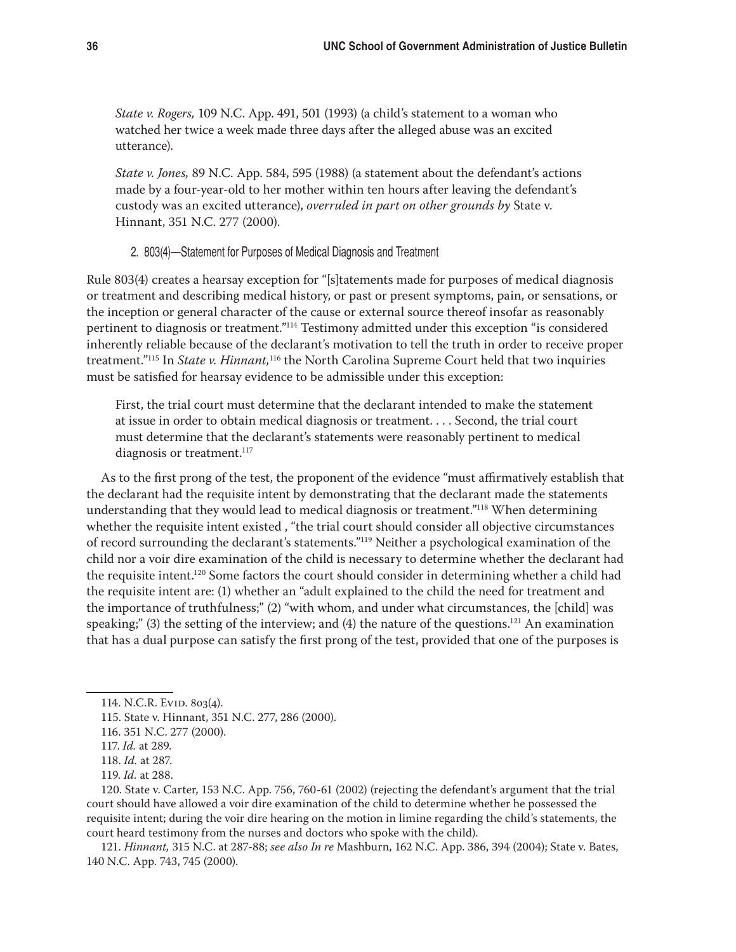*State v. Rogers,* 109 N.C. App. 491, 501 (1993) (a child's statement to a woman who watched her twice a week made three days after the alleged abuse was an excited utterance).

*State v. Jones,* 89 N.C. App. 584, 595 (1988) (a statement about the defendant's actions made by a four-year-old to her mother within ten hours after leaving the defendant's custody was an excited utterance), *overruled in part on other grounds by* State v. Hinnant, 351 N.C. 277 (2000).

#### 2. 803(4)—Statement for Purposes of Medical Diagnosis and Treatment

Rule 803(4) creates a hearsay exception for "[s]tatements made for purposes of medical diagnosis or treatment and describing medical history, or past or present symptoms, pain, or sensations, or the inception or general character of the cause or external source thereof insofar as reasonably pertinent to diagnosis or treatment."114 Testimony admitted under this exception "is considered inherently reliable because of the declarant's motivation to tell the truth in order to receive proper treatment."115 In *State v. Hinnant,*116 the North Carolina Supreme Court held that two inquiries must be satisfied for hearsay evidence to be admissible under this exception:

First, the trial court must determine that the declarant intended to make the statement at issue in order to obtain medical diagnosis or treatment. . . . Second, the trial court must determine that the declarant's statements were reasonably pertinent to medical diagnosis or treatment.<sup>117</sup>

As to the first prong of the test, the proponent of the evidence "must affirmatively establish that the declarant had the requisite intent by demonstrating that the declarant made the statements understanding that they would lead to medical diagnosis or treatment."118 When determining whether the requisite intent existed , "the trial court should consider all objective circumstances of record surrounding the declarant's statements."119 Neither a psychological examination of the child nor a voir dire examination of the child is necessary to determine whether the declarant had the requisite intent.<sup>120</sup> Some factors the court should consider in determining whether a child had the requisite intent are: (1) whether an "adult explained to the child the need for treatment and the importance of truthfulness;" (2) "with whom, and under what circumstances, the [child] was speaking;" (3) the setting of the interview; and (4) the nature of the questions.<sup>121</sup> An examination that has a dual purpose can satisfy the first prong of the test, provided that one of the purposes is

120. State v. Carter, 153 N.C. App. 756, 760-61 (2002) (rejecting the defendant's argument that the trial court should have allowed a voir dire examination of the child to determine whether he possessed the requisite intent; during the voir dire hearing on the motion in limine regarding the child's statements, the court heard testimony from the nurses and doctors who spoke with the child).

121. *Hinnant,* 315 N.C. at 287-88; *see also In re* Mashburn, 162 N.C. App. 386, 394 (2004); State v. Bates, 140 N.C. App. 743, 745 (2000).

<sup>114.</sup> N.C.R. EVID. 803(4).

<sup>115.</sup> State v. Hinnant, 351 N.C. 277, 286 (2000).

<sup>116. 351</sup> N.C. 277 (2000).

<sup>117.</sup> *Id.* at 289.

<sup>118.</sup> *Id.* at 287.

<sup>119.</sup> *Id.* at 288.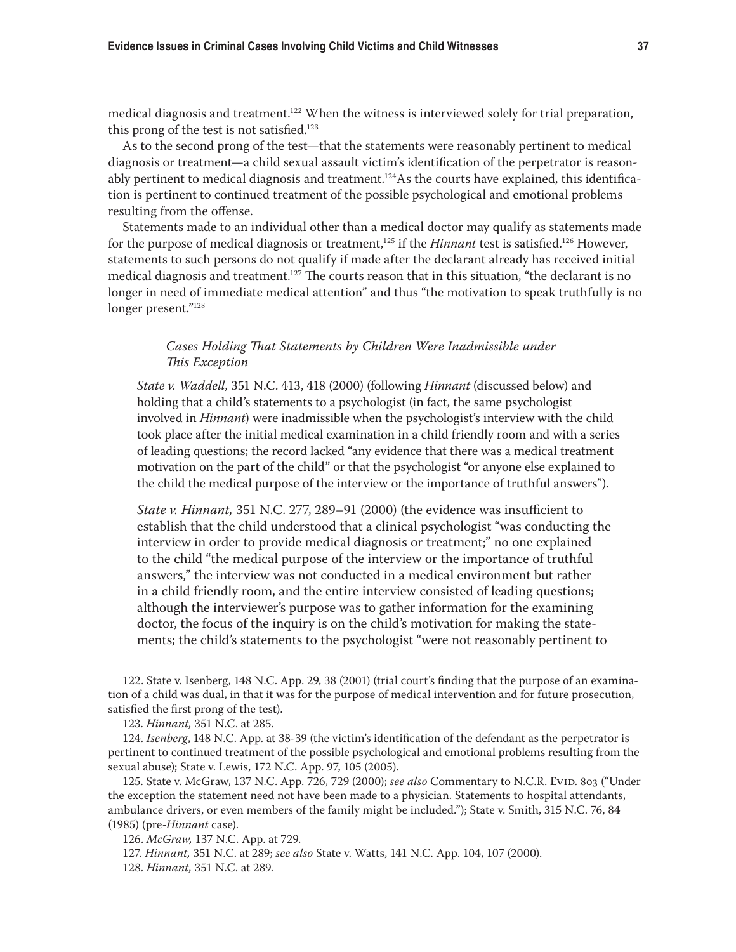medical diagnosis and treatment.122 When the witness is interviewed solely for trial preparation, this prong of the test is not satisfied.<sup>123</sup>

As to the second prong of the test—that the statements were reasonably pertinent to medical diagnosis or treatment—a child sexual assault victim's identification of the perpetrator is reasonably pertinent to medical diagnosis and treatment.<sup>124</sup>As the courts have explained, this identification is pertinent to continued treatment of the possible psychological and emotional problems resulting from the offense.

Statements made to an individual other than a medical doctor may qualify as statements made for the purpose of medical diagnosis or treatment,<sup>125</sup> if the *Hinnant* test is satisfied.<sup>126</sup> However, statements to such persons do not qualify if made after the declarant already has received initial medical diagnosis and treatment.<sup>127</sup> The courts reason that in this situation, "the declarant is no longer in need of immediate medical attention" and thus "the motivation to speak truthfully is no longer present."128

## *Cases Holding That Statements by Children Were Inadmissible under This Exception*

*State v. Waddell,* 351 N.C. 413, 418 (2000) (following *Hinnant* (discussed below) and holding that a child's statements to a psychologist (in fact, the same psychologist involved in *Hinnant*) were inadmissible when the psychologist's interview with the child took place after the initial medical examination in a child friendly room and with a series of leading questions; the record lacked "any evidence that there was a medical treatment motivation on the part of the child" or that the psychologist "or anyone else explained to the child the medical purpose of the interview or the importance of truthful answers").

*State v. Hinnant,* 351 N.C. 277, 289–91 (2000) (the evidence was insufficient to establish that the child understood that a clinical psychologist "was conducting the interview in order to provide medical diagnosis or treatment;" no one explained to the child "the medical purpose of the interview or the importance of truthful answers," the interview was not conducted in a medical environment but rather in a child friendly room, and the entire interview consisted of leading questions; although the interviewer's purpose was to gather information for the examining doctor, the focus of the inquiry is on the child's motivation for making the statements; the child's statements to the psychologist "were not reasonably pertinent to

<sup>122.</sup> State v. Isenberg, 148 N.C. App. 29, 38 (2001) (trial court's finding that the purpose of an examination of a child was dual, in that it was for the purpose of medical intervention and for future prosecution, satisfied the first prong of the test).

<sup>123.</sup> *Hinnant,* 351 N.C. at 285.

<sup>124.</sup> *Isenberg*, 148 N.C. App. at 38-39 (the victim's identification of the defendant as the perpetrator is pertinent to continued treatment of the possible psychological and emotional problems resulting from the sexual abuse); State v. Lewis, 172 N.C. App. 97, 105 (2005).

<sup>125.</sup> State v. McGraw, 137 N.C. App. 726, 729 (2000); see also Commentary to N.C.R. EviD. 803 ("Under the exception the statement need not have been made to a physician. Statements to hospital attendants, ambulance drivers, or even members of the family might be included."); State v. Smith, 315 N.C. 76, 84 (1985) (pre-*Hinnant* case).

<sup>126.</sup> *McGraw,* 137 N.C. App. at 729.

<sup>127.</sup> *Hinnant,* 351 N.C. at 289; *see also* State v. Watts, 141 N.C. App. 104, 107 (2000).

<sup>128.</sup> *Hinnant,* 351 N.C. at 289.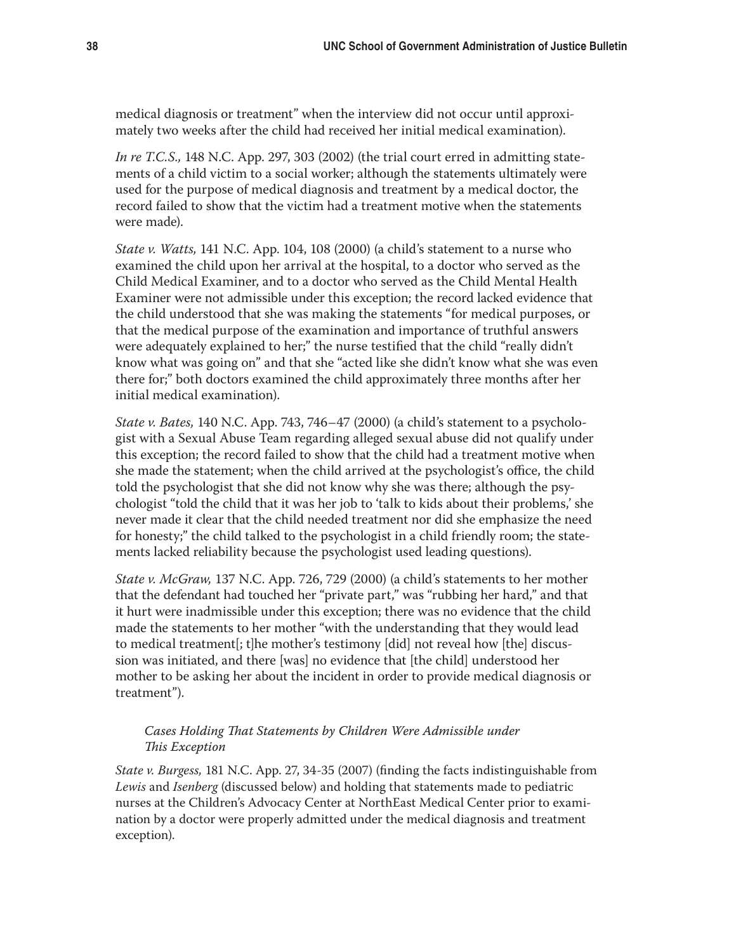medical diagnosis or treatment" when the interview did not occur until approximately two weeks after the child had received her initial medical examination).

*In re T.C.S.,* 148 N.C. App. 297, 303 (2002) (the trial court erred in admitting statements of a child victim to a social worker; although the statements ultimately were used for the purpose of medical diagnosis and treatment by a medical doctor, the record failed to show that the victim had a treatment motive when the statements were made).

*State v. Watts,* 141 N.C. App. 104, 108 (2000) (a child's statement to a nurse who examined the child upon her arrival at the hospital, to a doctor who served as the Child Medical Examiner, and to a doctor who served as the Child Mental Health Examiner were not admissible under this exception; the record lacked evidence that the child understood that she was making the statements "for medical purposes, or that the medical purpose of the examination and importance of truthful answers were adequately explained to her;" the nurse testified that the child "really didn't know what was going on" and that she "acted like she didn't know what she was even there for;" both doctors examined the child approximately three months after her initial medical examination).

*State v. Bates,* 140 N.C. App. 743, 746–47 (2000) (a child's statement to a psychologist with a Sexual Abuse Team regarding alleged sexual abuse did not qualify under this exception; the record failed to show that the child had a treatment motive when she made the statement; when the child arrived at the psychologist's office, the child told the psychologist that she did not know why she was there; although the psychologist "told the child that it was her job to 'talk to kids about their problems,' she never made it clear that the child needed treatment nor did she emphasize the need for honesty;" the child talked to the psychologist in a child friendly room; the statements lacked reliability because the psychologist used leading questions).

*State v. McGraw,* 137 N.C. App. 726, 729 (2000) (a child's statements to her mother that the defendant had touched her "private part," was "rubbing her hard," and that it hurt were inadmissible under this exception; there was no evidence that the child made the statements to her mother "with the understanding that they would lead to medical treatment[; t]he mother's testimony [did] not reveal how [the] discussion was initiated, and there [was] no evidence that [the child] understood her mother to be asking her about the incident in order to provide medical diagnosis or treatment").

## *Cases Holding That Statements by Children Were Admissible under This Exception*

*State v. Burgess,* 181 N.C. App. 27, 34-35 (2007) (finding the facts indistinguishable from *Lewis* and *Isenberg* (discussed below) and holding that statements made to pediatric nurses at the Children's Advocacy Center at NorthEast Medical Center prior to examination by a doctor were properly admitted under the medical diagnosis and treatment exception).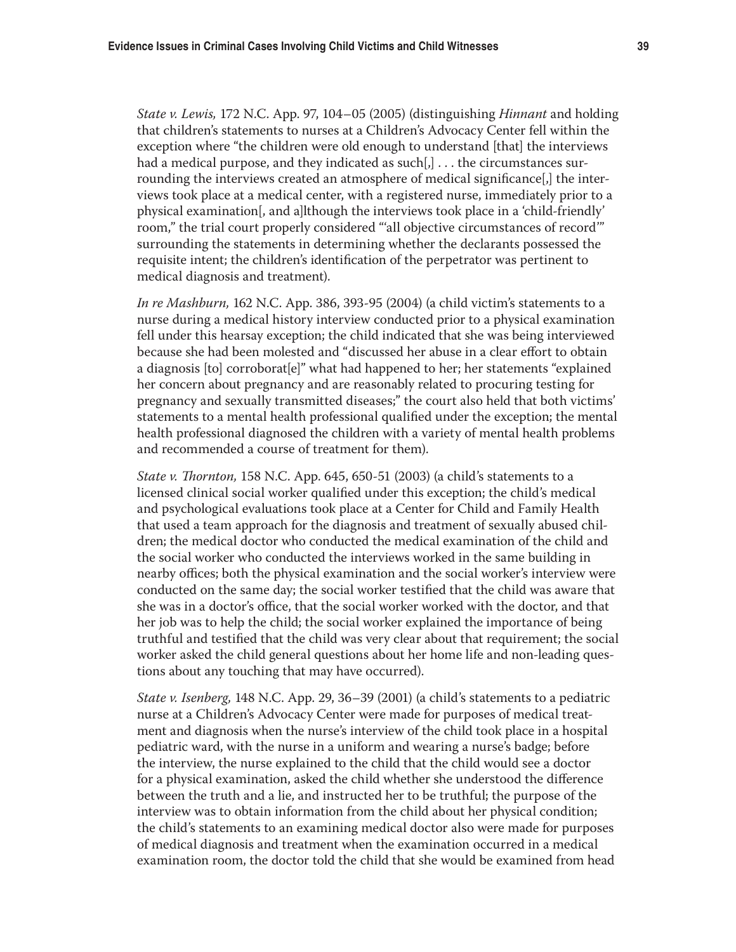*State v. Lewis,* 172 N.C. App. 97, 104–05 (2005) (distinguishing *Hinnant* and holding that children's statements to nurses at a Children's Advocacy Center fell within the exception where "the children were old enough to understand [that] the interviews had a medical purpose, and they indicated as such $[j]$ ... the circumstances surrounding the interviews created an atmosphere of medical significance[,] the interviews took place at a medical center, with a registered nurse, immediately prior to a physical examination[, and a]lthough the interviews took place in a 'child-friendly' room," the trial court properly considered "'all objective circumstances of record'" surrounding the statements in determining whether the declarants possessed the requisite intent; the children's identification of the perpetrator was pertinent to medical diagnosis and treatment).

*In re Mashburn,* 162 N.C. App. 386, 393-95 (2004) (a child victim's statements to a nurse during a medical history interview conducted prior to a physical examination fell under this hearsay exception; the child indicated that she was being interviewed because she had been molested and "discussed her abuse in a clear effort to obtain a diagnosis [to] corroborat[e]" what had happened to her; her statements "explained her concern about pregnancy and are reasonably related to procuring testing for pregnancy and sexually transmitted diseases;" the court also held that both victims' statements to a mental health professional qualified under the exception; the mental health professional diagnosed the children with a variety of mental health problems and recommended a course of treatment for them).

*State v. Thornton,* 158 N.C. App. 645, 650-51 (2003) (a child's statements to a licensed clinical social worker qualified under this exception; the child's medical and psychological evaluations took place at a Center for Child and Family Health that used a team approach for the diagnosis and treatment of sexually abused children; the medical doctor who conducted the medical examination of the child and the social worker who conducted the interviews worked in the same building in nearby offices; both the physical examination and the social worker's interview were conducted on the same day; the social worker testified that the child was aware that she was in a doctor's office, that the social worker worked with the doctor, and that her job was to help the child; the social worker explained the importance of being truthful and testified that the child was very clear about that requirement; the social worker asked the child general questions about her home life and non-leading questions about any touching that may have occurred).

*State v. Isenberg,* 148 N.C. App. 29, 36–39 (2001) (a child's statements to a pediatric nurse at a Children's Advocacy Center were made for purposes of medical treatment and diagnosis when the nurse's interview of the child took place in a hospital pediatric ward, with the nurse in a uniform and wearing a nurse's badge; before the interview, the nurse explained to the child that the child would see a doctor for a physical examination, asked the child whether she understood the difference between the truth and a lie, and instructed her to be truthful; the purpose of the interview was to obtain information from the child about her physical condition; the child's statements to an examining medical doctor also were made for purposes of medical diagnosis and treatment when the examination occurred in a medical examination room, the doctor told the child that she would be examined from head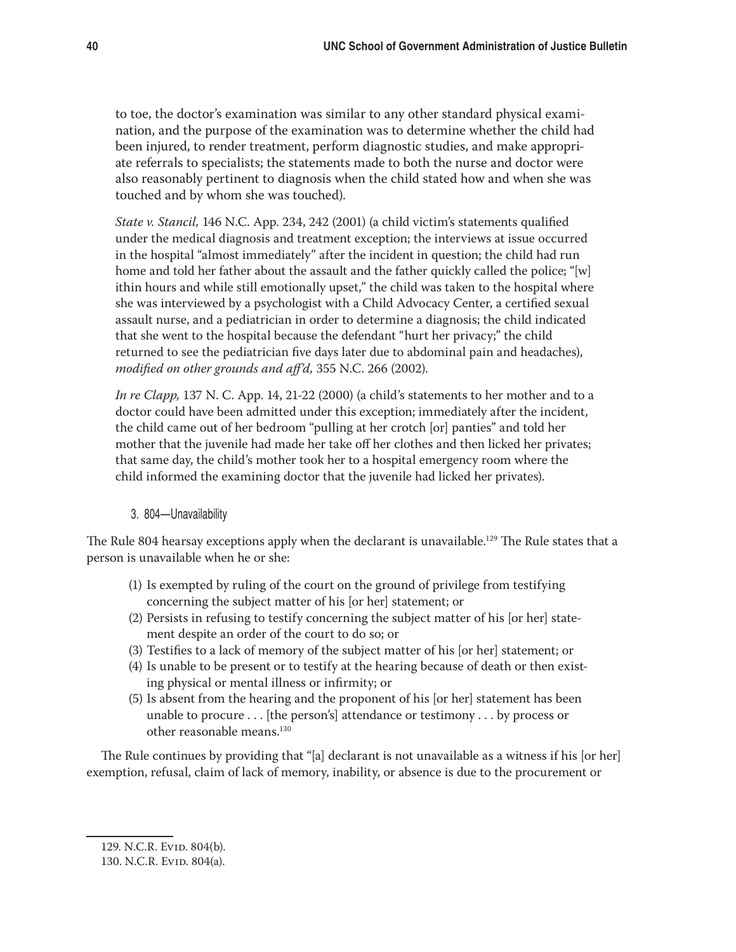to toe, the doctor's examination was similar to any other standard physical examination, and the purpose of the examination was to determine whether the child had been injured, to render treatment, perform diagnostic studies, and make appropriate referrals to specialists; the statements made to both the nurse and doctor were also reasonably pertinent to diagnosis when the child stated how and when she was touched and by whom she was touched).

*State v. Stancil,* 146 N.C. App. 234, 242 (2001) (a child victim's statements qualified under the medical diagnosis and treatment exception; the interviews at issue occurred in the hospital "almost immediately" after the incident in question; the child had run home and told her father about the assault and the father quickly called the police; "[w] ithin hours and while still emotionally upset," the child was taken to the hospital where she was interviewed by a psychologist with a Child Advocacy Center, a certified sexual assault nurse, and a pediatrician in order to determine a diagnosis; the child indicated that she went to the hospital because the defendant "hurt her privacy;" the child returned to see the pediatrician five days later due to abdominal pain and headaches), *modified on other grounds and aff'd,* 355 N.C. 266 (2002).

*In re Clapp,* 137 N. C. App. 14, 21-22 (2000) (a child's statements to her mother and to a doctor could have been admitted under this exception; immediately after the incident, the child came out of her bedroom "pulling at her crotch [or] panties" and told her mother that the juvenile had made her take off her clothes and then licked her privates; that same day, the child's mother took her to a hospital emergency room where the child informed the examining doctor that the juvenile had licked her privates).

## 3. 804—Unavailability

The Rule 804 hearsay exceptions apply when the declarant is unavailable.<sup>129</sup> The Rule states that a person is unavailable when he or she:

- (1) Is exempted by ruling of the court on the ground of privilege from testifying concerning the subject matter of his [or her] statement; or
- (2) Persists in refusing to testify concerning the subject matter of his [or her] statement despite an order of the court to do so; or
- (3) Testifies to a lack of memory of the subject matter of his [or her] statement; or
- (4) Is unable to be present or to testify at the hearing because of death or then existing physical or mental illness or infirmity; or
- (5) Is absent from the hearing and the proponent of his [or her] statement has been unable to procure  $\dots$  [the person's] attendance or testimony  $\dots$  by process or other reasonable means.130

The Rule continues by providing that "[a] declarant is not unavailable as a witness if his [or her] exemption, refusal, claim of lack of memory, inability, or absence is due to the procurement or

<sup>129.</sup> N.C.R. Evid. 804(b).

<sup>130.</sup> N.C.R. Evid. 804(a).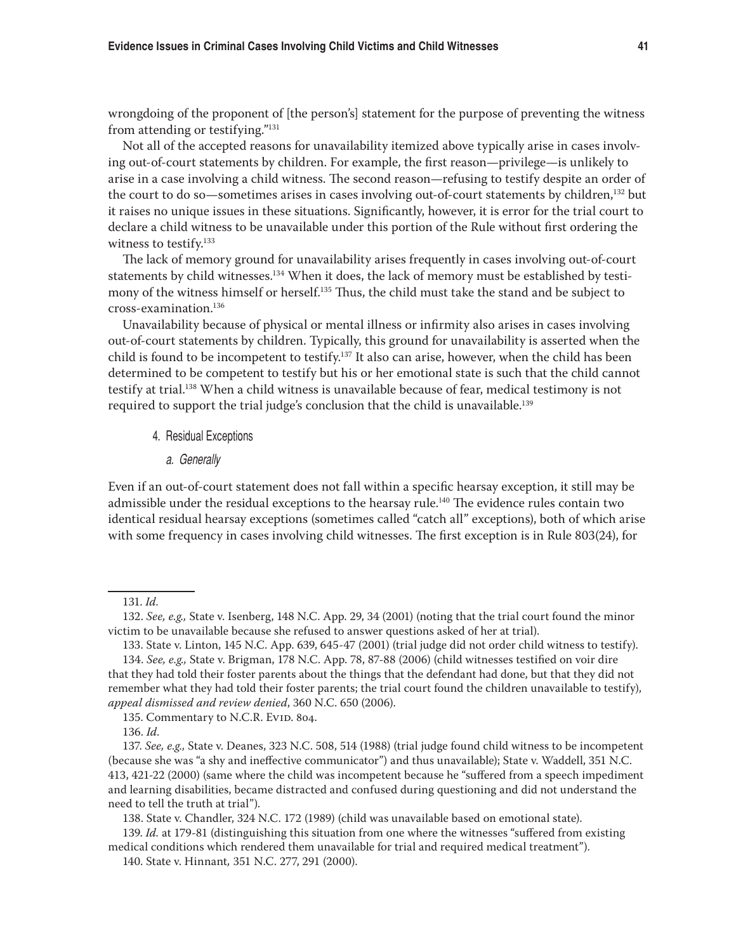wrongdoing of the proponent of [the person's] statement for the purpose of preventing the witness from attending or testifying."131

Not all of the accepted reasons for unavailability itemized above typically arise in cases involving out-of-court statements by children. For example, the first reason—privilege—is unlikely to arise in a case involving a child witness. The second reason—refusing to testify despite an order of the court to do so—sometimes arises in cases involving out-of-court statements by children,132 but it raises no unique issues in these situations. Significantly, however, it is error for the trial court to declare a child witness to be unavailable under this portion of the Rule without first ordering the witness to testify.<sup>133</sup>

The lack of memory ground for unavailability arises frequently in cases involving out-of-court statements by child witnesses.<sup>134</sup> When it does, the lack of memory must be established by testimony of the witness himself or herself.<sup>135</sup> Thus, the child must take the stand and be subject to cross-examination.136

Unavailability because of physical or mental illness or infirmity also arises in cases involving out-of-court statements by children. Typically, this ground for unavailability is asserted when the child is found to be incompetent to testify.<sup>137</sup> It also can arise, however, when the child has been determined to be competent to testify but his or her emotional state is such that the child cannot testify at trial.138 When a child witness is unavailable because of fear, medical testimony is not required to support the trial judge's conclusion that the child is unavailable.139

- 4. Residual Exceptions
	- a. Generally

Even if an out-of-court statement does not fall within a specific hearsay exception, it still may be admissible under the residual exceptions to the hearsay rule.<sup>140</sup> The evidence rules contain two identical residual hearsay exceptions (sometimes called "catch all" exceptions), both of which arise with some frequency in cases involving child witnesses. The first exception is in Rule 803(24), for

133. State v. Linton, 145 N.C. App. 639, 645-47 (2001) (trial judge did not order child witness to testify).

139. *Id.* at 179-81 (distinguishing this situation from one where the witnesses "suffered from existing medical conditions which rendered them unavailable for trial and required medical treatment").

<sup>131.</sup> *Id.*

<sup>132.</sup> *See, e.g.,* State v. Isenberg, 148 N.C. App. 29, 34 (2001) (noting that the trial court found the minor victim to be unavailable because she refused to answer questions asked of her at trial).

<sup>134.</sup> *See, e.g.,* State v. Brigman, 178 N.C. App. 78, 87-88 (2006) (child witnesses testified on voir dire that they had told their foster parents about the things that the defendant had done, but that they did not remember what they had told their foster parents; the trial court found the children unavailable to testify), *appeal dismissed and review denied*, 360 N.C. 650 (2006).

<sup>135.</sup> Commentary to N.C.R. Evid. 804.

<sup>136.</sup> *Id.*

<sup>137.</sup> *See, e.g.,* State v. Deanes, 323 N.C. 508, 514 (1988) (trial judge found child witness to be incompetent (because she was "a shy and ineffective communicator") and thus unavailable); State v. Waddell, 351 N.C. 413, 421-22 (2000) (same where the child was incompetent because he "suffered from a speech impediment and learning disabilities, became distracted and confused during questioning and did not understand the need to tell the truth at trial").

<sup>138.</sup> State v. Chandler, 324 N.C. 172 (1989) (child was unavailable based on emotional state).

<sup>140.</sup> State v. Hinnant*,* 351 N.C. 277, 291 (2000).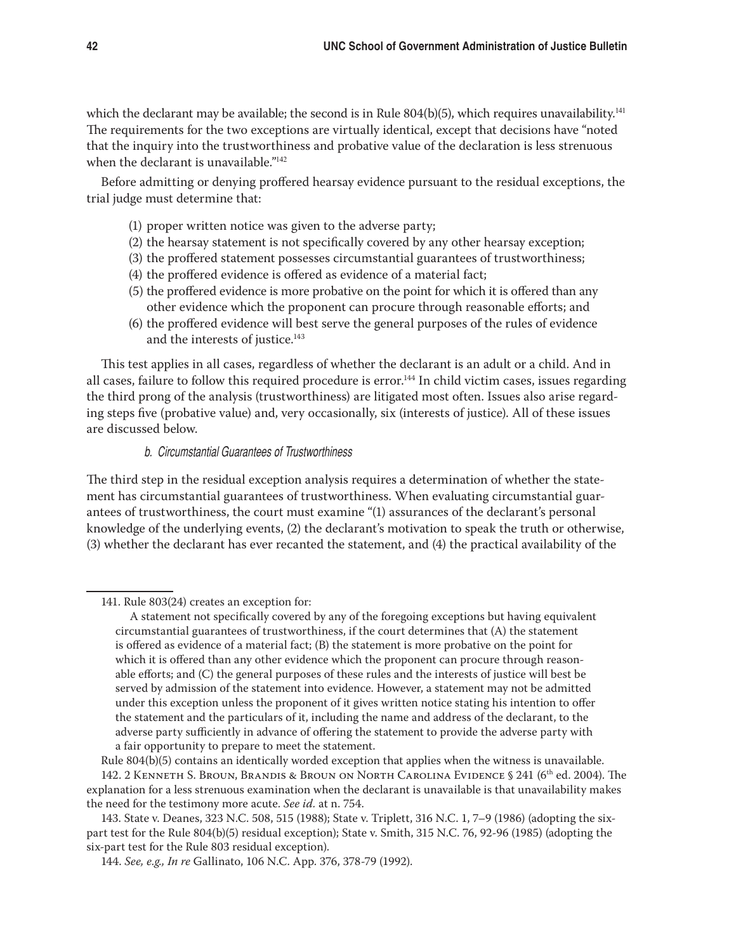which the declarant may be available; the second is in Rule  $804(b)(5)$ , which requires unavailability.<sup>141</sup> The requirements for the two exceptions are virtually identical, except that decisions have "noted that the inquiry into the trustworthiness and probative value of the declaration is less strenuous when the declarant is unavailable."<sup>142</sup>

Before admitting or denying proffered hearsay evidence pursuant to the residual exceptions, the trial judge must determine that:

- (1) proper written notice was given to the adverse party;
- (2) the hearsay statement is not specifically covered by any other hearsay exception;
- (3) the proffered statement possesses circumstantial guarantees of trustworthiness;
- (4) the proffered evidence is offered as evidence of a material fact;
- (5) the proffered evidence is more probative on the point for which it is offered than any other evidence which the proponent can procure through reasonable efforts; and
- (6) the proffered evidence will best serve the general purposes of the rules of evidence and the interests of justice.<sup>143</sup>

This test applies in all cases, regardless of whether the declarant is an adult or a child. And in all cases, failure to follow this required procedure is error.<sup>144</sup> In child victim cases, issues regarding the third prong of the analysis (trustworthiness) are litigated most often. Issues also arise regarding steps five (probative value) and, very occasionally, six (interests of justice). All of these issues are discussed below.

## b. Circumstantial Guarantees of Trustworthiness

The third step in the residual exception analysis requires a determination of whether the statement has circumstantial guarantees of trustworthiness. When evaluating circumstantial guarantees of trustworthiness, the court must examine "(1) assurances of the declarant's personal knowledge of the underlying events, (2) the declarant's motivation to speak the truth or otherwise, (3) whether the declarant has ever recanted the statement, and (4) the practical availability of the

<sup>141.</sup> Rule 803(24) creates an exception for:

A statement not specifically covered by any of the foregoing exceptions but having equivalent circumstantial guarantees of trustworthiness, if the court determines that (A) the statement is offered as evidence of a material fact; (B) the statement is more probative on the point for which it is offered than any other evidence which the proponent can procure through reasonable efforts; and (C) the general purposes of these rules and the interests of justice will best be served by admission of the statement into evidence. However, a statement may not be admitted under this exception unless the proponent of it gives written notice stating his intention to offer the statement and the particulars of it, including the name and address of the declarant, to the adverse party sufficiently in advance of offering the statement to provide the adverse party with a fair opportunity to prepare to meet the statement.

Rule 804(b)(5) contains an identically worded exception that applies when the witness is unavailable.

<sup>142. 2</sup> Kenneth S. Broun, Brandis & Broun on North Carolina Evidence § 241 (6th ed. 2004). The explanation for a less strenuous examination when the declarant is unavailable is that unavailability makes the need for the testimony more acute. *See id.* at n. 754.

<sup>143.</sup> State v. Deanes, 323 N.C. 508, 515 (1988); State v. Triplett, 316 N.C. 1, 7–9 (1986) (adopting the sixpart test for the Rule 804(b)(5) residual exception); State v. Smith, 315 N.C. 76, 92-96 (1985) (adopting the six-part test for the Rule 803 residual exception).

<sup>144.</sup> *See, e.g., In re* Gallinato, 106 N.C. App. 376, 378-79 (1992).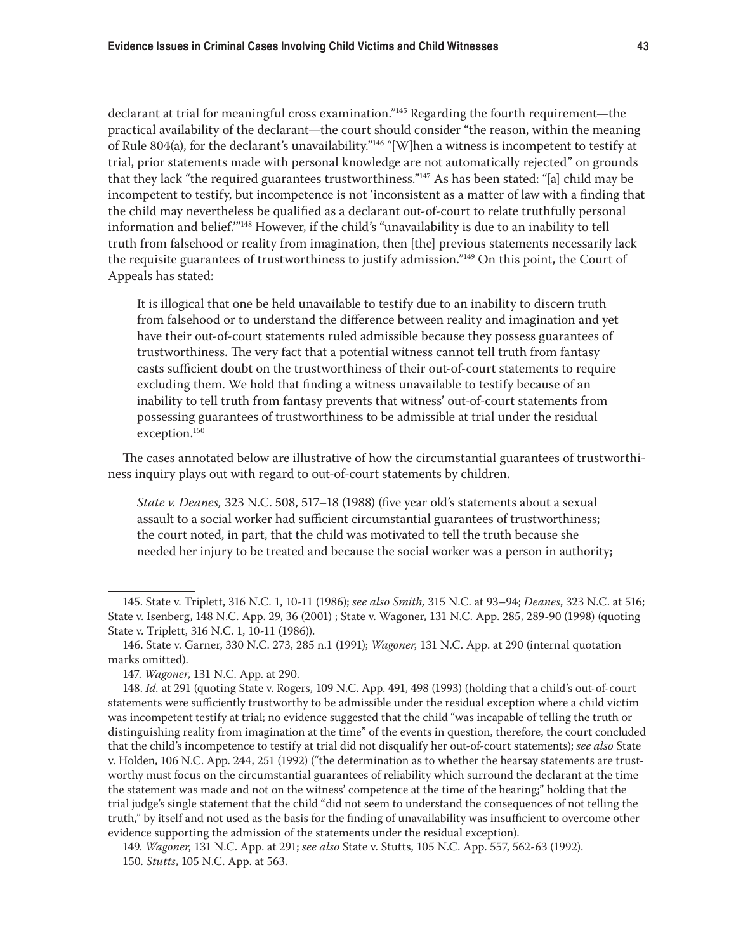declarant at trial for meaningful cross examination."145 Regarding the fourth requirement—the practical availability of the declarant—the court should consider "the reason, within the meaning of Rule 804(a), for the declarant's unavailability."146 "[W]hen a witness is incompetent to testify at trial, prior statements made with personal knowledge are not automatically rejected" on grounds that they lack "the required guarantees trustworthiness."147 As has been stated: "[a] child may be incompetent to testify, but incompetence is not 'inconsistent as a matter of law with a finding that the child may nevertheless be qualified as a declarant out-of-court to relate truthfully personal information and belief.'"148 However, if the child's "unavailability is due to an inability to tell truth from falsehood or reality from imagination, then [the] previous statements necessarily lack the requisite guarantees of trustworthiness to justify admission."149 On this point, the Court of Appeals has stated:

It is illogical that one be held unavailable to testify due to an inability to discern truth from falsehood or to understand the difference between reality and imagination and yet have their out-of-court statements ruled admissible because they possess guarantees of trustworthiness. The very fact that a potential witness cannot tell truth from fantasy casts sufficient doubt on the trustworthiness of their out-of-court statements to require excluding them. We hold that finding a witness unavailable to testify because of an inability to tell truth from fantasy prevents that witness' out-of-court statements from possessing guarantees of trustworthiness to be admissible at trial under the residual exception.150

The cases annotated below are illustrative of how the circumstantial guarantees of trustworthiness inquiry plays out with regard to out-of-court statements by children.

*State v. Deanes,* 323 N.C. 508, 517–18 (1988) (five year old's statements about a sexual assault to a social worker had sufficient circumstantial guarantees of trustworthiness; the court noted, in part, that the child was motivated to tell the truth because she needed her injury to be treated and because the social worker was a person in authority;

<sup>145.</sup> State v. Triplett, 316 N.C. 1, 10-11 (1986); *see also Smith,* 315 N.C. at 93–94; *Deanes*, 323 N.C. at 516; State v. Isenberg, 148 N.C. App. 29, 36 (2001) ; State v. Wagoner, 131 N.C. App. 285, 289-90 (1998) (quoting State v. Triplett, 316 N.C. 1, 10-11 (1986)).

<sup>146.</sup> State v. Garner, 330 N.C. 273, 285 n.1 (1991); *Wagoner*, 131 N.C. App. at 290 (internal quotation marks omitted).

<sup>147.</sup> *Wagoner*, 131 N.C. App. at 290.

<sup>148.</sup> *Id.* at 291 (quoting State v. Rogers, 109 N.C. App. 491, 498 (1993) (holding that a child's out-of-court statements were sufficiently trustworthy to be admissible under the residual exception where a child victim was incompetent testify at trial; no evidence suggested that the child "was incapable of telling the truth or distinguishing reality from imagination at the time" of the events in question, therefore, the court concluded that the child's incompetence to testify at trial did not disqualify her out-of-court statements); *see also* State v. Holden, 106 N.C. App. 244, 251 (1992) ("the determination as to whether the hearsay statements are trustworthy must focus on the circumstantial guarantees of reliability which surround the declarant at the time the statement was made and not on the witness' competence at the time of the hearing;" holding that the trial judge's single statement that the child "did not seem to understand the consequences of not telling the truth," by itself and not used as the basis for the finding of unavailability was insufficient to overcome other evidence supporting the admission of the statements under the residual exception).

<sup>149.</sup> *Wagoner*, 131 N.C. App. at 291; *see also* State v. Stutts, 105 N.C. App. 557, 562-63 (1992). 150. *Stutts*, 105 N.C. App. at 563.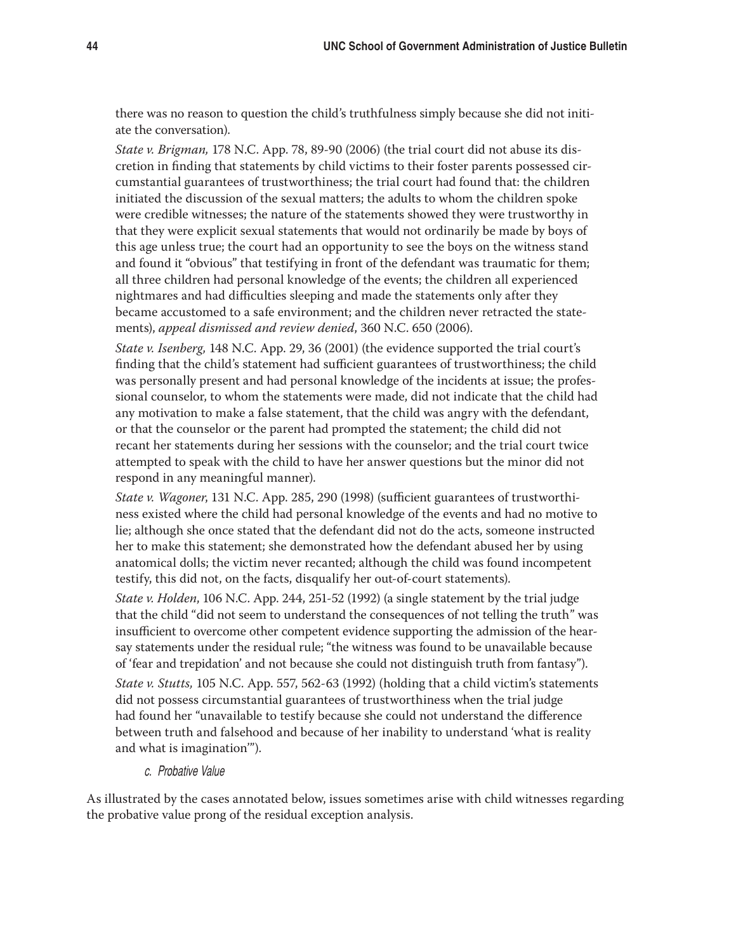there was no reason to question the child's truthfulness simply because she did not initiate the conversation).

*State v. Brigman,* 178 N.C. App. 78, 89-90 (2006) (the trial court did not abuse its discretion in finding that statements by child victims to their foster parents possessed circumstantial guarantees of trustworthiness; the trial court had found that: the children initiated the discussion of the sexual matters; the adults to whom the children spoke were credible witnesses; the nature of the statements showed they were trustworthy in that they were explicit sexual statements that would not ordinarily be made by boys of this age unless true; the court had an opportunity to see the boys on the witness stand and found it "obvious" that testifying in front of the defendant was traumatic for them; all three children had personal knowledge of the events; the children all experienced nightmares and had difficulties sleeping and made the statements only after they became accustomed to a safe environment; and the children never retracted the statements), *appeal dismissed and review denied*, 360 N.C. 650 (2006).

*State v. Isenberg,* 148 N.C. App. 29, 36 (2001) (the evidence supported the trial court's finding that the child's statement had sufficient guarantees of trustworthiness; the child was personally present and had personal knowledge of the incidents at issue; the professional counselor, to whom the statements were made, did not indicate that the child had any motivation to make a false statement, that the child was angry with the defendant, or that the counselor or the parent had prompted the statement; the child did not recant her statements during her sessions with the counselor; and the trial court twice attempted to speak with the child to have her answer questions but the minor did not respond in any meaningful manner).

*State v. Wagoner*, 131 N.C. App. 285, 290 (1998) (sufficient guarantees of trustworthiness existed where the child had personal knowledge of the events and had no motive to lie; although she once stated that the defendant did not do the acts, someone instructed her to make this statement; she demonstrated how the defendant abused her by using anatomical dolls; the victim never recanted; although the child was found incompetent testify, this did not, on the facts, disqualify her out-of-court statements).

*State v. Holden*, 106 N.C. App. 244, 251-52 (1992) (a single statement by the trial judge that the child "did not seem to understand the consequences of not telling the truth" was insufficient to overcome other competent evidence supporting the admission of the hearsay statements under the residual rule; "the witness was found to be unavailable because of 'fear and trepidation' and not because she could not distinguish truth from fantasy").

*State v. Stutts,* 105 N.C. App. 557, 562-63 (1992) (holding that a child victim's statements did not possess circumstantial guarantees of trustworthiness when the trial judge had found her "unavailable to testify because she could not understand the difference between truth and falsehood and because of her inability to understand 'what is reality and what is imagination'").

c. Probative Value

As illustrated by the cases annotated below, issues sometimes arise with child witnesses regarding the probative value prong of the residual exception analysis.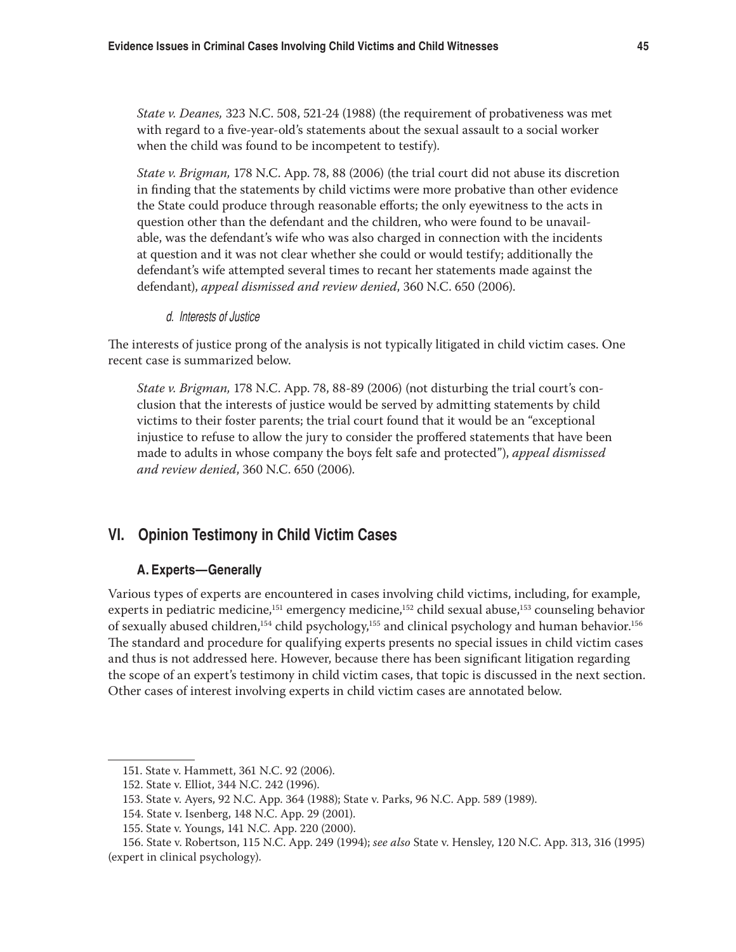*State v. Deanes,* 323 N.C. 508, 521-24 (1988) (the requirement of probativeness was met with regard to a five-year-old's statements about the sexual assault to a social worker when the child was found to be incompetent to testify).

*State v. Brigman,* 178 N.C. App. 78, 88 (2006) (the trial court did not abuse its discretion in finding that the statements by child victims were more probative than other evidence the State could produce through reasonable efforts; the only eyewitness to the acts in question other than the defendant and the children, who were found to be unavailable, was the defendant's wife who was also charged in connection with the incidents at question and it was not clear whether she could or would testify; additionally the defendant's wife attempted several times to recant her statements made against the defendant), *appeal dismissed and review denied*, 360 N.C. 650 (2006).

d. Interests of Justice

The interests of justice prong of the analysis is not typically litigated in child victim cases. One recent case is summarized below.

*State v. Brigman,* 178 N.C. App. 78, 88-89 (2006) (not disturbing the trial court's conclusion that the interests of justice would be served by admitting statements by child victims to their foster parents; the trial court found that it would be an "exceptional injustice to refuse to allow the jury to consider the proffered statements that have been made to adults in whose company the boys felt safe and protected"), *appeal dismissed and review denied*, 360 N.C. 650 (2006).

# **VI. Opinion Testimony in Child Victim Cases**

## **A. Experts—Generally**

Various types of experts are encountered in cases involving child victims, including, for example, experts in pediatric medicine,<sup>151</sup> emergency medicine,<sup>152</sup> child sexual abuse,<sup>153</sup> counseling behavior of sexually abused children,<sup>154</sup> child psychology,<sup>155</sup> and clinical psychology and human behavior.<sup>156</sup> The standard and procedure for qualifying experts presents no special issues in child victim cases and thus is not addressed here. However, because there has been significant litigation regarding the scope of an expert's testimony in child victim cases, that topic is discussed in the next section. Other cases of interest involving experts in child victim cases are annotated below.

<sup>151.</sup> State v. Hammett, 361 N.C. 92 (2006).

<sup>152.</sup> State v. Elliot, 344 N.C. 242 (1996).

<sup>153.</sup> State v. Ayers, 92 N.C. App. 364 (1988); State v. Parks, 96 N.C. App. 589 (1989).

<sup>154.</sup> State v. Isenberg, 148 N.C. App. 29 (2001).

<sup>155.</sup> State v. Youngs, 141 N.C. App. 220 (2000).

<sup>156.</sup> State v. Robertson, 115 N.C. App. 249 (1994); *see also* State v. Hensley, 120 N.C. App. 313, 316 (1995) (expert in clinical psychology).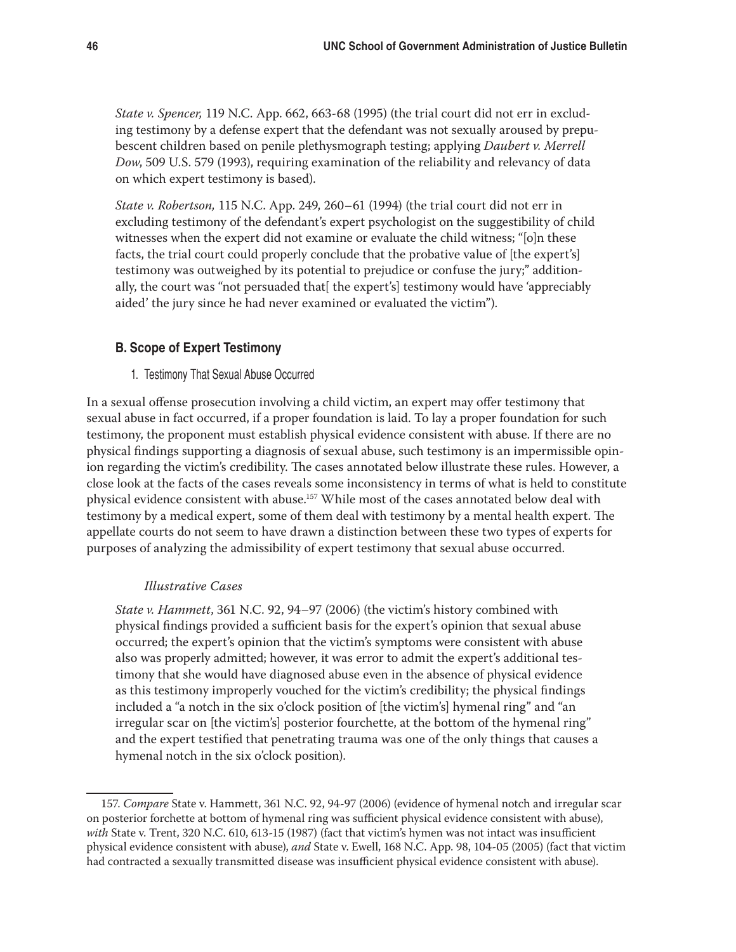*State v. Spencer,* 119 N.C. App. 662, 663-68 (1995) (the trial court did not err in excluding testimony by a defense expert that the defendant was not sexually aroused by prepubescent children based on penile plethysmograph testing; applying *Daubert v. Merrell Dow*, 509 U.S. 579 (1993), requiring examination of the reliability and relevancy of data on which expert testimony is based).

*State v. Robertson,* 115 N.C. App. 249, 260–61 (1994) (the trial court did not err in excluding testimony of the defendant's expert psychologist on the suggestibility of child witnesses when the expert did not examine or evaluate the child witness; "[o]n these facts, the trial court could properly conclude that the probative value of [the expert's] testimony was outweighed by its potential to prejudice or confuse the jury;" additionally, the court was "not persuaded that  $\mathfrak{h}$  the expert's testimony would have 'appreciably aided' the jury since he had never examined or evaluated the victim").

## **B. Scope of Expert Testimony**

1. Testimony That Sexual Abuse Occurred

In a sexual offense prosecution involving a child victim, an expert may offer testimony that sexual abuse in fact occurred, if a proper foundation is laid. To lay a proper foundation for such testimony, the proponent must establish physical evidence consistent with abuse. If there are no physical findings supporting a diagnosis of sexual abuse, such testimony is an impermissible opinion regarding the victim's credibility. The cases annotated below illustrate these rules. However, a close look at the facts of the cases reveals some inconsistency in terms of what is held to constitute physical evidence consistent with abuse.157 While most of the cases annotated below deal with testimony by a medical expert, some of them deal with testimony by a mental health expert. The appellate courts do not seem to have drawn a distinction between these two types of experts for purposes of analyzing the admissibility of expert testimony that sexual abuse occurred.

#### *Illustrative Cases*

*State v. Hammett*, 361 N.C. 92, 94–97 (2006) (the victim's history combined with physical findings provided a sufficient basis for the expert's opinion that sexual abuse occurred; the expert's opinion that the victim's symptoms were consistent with abuse also was properly admitted; however, it was error to admit the expert's additional testimony that she would have diagnosed abuse even in the absence of physical evidence as this testimony improperly vouched for the victim's credibility; the physical findings included a "a notch in the six o'clock position of [the victim's] hymenal ring" and "an irregular scar on [the victim's] posterior fourchette, at the bottom of the hymenal ring" and the expert testified that penetrating trauma was one of the only things that causes a hymenal notch in the six o'clock position).

<sup>157.</sup> *Compare* State v. Hammett, 361 N.C. 92, 94-97 (2006) (evidence of hymenal notch and irregular scar on posterior forchette at bottom of hymenal ring was sufficient physical evidence consistent with abuse), *with* State v. Trent, 320 N.C. 610, 613-15 (1987) (fact that victim's hymen was not intact was insufficient physical evidence consistent with abuse), *and* State v. Ewell, 168 N.C. App. 98, 104-05 (2005) (fact that victim had contracted a sexually transmitted disease was insufficient physical evidence consistent with abuse).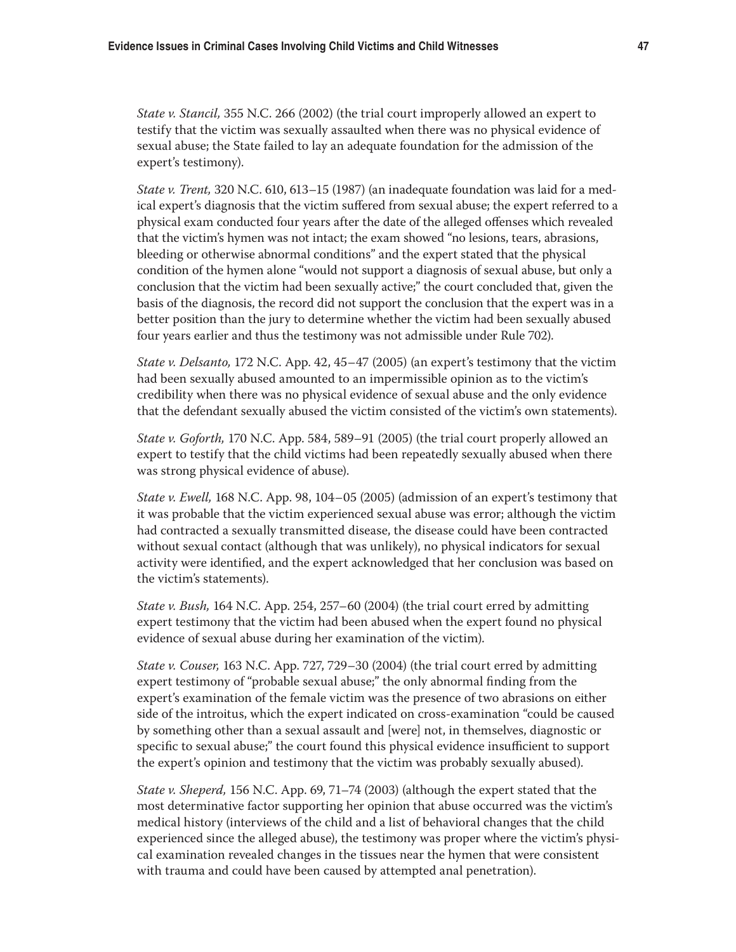*State v. Stancil,* 355 N.C. 266 (2002) (the trial court improperly allowed an expert to testify that the victim was sexually assaulted when there was no physical evidence of sexual abuse; the State failed to lay an adequate foundation for the admission of the expert's testimony).

*State v. Trent,* 320 N.C. 610, 613–15 (1987) (an inadequate foundation was laid for a medical expert's diagnosis that the victim suffered from sexual abuse; the expert referred to a physical exam conducted four years after the date of the alleged offenses which revealed that the victim's hymen was not intact; the exam showed "no lesions, tears, abrasions, bleeding or otherwise abnormal conditions" and the expert stated that the physical condition of the hymen alone "would not support a diagnosis of sexual abuse, but only a conclusion that the victim had been sexually active;" the court concluded that, given the basis of the diagnosis, the record did not support the conclusion that the expert was in a better position than the jury to determine whether the victim had been sexually abused four years earlier and thus the testimony was not admissible under Rule 702).

*State v. Delsanto,* 172 N.C. App. 42, 45–47 (2005) (an expert's testimony that the victim had been sexually abused amounted to an impermissible opinion as to the victim's credibility when there was no physical evidence of sexual abuse and the only evidence that the defendant sexually abused the victim consisted of the victim's own statements).

*State v. Goforth,* 170 N.C. App. 584, 589–91 (2005) (the trial court properly allowed an expert to testify that the child victims had been repeatedly sexually abused when there was strong physical evidence of abuse).

*State v. Ewell,* 168 N.C. App. 98, 104–05 (2005) (admission of an expert's testimony that it was probable that the victim experienced sexual abuse was error; although the victim had contracted a sexually transmitted disease, the disease could have been contracted without sexual contact (although that was unlikely), no physical indicators for sexual activity were identified, and the expert acknowledged that her conclusion was based on the victim's statements).

*State v. Bush,* 164 N.C. App. 254, 257–60 (2004) (the trial court erred by admitting expert testimony that the victim had been abused when the expert found no physical evidence of sexual abuse during her examination of the victim).

*State v. Couser,* 163 N.C. App. 727, 729–30 (2004) (the trial court erred by admitting expert testimony of "probable sexual abuse;" the only abnormal finding from the expert's examination of the female victim was the presence of two abrasions on either side of the introitus, which the expert indicated on cross-examination "could be caused by something other than a sexual assault and [were] not, in themselves, diagnostic or specific to sexual abuse;" the court found this physical evidence insufficient to support the expert's opinion and testimony that the victim was probably sexually abused).

*State v. Sheperd,* 156 N.C. App. 69, 71–74 (2003) (although the expert stated that the most determinative factor supporting her opinion that abuse occurred was the victim's medical history (interviews of the child and a list of behavioral changes that the child experienced since the alleged abuse), the testimony was proper where the victim's physical examination revealed changes in the tissues near the hymen that were consistent with trauma and could have been caused by attempted anal penetration).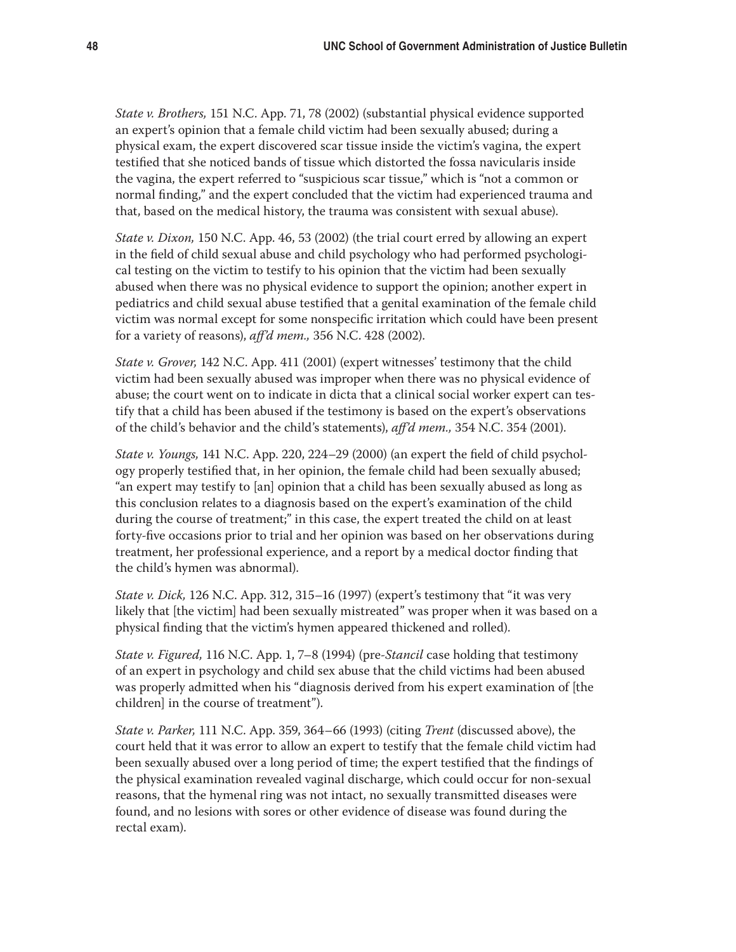*State v. Brothers,* 151 N.C. App. 71, 78 (2002) (substantial physical evidence supported an expert's opinion that a female child victim had been sexually abused; during a physical exam, the expert discovered scar tissue inside the victim's vagina, the expert testified that she noticed bands of tissue which distorted the fossa navicularis inside the vagina, the expert referred to "suspicious scar tissue," which is "not a common or normal finding," and the expert concluded that the victim had experienced trauma and that, based on the medical history, the trauma was consistent with sexual abuse).

*State v. Dixon,* 150 N.C. App. 46, 53 (2002) (the trial court erred by allowing an expert in the field of child sexual abuse and child psychology who had performed psychological testing on the victim to testify to his opinion that the victim had been sexually abused when there was no physical evidence to support the opinion; another expert in pediatrics and child sexual abuse testified that a genital examination of the female child victim was normal except for some nonspecific irritation which could have been present for a variety of reasons), *aff'd mem.,* 356 N.C. 428 (2002).

*State v. Grover,* 142 N.C. App. 411 (2001) (expert witnesses' testimony that the child victim had been sexually abused was improper when there was no physical evidence of abuse; the court went on to indicate in dicta that a clinical social worker expert can testify that a child has been abused if the testimony is based on the expert's observations of the child's behavior and the child's statements), *aff'd mem.,* 354 N.C. 354 (2001).

*State v. Youngs,* 141 N.C. App. 220, 224–29 (2000) (an expert the field of child psychology properly testified that, in her opinion, the female child had been sexually abused; "an expert may testify to [an] opinion that a child has been sexually abused as long as this conclusion relates to a diagnosis based on the expert's examination of the child during the course of treatment;" in this case, the expert treated the child on at least forty-five occasions prior to trial and her opinion was based on her observations during treatment, her professional experience, and a report by a medical doctor finding that the child's hymen was abnormal).

*State v. Dick,* 126 N.C. App. 312, 315–16 (1997) (expert's testimony that "it was very likely that [the victim] had been sexually mistreated" was proper when it was based on a physical finding that the victim's hymen appeared thickened and rolled).

*State v. Figured,* 116 N.C. App. 1, 7–8 (1994) (pre-*Stancil* case holding that testimony of an expert in psychology and child sex abuse that the child victims had been abused was properly admitted when his "diagnosis derived from his expert examination of [the children] in the course of treatment").

*State v. Parker,* 111 N.C. App. 359, 364–66 (1993) (citing *Trent* (discussed above), the court held that it was error to allow an expert to testify that the female child victim had been sexually abused over a long period of time; the expert testified that the findings of the physical examination revealed vaginal discharge, which could occur for non-sexual reasons, that the hymenal ring was not intact, no sexually transmitted diseases were found, and no lesions with sores or other evidence of disease was found during the rectal exam).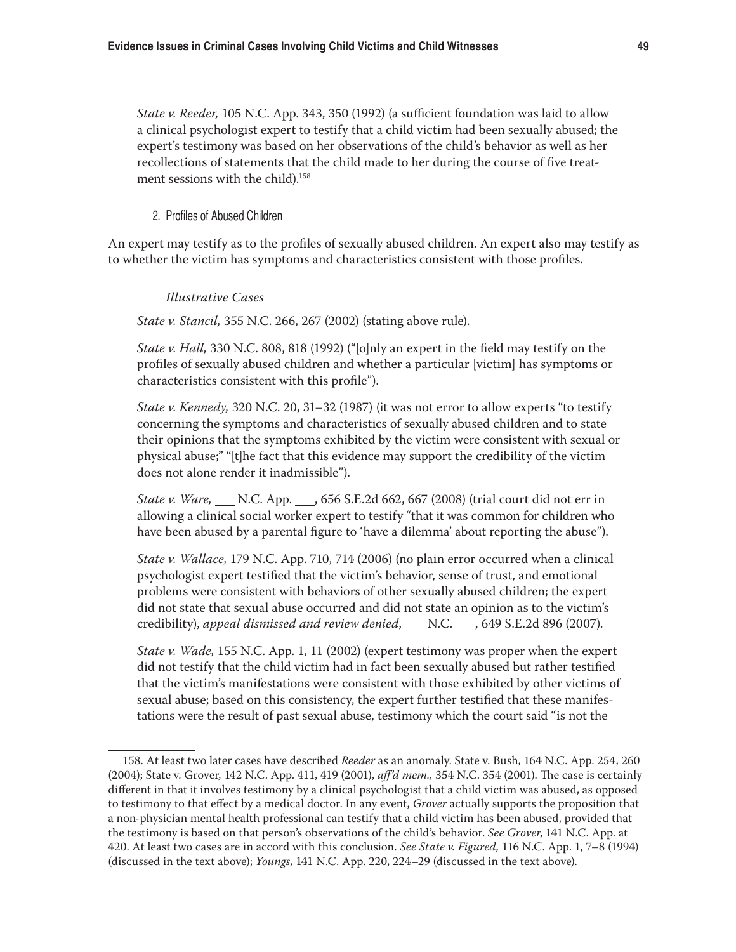*State v. Reeder,* 105 N.C. App. 343, 350 (1992) (a sufficient foundation was laid to allow a clinical psychologist expert to testify that a child victim had been sexually abused; the expert's testimony was based on her observations of the child's behavior as well as her recollections of statements that the child made to her during the course of five treatment sessions with the child).<sup>158</sup>

2. Profiles of Abused Children

An expert may testify as to the profiles of sexually abused children. An expert also may testify as to whether the victim has symptoms and characteristics consistent with those profiles.

#### *Illustrative Cases*

*State v. Stancil,* 355 N.C. 266, 267 (2002) (stating above rule).

*State v. Hall,* 330 N.C. 808, 818 (1992) ("[o]nly an expert in the field may testify on the profiles of sexually abused children and whether a particular [victim] has symptoms or characteristics consistent with this profile").

*State v. Kennedy,* 320 N.C. 20, 31–32 (1987) (it was not error to allow experts "to testify concerning the symptoms and characteristics of sexually abused children and to state their opinions that the symptoms exhibited by the victim were consistent with sexual or physical abuse;" "[t]he fact that this evidence may support the credibility of the victim does not alone render it inadmissible").

*State v. Ware,* \_\_\_ N.C. App. \_\_, 656 S.E.2d 662, 667 (2008) (trial court did not err in allowing a clinical social worker expert to testify "that it was common for children who have been abused by a parental figure to 'have a dilemma' about reporting the abuse").

*State v. Wallace,* 179 N.C. App. 710, 714 (2006) (no plain error occurred when a clinical psychologist expert testified that the victim's behavior, sense of trust, and emotional problems were consistent with behaviors of other sexually abused children; the expert did not state that sexual abuse occurred and did not state an opinion as to the victim's credibility), appeal dismissed and review denied, \_\_ N.C. \_\_, 649 S.E.2d 896 (2007).

*State v. Wade,* 155 N.C. App. 1, 11 (2002) (expert testimony was proper when the expert did not testify that the child victim had in fact been sexually abused but rather testified that the victim's manifestations were consistent with those exhibited by other victims of sexual abuse; based on this consistency, the expert further testified that these manifestations were the result of past sexual abuse, testimony which the court said "is not the

<sup>158.</sup> At least two later cases have described *Reeder* as an anomaly. State v. Bush, 164 N.C. App. 254, 260 (2004); State v. Grover*,* 142 N.C. App. 411, 419 (2001), *aff'd mem.,* 354 N.C. 354 (2001). The case is certainly different in that it involves testimony by a clinical psychologist that a child victim was abused, as opposed to testimony to that effect by a medical doctor. In any event, *Grover* actually supports the proposition that a non-physician mental health professional can testify that a child victim has been abused, provided that the testimony is based on that person's observations of the child's behavior. *See Grover*, 141 N.C. App. at 420. At least two cases are in accord with this conclusion. *See State v. Figured,* 116 N.C. App. 1, 7–8 (1994) (discussed in the text above); *Youngs,* 141 N.C. App. 220, 224–29 (discussed in the text above).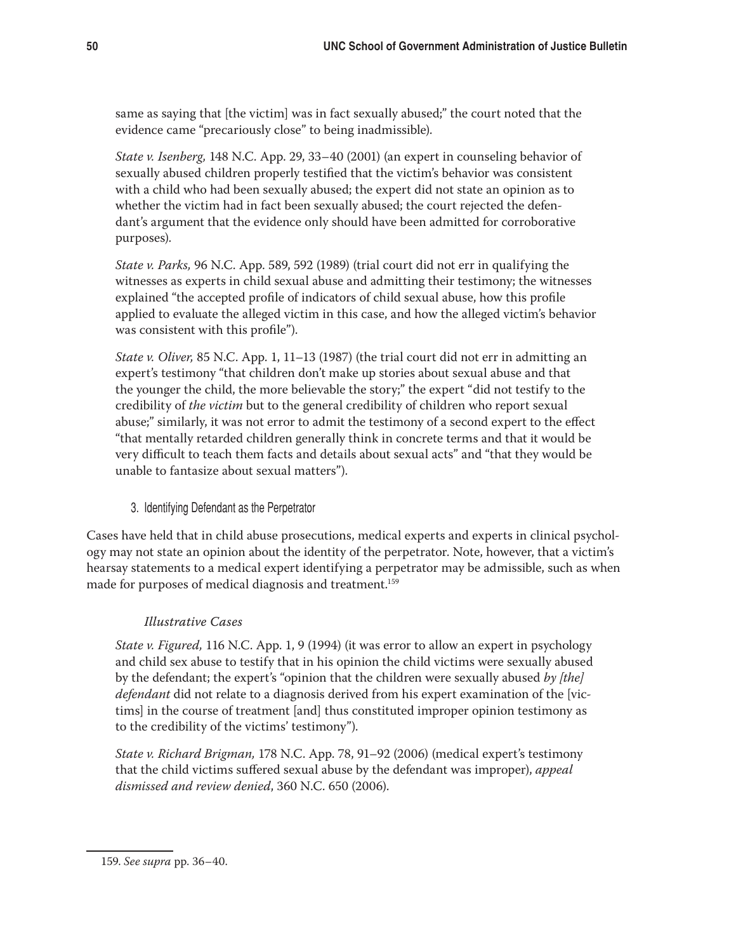same as saying that [the victim] was in fact sexually abused;" the court noted that the evidence came "precariously close" to being inadmissible).

*State v. Isenberg,* 148 N.C. App. 29, 33–40 (2001) (an expert in counseling behavior of sexually abused children properly testified that the victim's behavior was consistent with a child who had been sexually abused; the expert did not state an opinion as to whether the victim had in fact been sexually abused; the court rejected the defendant's argument that the evidence only should have been admitted for corroborative purposes).

*State v. Parks,* 96 N.C. App. 589, 592 (1989) (trial court did not err in qualifying the witnesses as experts in child sexual abuse and admitting their testimony; the witnesses explained "the accepted profile of indicators of child sexual abuse, how this profile applied to evaluate the alleged victim in this case, and how the alleged victim's behavior was consistent with this profile").

*State v. Oliver,* 85 N.C. App. 1, 11–13 (1987) (the trial court did not err in admitting an expert's testimony "that children don't make up stories about sexual abuse and that the younger the child, the more believable the story;" the expert "did not testify to the credibility of *the victim* but to the general credibility of children who report sexual abuse;" similarly, it was not error to admit the testimony of a second expert to the effect "that mentally retarded children generally think in concrete terms and that it would be very difficult to teach them facts and details about sexual acts" and "that they would be unable to fantasize about sexual matters").

## 3. Identifying Defendant as the Perpetrator

Cases have held that in child abuse prosecutions, medical experts and experts in clinical psychology may not state an opinion about the identity of the perpetrator. Note, however, that a victim's hearsay statements to a medical expert identifying a perpetrator may be admissible, such as when made for purposes of medical diagnosis and treatment.<sup>159</sup>

## *Illustrative Cases*

*State v. Figured,* 116 N.C. App. 1, 9 (1994) (it was error to allow an expert in psychology and child sex abuse to testify that in his opinion the child victims were sexually abused by the defendant; the expert's "opinion that the children were sexually abused *by [the] defendant* did not relate to a diagnosis derived from his expert examination of the [victims] in the course of treatment [and] thus constituted improper opinion testimony as to the credibility of the victims' testimony").

*State v. Richard Brigman,* 178 N.C. App. 78, 91–92 (2006) (medical expert's testimony that the child victims suffered sexual abuse by the defendant was improper), *appeal dismissed and review denied*, 360 N.C. 650 (2006).

<sup>159.</sup> *See supra* pp. 36–40.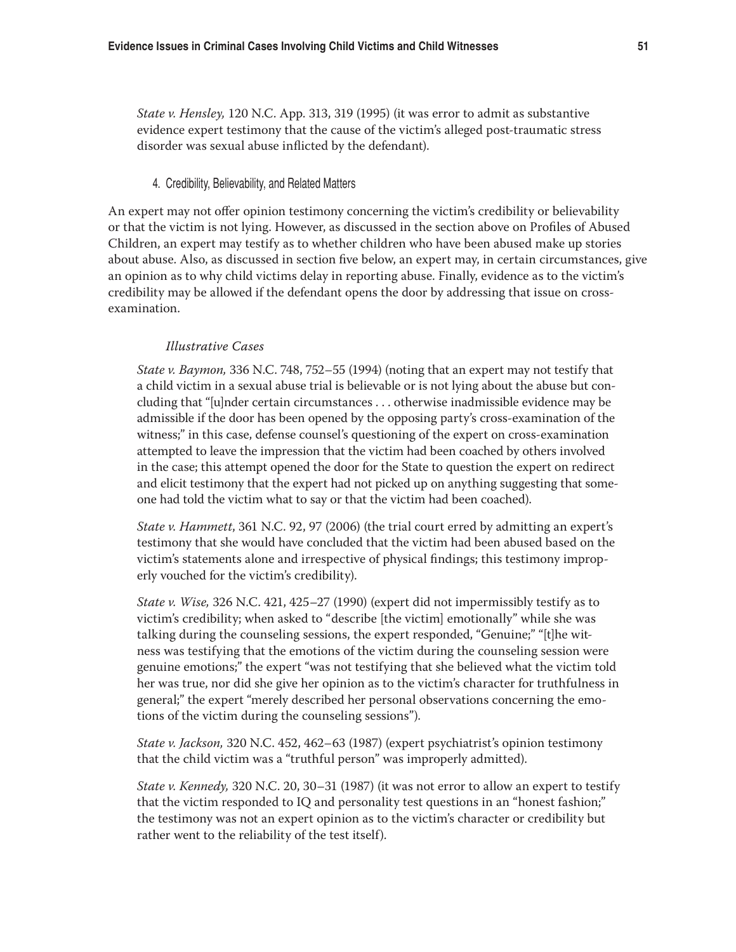*State v. Hensley,* 120 N.C. App. 313, 319 (1995) (it was error to admit as substantive evidence expert testimony that the cause of the victim's alleged post-traumatic stress disorder was sexual abuse inflicted by the defendant).

#### 4. Credibility, Believability, and Related Matters

An expert may not offer opinion testimony concerning the victim's credibility or believability or that the victim is not lying. However, as discussed in the section above on Profiles of Abused Children, an expert may testify as to whether children who have been abused make up stories about abuse. Also, as discussed in section five below, an expert may, in certain circumstances, give an opinion as to why child victims delay in reporting abuse. Finally, evidence as to the victim's credibility may be allowed if the defendant opens the door by addressing that issue on crossexamination.

#### *Illustrative Cases*

*State v. Baymon,* 336 N.C. 748, 752–55 (1994) (noting that an expert may not testify that a child victim in a sexual abuse trial is believable or is not lying about the abuse but concluding that "[u]nder certain circumstances . . . otherwise inadmissible evidence may be admissible if the door has been opened by the opposing party's cross-examination of the witness;" in this case, defense counsel's questioning of the expert on cross-examination attempted to leave the impression that the victim had been coached by others involved in the case; this attempt opened the door for the State to question the expert on redirect and elicit testimony that the expert had not picked up on anything suggesting that someone had told the victim what to say or that the victim had been coached).

*State v. Hammett*, 361 N.C. 92, 97 (2006) (the trial court erred by admitting an expert's testimony that she would have concluded that the victim had been abused based on the victim's statements alone and irrespective of physical findings; this testimony improperly vouched for the victim's credibility).

*State v. Wise,* 326 N.C. 421, 425–27 (1990) (expert did not impermissibly testify as to victim's credibility; when asked to "describe [the victim] emotionally" while she was talking during the counseling sessions, the expert responded, "Genuine;" "[t]he witness was testifying that the emotions of the victim during the counseling session were genuine emotions;" the expert "was not testifying that she believed what the victim told her was true, nor did she give her opinion as to the victim's character for truthfulness in general;" the expert "merely described her personal observations concerning the emotions of the victim during the counseling sessions").

*State v. Jackson,* 320 N.C. 452, 462–63 (1987) (expert psychiatrist's opinion testimony that the child victim was a "truthful person" was improperly admitted).

*State v. Kennedy,* 320 N.C. 20, 30–31 (1987) (it was not error to allow an expert to testify that the victim responded to IQ and personality test questions in an "honest fashion;" the testimony was not an expert opinion as to the victim's character or credibility but rather went to the reliability of the test itself).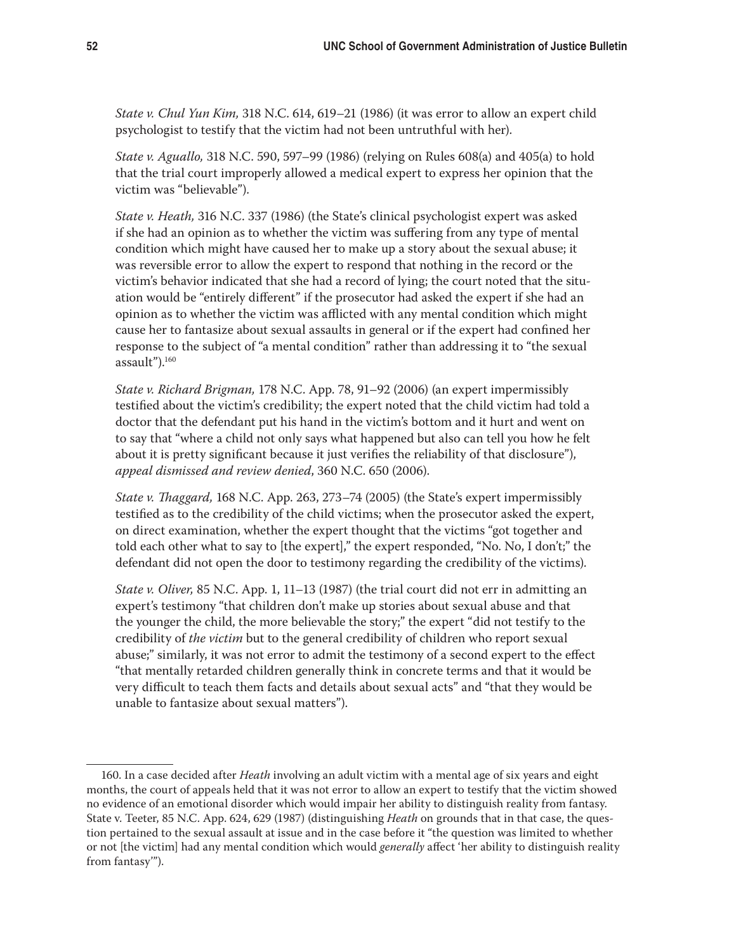*State v. Chul Yun Kim,* 318 N.C. 614, 619–21 (1986) (it was error to allow an expert child psychologist to testify that the victim had not been untruthful with her).

*State v. Aguallo,* 318 N.C. 590, 597–99 (1986) (relying on Rules 608(a) and 405(a) to hold that the trial court improperly allowed a medical expert to express her opinion that the victim was "believable").

*State v. Heath,* 316 N.C. 337 (1986) (the State's clinical psychologist expert was asked if she had an opinion as to whether the victim was suffering from any type of mental condition which might have caused her to make up a story about the sexual abuse; it was reversible error to allow the expert to respond that nothing in the record or the victim's behavior indicated that she had a record of lying; the court noted that the situation would be "entirely different" if the prosecutor had asked the expert if she had an opinion as to whether the victim was afflicted with any mental condition which might cause her to fantasize about sexual assaults in general or if the expert had confined her response to the subject of "a mental condition" rather than addressing it to "the sexual assault").160

*State v. Richard Brigman,* 178 N.C. App. 78, 91–92 (2006) (an expert impermissibly testified about the victim's credibility; the expert noted that the child victim had told a doctor that the defendant put his hand in the victim's bottom and it hurt and went on to say that "where a child not only says what happened but also can tell you how he felt about it is pretty significant because it just verifies the reliability of that disclosure"), *appeal dismissed and review denied*, 360 N.C. 650 (2006).

*State v. Thaggard,* 168 N.C. App. 263, 273–74 (2005) (the State's expert impermissibly testified as to the credibility of the child victims; when the prosecutor asked the expert, on direct examination, whether the expert thought that the victims "got together and told each other what to say to [the expert]," the expert responded, "No. No, I don't;" the defendant did not open the door to testimony regarding the credibility of the victims).

*State v. Oliver,* 85 N.C. App. 1, 11–13 (1987) (the trial court did not err in admitting an expert's testimony "that children don't make up stories about sexual abuse and that the younger the child, the more believable the story;" the expert "did not testify to the credibility of *the victim* but to the general credibility of children who report sexual abuse;" similarly, it was not error to admit the testimony of a second expert to the effect "that mentally retarded children generally think in concrete terms and that it would be very difficult to teach them facts and details about sexual acts" and "that they would be unable to fantasize about sexual matters").

<sup>160.</sup> In a case decided after *Heath* involving an adult victim with a mental age of six years and eight months, the court of appeals held that it was not error to allow an expert to testify that the victim showed no evidence of an emotional disorder which would impair her ability to distinguish reality from fantasy. State v. Teeter, 85 N.C. App. 624, 629 (1987) (distinguishing *Heath* on grounds that in that case, the question pertained to the sexual assault at issue and in the case before it "the question was limited to whether or not [the victim] had any mental condition which would *generally* affect 'her ability to distinguish reality from fantasy'").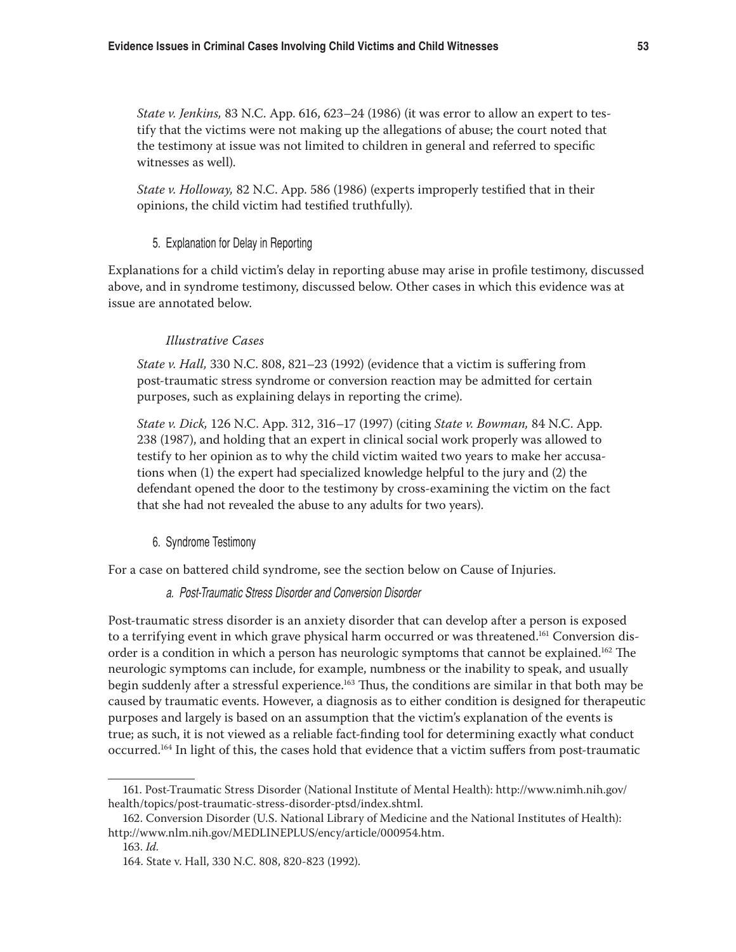*State v. Jenkins,* 83 N.C. App. 616, 623–24 (1986) (it was error to allow an expert to testify that the victims were not making up the allegations of abuse; the court noted that the testimony at issue was not limited to children in general and referred to specific witnesses as well).

*State v. Holloway,* 82 N.C. App. 586 (1986) (experts improperly testified that in their opinions, the child victim had testified truthfully).

#### 5. Explanation for Delay in Reporting

Explanations for a child victim's delay in reporting abuse may arise in profile testimony, discussed above, and in syndrome testimony, discussed below. Other cases in which this evidence was at issue are annotated below.

#### *Illustrative Cases*

*State v. Hall,* 330 N.C. 808, 821–23 (1992) (evidence that a victim is suffering from post-traumatic stress syndrome or conversion reaction may be admitted for certain purposes, such as explaining delays in reporting the crime).

*State v. Dick,* 126 N.C. App. 312, 316–17 (1997) (citing *State v. Bowman,* 84 N.C. App. 238 (1987), and holding that an expert in clinical social work properly was allowed to testify to her opinion as to why the child victim waited two years to make her accusations when (1) the expert had specialized knowledge helpful to the jury and (2) the defendant opened the door to the testimony by cross-examining the victim on the fact that she had not revealed the abuse to any adults for two years).

#### 6. Syndrome Testimony

For a case on battered child syndrome, see the section below on Cause of Injuries.

#### a. Post-Traumatic Stress Disorder and Conversion Disorder

Post-traumatic stress disorder is an anxiety disorder that can develop after a person is exposed to a terrifying event in which grave physical harm occurred or was threatened.<sup>161</sup> Conversion disorder is a condition in which a person has neurologic symptoms that cannot be explained.162 The neurologic symptoms can include, for example, numbness or the inability to speak, and usually begin suddenly after a stressful experience.<sup>163</sup> Thus, the conditions are similar in that both may be caused by traumatic events. However, a diagnosis as to either condition is designed for therapeutic purposes and largely is based on an assumption that the victim's explanation of the events is true; as such, it is not viewed as a reliable fact-finding tool for determining exactly what conduct occurred.164 In light of this, the cases hold that evidence that a victim suffers from post-traumatic

<sup>161.</sup> Post-Traumatic Stress Disorder (National Institute of Mental Health): http://www.nimh.nih.gov/ health/topics/post-traumatic-stress-disorder-ptsd/index.shtml.

<sup>162.</sup> Conversion Disorder (U.S. National Library of Medicine and the National Institutes of Health): http://www.nlm.nih.gov/MEDLINEPLUS/ency/article/000954.htm.

<sup>163.</sup> *Id.*

<sup>164.</sup> State v. Hall, 330 N.C. 808, 820-823 (1992).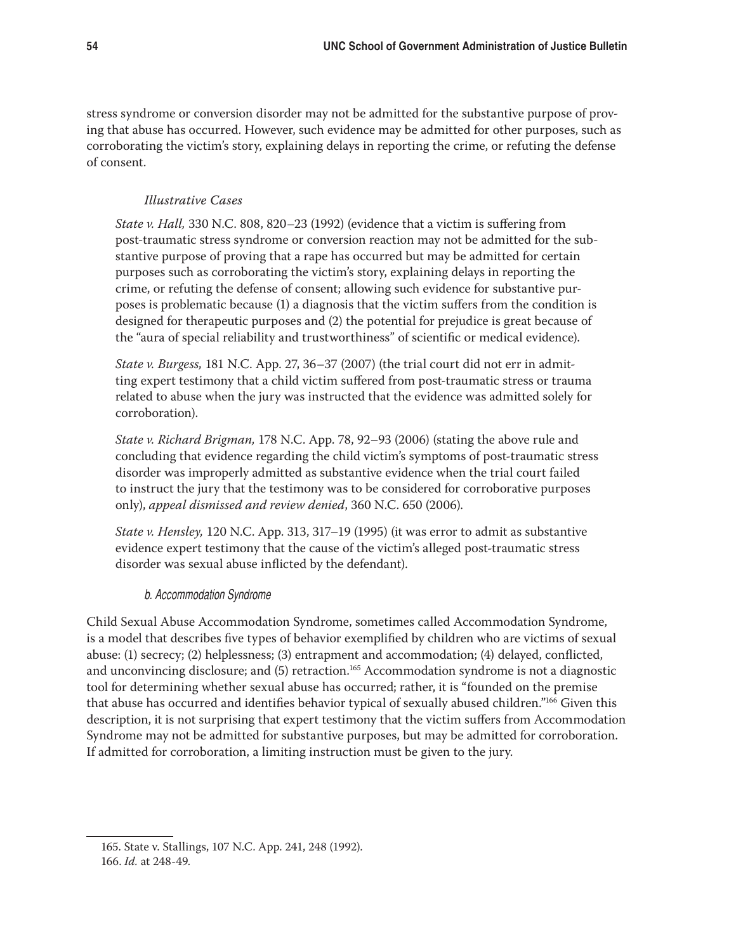stress syndrome or conversion disorder may not be admitted for the substantive purpose of proving that abuse has occurred. However, such evidence may be admitted for other purposes, such as corroborating the victim's story, explaining delays in reporting the crime, or refuting the defense of consent.

## *Illustrative Cases*

*State v. Hall,* 330 N.C. 808, 820–23 (1992) (evidence that a victim is suffering from post-traumatic stress syndrome or conversion reaction may not be admitted for the substantive purpose of proving that a rape has occurred but may be admitted for certain purposes such as corroborating the victim's story, explaining delays in reporting the crime, or refuting the defense of consent; allowing such evidence for substantive purposes is problematic because (1) a diagnosis that the victim suffers from the condition is designed for therapeutic purposes and (2) the potential for prejudice is great because of the "aura of special reliability and trustworthiness" of scientific or medical evidence).

*State v. Burgess,* 181 N.C. App. 27, 36–37 (2007) (the trial court did not err in admitting expert testimony that a child victim suffered from post-traumatic stress or trauma related to abuse when the jury was instructed that the evidence was admitted solely for corroboration).

*State v. Richard Brigman,* 178 N.C. App. 78, 92–93 (2006) (stating the above rule and concluding that evidence regarding the child victim's symptoms of post-traumatic stress disorder was improperly admitted as substantive evidence when the trial court failed to instruct the jury that the testimony was to be considered for corroborative purposes only), *appeal dismissed and review denied*, 360 N.C. 650 (2006).

*State v. Hensley,* 120 N.C. App. 313, 317–19 (1995) (it was error to admit as substantive evidence expert testimony that the cause of the victim's alleged post-traumatic stress disorder was sexual abuse inflicted by the defendant).

#### b. Accommodation Syndrome

Child Sexual Abuse Accommodation Syndrome, sometimes called Accommodation Syndrome, is a model that describes five types of behavior exemplified by children who are victims of sexual abuse: (1) secrecy; (2) helplessness; (3) entrapment and accommodation; (4) delayed, conflicted, and unconvincing disclosure; and (5) retraction.<sup>165</sup> Accommodation syndrome is not a diagnostic tool for determining whether sexual abuse has occurred; rather, it is "founded on the premise that abuse has occurred and identifies behavior typical of sexually abused children."166 Given this description, it is not surprising that expert testimony that the victim suffers from Accommodation Syndrome may not be admitted for substantive purposes, but may be admitted for corroboration. If admitted for corroboration, a limiting instruction must be given to the jury.

165. State v. Stallings, 107 N.C. App. 241, 248 (1992). 166. *Id.* at 248-49.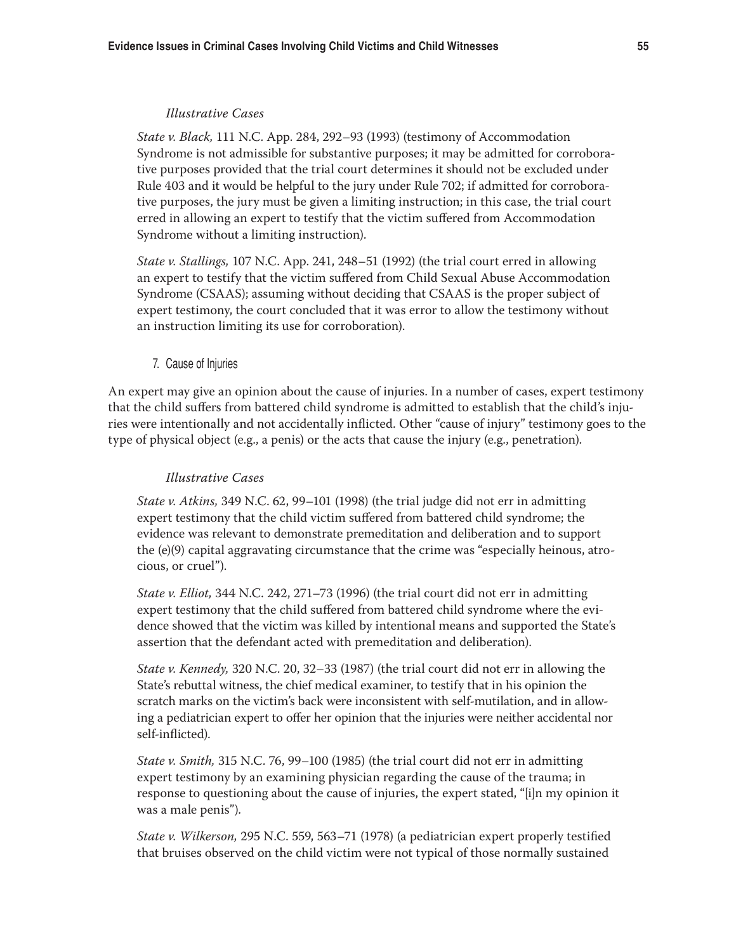#### *Illustrative Cases*

*State v. Black,* 111 N.C. App. 284, 292–93 (1993) (testimony of Accommodation Syndrome is not admissible for substantive purposes; it may be admitted for corroborative purposes provided that the trial court determines it should not be excluded under Rule 403 and it would be helpful to the jury under Rule 702; if admitted for corroborative purposes, the jury must be given a limiting instruction; in this case, the trial court erred in allowing an expert to testify that the victim suffered from Accommodation Syndrome without a limiting instruction).

*State v. Stallings,* 107 N.C. App. 241, 248–51 (1992) (the trial court erred in allowing an expert to testify that the victim suffered from Child Sexual Abuse Accommodation Syndrome (CSAAS); assuming without deciding that CSAAS is the proper subject of expert testimony, the court concluded that it was error to allow the testimony without an instruction limiting its use for corroboration).

#### 7. Cause of Injuries

An expert may give an opinion about the cause of injuries. In a number of cases, expert testimony that the child suffers from battered child syndrome is admitted to establish that the child's injuries were intentionally and not accidentally inflicted. Other "cause of injury" testimony goes to the type of physical object (e.g., a penis) or the acts that cause the injury (e.g., penetration).

#### *Illustrative Cases*

*State v. Atkins,* 349 N.C. 62, 99–101 (1998) (the trial judge did not err in admitting expert testimony that the child victim suffered from battered child syndrome; the evidence was relevant to demonstrate premeditation and deliberation and to support the (e)(9) capital aggravating circumstance that the crime was "especially heinous, atrocious, or cruel").

*State v. Elliot,* 344 N.C. 242, 271–73 (1996) (the trial court did not err in admitting expert testimony that the child suffered from battered child syndrome where the evidence showed that the victim was killed by intentional means and supported the State's assertion that the defendant acted with premeditation and deliberation).

*State v. Kennedy,* 320 N.C. 20, 32–33 (1987) (the trial court did not err in allowing the State's rebuttal witness, the chief medical examiner, to testify that in his opinion the scratch marks on the victim's back were inconsistent with self-mutilation, and in allowing a pediatrician expert to offer her opinion that the injuries were neither accidental nor self-inflicted).

*State v. Smith,* 315 N.C. 76, 99–100 (1985) (the trial court did not err in admitting expert testimony by an examining physician regarding the cause of the trauma; in response to questioning about the cause of injuries, the expert stated, "[i]n my opinion it was a male penis").

*State v. Wilkerson,* 295 N.C. 559, 563–71 (1978) (a pediatrician expert properly testified that bruises observed on the child victim were not typical of those normally sustained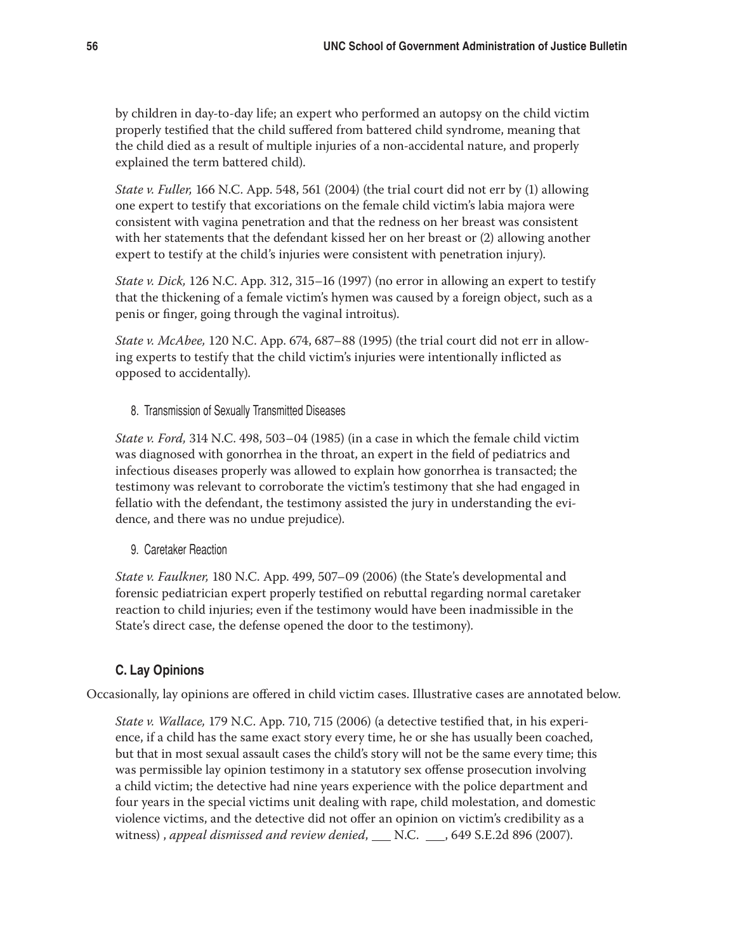by children in day-to-day life; an expert who performed an autopsy on the child victim properly testified that the child suffered from battered child syndrome, meaning that the child died as a result of multiple injuries of a non-accidental nature, and properly explained the term battered child).

*State v. Fuller,* 166 N.C. App. 548, 561 (2004) (the trial court did not err by (1) allowing one expert to testify that excoriations on the female child victim's labia majora were consistent with vagina penetration and that the redness on her breast was consistent with her statements that the defendant kissed her on her breast or (2) allowing another expert to testify at the child's injuries were consistent with penetration injury).

*State v. Dick,* 126 N.C. App. 312, 315–16 (1997) (no error in allowing an expert to testify that the thickening of a female victim's hymen was caused by a foreign object, such as a penis or finger, going through the vaginal introitus).

*State v. McAbee,* 120 N.C. App. 674, 687–88 (1995) (the trial court did not err in allowing experts to testify that the child victim's injuries were intentionally inflicted as opposed to accidentally).

8. Transmission of Sexually Transmitted Diseases

*State v. Ford,* 314 N.C. 498, 503–04 (1985) (in a case in which the female child victim was diagnosed with gonorrhea in the throat, an expert in the field of pediatrics and infectious diseases properly was allowed to explain how gonorrhea is transacted; the testimony was relevant to corroborate the victim's testimony that she had engaged in fellatio with the defendant, the testimony assisted the jury in understanding the evidence, and there was no undue prejudice).

9. Caretaker Reaction

*State v. Faulkner,* 180 N.C. App. 499, 507–09 (2006) (the State's developmental and forensic pediatrician expert properly testified on rebuttal regarding normal caretaker reaction to child injuries; even if the testimony would have been inadmissible in the State's direct case, the defense opened the door to the testimony).

## **C. Lay Opinions**

Occasionally, lay opinions are offered in child victim cases. Illustrative cases are annotated below.

*State v. Wallace,* 179 N.C. App. 710, 715 (2006) (a detective testified that, in his experience, if a child has the same exact story every time, he or she has usually been coached, but that in most sexual assault cases the child's story will not be the same every time; this was permissible lay opinion testimony in a statutory sex offense prosecution involving a child victim; the detective had nine years experience with the police department and four years in the special victims unit dealing with rape, child molestation, and domestic violence victims, and the detective did not offer an opinion on victim's credibility as a witness), *appeal dismissed and review denied*, \_\_\_ N.C. \_\_\_, 649 S.E.2d 896 (2007).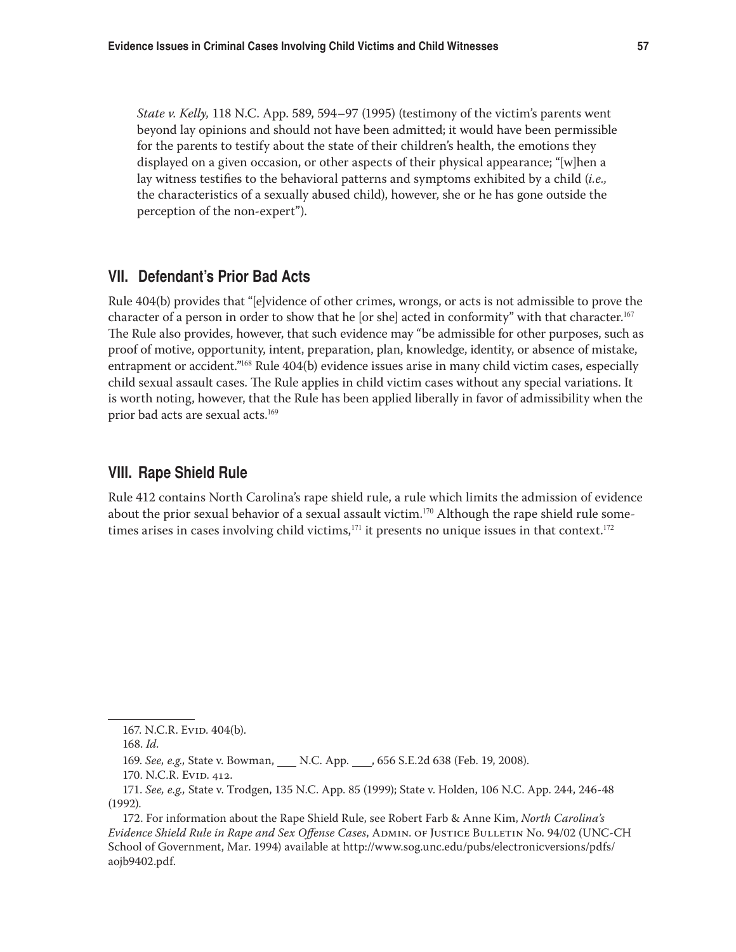*State v. Kelly,* 118 N.C. App. 589, 594–97 (1995) (testimony of the victim's parents went beyond lay opinions and should not have been admitted; it would have been permissible for the parents to testify about the state of their children's health, the emotions they displayed on a given occasion, or other aspects of their physical appearance; "[w]hen a lay witness testifies to the behavioral patterns and symptoms exhibited by a child (*i.e.,* the characteristics of a sexually abused child), however, she or he has gone outside the perception of the non-expert").

## **VII. Defendant's Prior Bad Acts**

Rule 404(b) provides that "[e]vidence of other crimes, wrongs, or acts is not admissible to prove the character of a person in order to show that he [or she] acted in conformity" with that character.<sup>167</sup> The Rule also provides, however, that such evidence may "be admissible for other purposes, such as proof of motive, opportunity, intent, preparation, plan, knowledge, identity, or absence of mistake, entrapment or accident."<sup>168</sup> Rule 404(b) evidence issues arise in many child victim cases, especially child sexual assault cases. The Rule applies in child victim cases without any special variations. It is worth noting, however, that the Rule has been applied liberally in favor of admissibility when the prior bad acts are sexual acts.<sup>169</sup>

## **VIII. Rape Shield Rule**

Rule 412 contains North Carolina's rape shield rule, a rule which limits the admission of evidence about the prior sexual behavior of a sexual assault victim.<sup>170</sup> Although the rape shield rule sometimes arises in cases involving child victims, $171$  it presents no unique issues in that context.<sup>172</sup>

172. For information about the Rape Shield Rule, see Robert Farb & Anne Kim, *North Carolina's Evidence Shield Rule in Rape and Sex Offense Cases*, Admin. of Justice Bulletin No. 94/02 (UNC-CH School of Government, Mar. 1994) available at http://www.sog.unc.edu/pubs/electronicversions/pdfs/ aojb9402.pdf.

<sup>167.</sup> N.C.R. Evid. 404(b).

<sup>168.</sup> *Id.*

<sup>169.</sup> *See, e.g., State v. Bowman,* \_\_\_ N.C. App. \_\_\_, 656 S.E.2d 638 (Feb. 19, 2008).

<sup>170.</sup> N.C.R. EVID. 412.

<sup>171.</sup> *See, e.g.,* State v. Trodgen, 135 N.C. App. 85 (1999); State v. Holden, 106 N.C. App. 244, 246-48 (1992).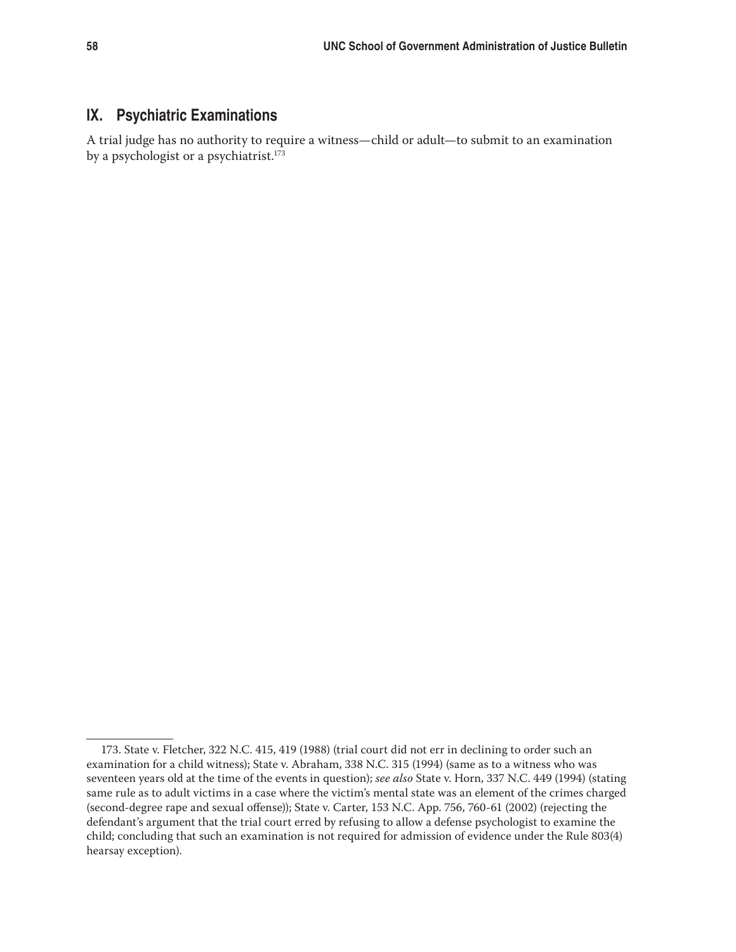# **IX. Psychiatric Examinations**

A trial judge has no authority to require a witness—child or adult—to submit to an examination by a psychologist or a psychiatrist.<sup>173</sup>

<sup>173.</sup> State v. Fletcher, 322 N.C. 415, 419 (1988) (trial court did not err in declining to order such an examination for a child witness); State v. Abraham, 338 N.C. 315 (1994) (same as to a witness who was seventeen years old at the time of the events in question); *see also* State v. Horn, 337 N.C. 449 (1994) (stating same rule as to adult victims in a case where the victim's mental state was an element of the crimes charged (second-degree rape and sexual offense)); State v. Carter, 153 N.C. App. 756, 760-61 (2002) (rejecting the defendant's argument that the trial court erred by refusing to allow a defense psychologist to examine the child; concluding that such an examination is not required for admission of evidence under the Rule 803(4) hearsay exception).